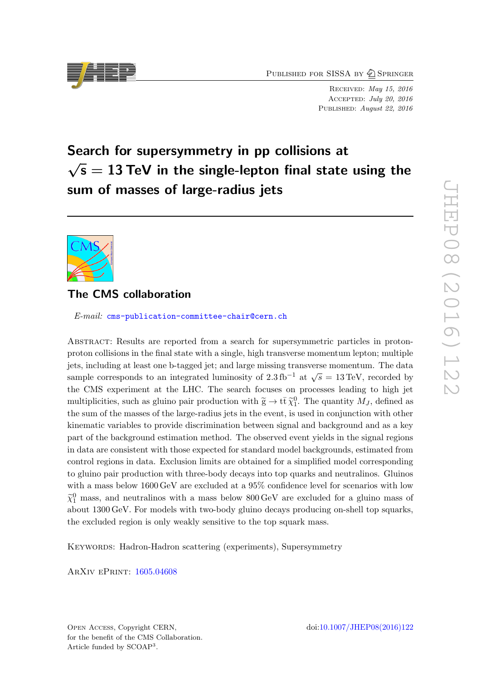PUBLISHED FOR SISSA BY 2 SPRINGER

Received: May 15, 2016 Accepted: July 20, 2016 PUBLISHED: August 22, 2016

# Search for supersymmetry in pp collisions at √  $\overline{\mathsf{s}}=13\,\mathsf{TeV}$  in the single-lepton final state using the sum of masses of large-radius jets



# The CMS collaboration

E-mail: [cms-publication-committee-chair@cern.ch](mailto:cms-publication-committee-chair@cern.ch)

Abstract: Results are reported from a search for supersymmetric particles in protonproton collisions in the final state with a single, high transverse momentum lepton; multiple jets, including at least one b-tagged jet; and large missing transverse momentum. The data sample corresponds to an integrated luminosity of  $2.3 \text{ fb}^{-1}$  at  $\sqrt{s} = 13 \text{ TeV}$ , recorded by the CMS experiment at the LHC. The search focuses on processes leading to high jet multiplicities, such as gluino pair production with  $\tilde{g} \to t\bar{t}\tilde{\chi}_1^0$ . The quantity  $M_J$ , defined as the sum of the masses of the large-radius jets in the event, is used in conjunction with other kinematic variables to provide discrimination between signal and background and as a key part of the background estimation method. The observed event yields in the signal regions in data are consistent with those expected for standard model backgrounds, estimated from control regions in data. Exclusion limits are obtained for a simplified model corresponding to gluino pair production with three-body decays into top quarks and neutralinos. Gluinos with a mass below 1600 GeV are excluded at a 95% confidence level for scenarios with low  $\tilde{\chi}^0$  mass, and neutralinos with a mass below 800 GeV are excluded for a gluino mass of about 1300 GeV. For models with two-body gluino decays producing on-shell top squarks, the excluded region is only weakly sensitive to the top squark mass.

KEYWORDS: Hadron-Hadron scattering (experiments), Supersymmetry

ArXiv ePrint: [1605.04608](http://arxiv.org/abs/1605.04608)

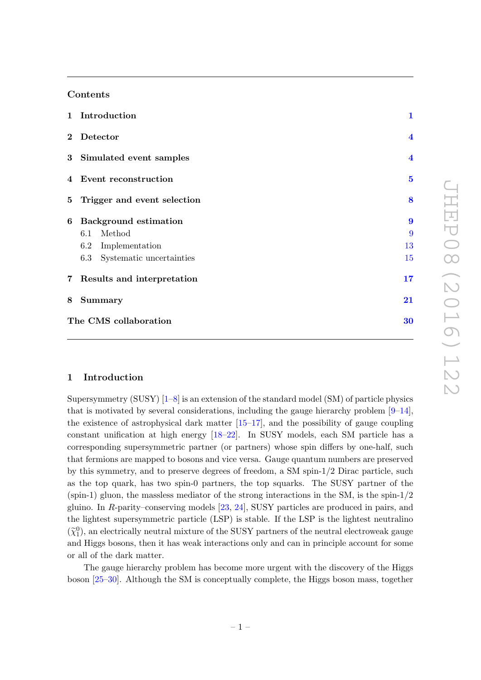### Contents

|                           | 1 Introduction                |                |  |  |  |  |
|---------------------------|-------------------------------|----------------|--|--|--|--|
| 2 Detector                | $\overline{\mathbf{4}}$       |                |  |  |  |  |
| 3 Simulated event samples | $\overline{\mathbf{4}}$       |                |  |  |  |  |
|                           | 4 Event reconstruction        | $\overline{5}$ |  |  |  |  |
|                           | 5 Trigger and event selection | 8              |  |  |  |  |
|                           | 6 Background estimation       | 9              |  |  |  |  |
|                           | 6.1 Method                    | 9              |  |  |  |  |
|                           | 6.2 Implementation            | 13             |  |  |  |  |
|                           | 6.3 Systematic uncertainties  | 15             |  |  |  |  |
|                           | 7 Results and interpretation  | 17             |  |  |  |  |
|                           | 8 Summary                     | 21             |  |  |  |  |
|                           | The CMS collaboration         | 30             |  |  |  |  |

## <span id="page-1-0"></span>1 Introduction

Supersymmetry  $(SUSY)$  [\[1](#page-25-0)[–8\]](#page-25-1) is an extension of the standard model  $(SM)$  of particle physics that is motivated by several considerations, including the gauge hierarchy problem  $[9-14]$  $[9-14]$ , the existence of astrophysical dark matter [\[15](#page-25-4)[–17\]](#page-25-5), and the possibility of gauge coupling constant unification at high energy [\[18–](#page-25-6)[22\]](#page-26-0). In SUSY models, each SM particle has a corresponding supersymmetric partner (or partners) whose spin differs by one-half, such that fermions are mapped to bosons and vice versa. Gauge quantum numbers are preserved by this symmetry, and to preserve degrees of freedom, a SM spin-1/2 Dirac particle, such as the top quark, has two spin-0 partners, the top squarks. The SUSY partner of the (spin-1) gluon, the massless mediator of the strong interactions in the SM, is the spin-1/2 gluino. In R-parity–conserving models [\[23,](#page-26-1) [24\]](#page-26-2), SUSY particles are produced in pairs, and the lightest supersymmetric particle (LSP) is stable. If the LSP is the lightest neutralino  $(\widetilde{\chi}_1^0)$ , an electrically neutral mixture of the SUSY partners of the neutral electroweak gauge and Higgs bosons, then it has weak interactions only and can in principle account for some or all of the dark matter.

The gauge hierarchy problem has become more urgent with the discovery of the Higgs boson [\[25–](#page-26-3)[30\]](#page-26-4). Although the SM is conceptually complete, the Higgs boson mass, together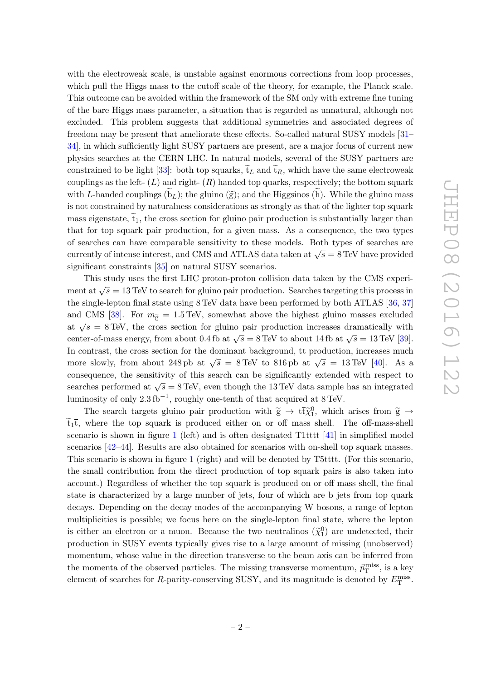with the electroweak scale, is unstable against enormous corrections from loop processes, which pull the Higgs mass to the cutoff scale of the theory, for example, the Planck scale. This outcome can be avoided within the framework of the SM only with extreme fine tuning of the bare Higgs mass parameter, a situation that is regarded as unnatural, although not excluded. This problem suggests that additional symmetries and associated degrees of freedom may be present that ameliorate these effects. So-called natural SUSY models [\[31–](#page-26-5) [34\]](#page-26-6), in which sufficiently light SUSY partners are present, are a major focus of current new physics searches at the CERN LHC. In natural models, several of the SUSY partners are constrained to be light [\[33\]](#page-26-7): both top squarks,  $\tilde{t}_L$  and  $\tilde{t}_R$ , which have the same electroweak couplings as the left-  $(L)$  and right-  $(R)$  handed top quarks, respectively; the bottom squark with L-handed couplings (b<sub>L</sub>); the gluino ( $\tilde{g}$ ); and the Higgsinos (h). While the gluino mass is not constrained by naturalness considerations as strongly as that of the lighter top squark mass eigenstate,  $\tilde{t}_1$ , the cross section for gluino pair production is substantially larger than that for top squark pair production, for a given mass. As a consequence, the two types of searches can have comparable sensitivity to these models. Both types of searches are currently of intense interest, and CMS and ATLAS data taken at  $\sqrt{s} = 8$  TeV have provided significant constraints [\[35\]](#page-26-8) on natural SUSY scenarios.

This study uses the first LHC proton-proton collision data taken by the CMS experiment at  $\sqrt{s} = 13$  TeV to search for gluino pair production. Searches targeting this process in the single-lepton final state using 8 TeV data have been performed by both ATLAS [\[36,](#page-26-9) [37\]](#page-27-0) and CMS [\[38\]](#page-27-1). For  $m_{\tilde{g}} = 1.5 \text{ TeV}$ , somewhat above the highest gluino masses excluded and CMD [ $\sigma$ ]. For  $m_g = 1.5$  TeV, somewhat above the ingliest graino masses excluded at  $\sqrt{s} = 8$  TeV, the cross section for gluino pair production increases dramatically with center-of-mass energy, from about 0.4 fb at  $\sqrt{s} = 8$  TeV to about 14 fb at  $\sqrt{s} = 13$  TeV [\[39\]](#page-27-2). In contrast, the cross section for the dominant background,  $t\bar{t}$  production, increases much m contrast, the cross section for the dominant stackground, to production, increases much more slowly, from about 248 pb at  $\sqrt{s}$  = 8 TeV to 816 pb at  $\sqrt{s}$  = 13 TeV [\[40\]](#page-27-3). As a consequence, the sensitivity of this search can be significantly extended with respect to searches performed at  $\sqrt{s} = 8$  TeV, even though the 13 TeV data sample has an integrated luminosity of only  $2.3 \text{ fb}^{-1}$ , roughly one-tenth of that acquired at 8 TeV.

The search targets gluino pair production with  $\tilde{g} \to t\bar{t}\tilde{\chi}_1^0$ , which arises from  $\tilde{g} \to$  $\tilde{t}_1\bar{t}$ , where the top squark is produced either on or off mass shell. The off-mass-shell scenario is shown in figure [1](#page-3-0) (left) and is often designated T1tttt  $[41]$  in simplified model scenarios [\[42](#page-27-5)[–44\]](#page-27-6). Results are also obtained for scenarios with on-shell top squark masses. This scenario is shown in figure [1](#page-3-0) (right) and will be denoted by T5tttt. (For this scenario, the small contribution from the direct production of top squark pairs is also taken into account.) Regardless of whether the top squark is produced on or off mass shell, the final state is characterized by a large number of jets, four of which are b jets from top quark decays. Depending on the decay modes of the accompanying W bosons, a range of lepton multiplicities is possible; we focus here on the single-lepton final state, where the lepton is either an electron or a muon. Because the two neutralinos  $(\tilde{\chi}_1^0)$  are undetected, their production in SUSY events typically gives rise to a large amount of missing (unobserved) momentum, whose value in the direction transverse to the beam axis can be inferred from the momenta of the observed particles. The missing transverse momentum,  $\vec{p}_{\text{T}}^{\text{miss}}$ , is a key element of searches for R-parity-conserving SUSY, and its magnitude is denoted by  $E_{\rm T}^{\rm miss}$ .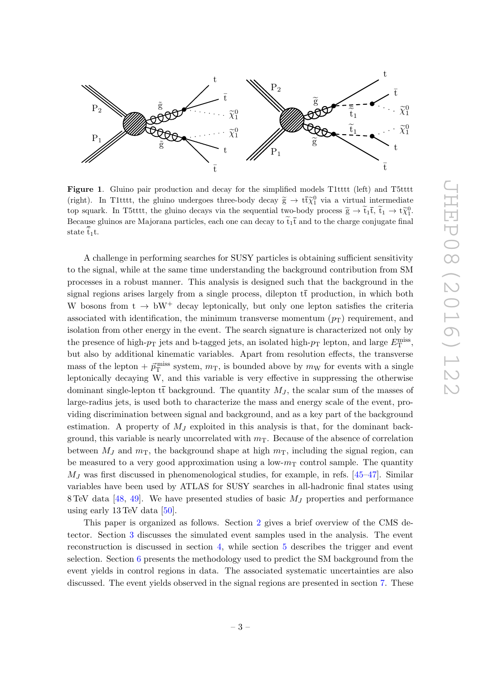

<span id="page-3-0"></span>Figure 1. Gluino pair production and decay for the simplified models T1tttt (left) and T5tttt (right). In T1tttt, the gluino undergoes three-body decay  $\tilde{g} \to t\bar{t}\tilde{\chi}^0_1$  via a virtual intermediate top squark. In T5tttt, the gluino decays via the sequential two-body process  $\tilde{g} \to \tilde{t}_1 \tilde{t}$ ,  $\tilde{t}_1 \to t \tilde{\chi}_1^0$ . Because gluinos are Majorana particles, each one can decay to  $\tilde{t}_1 \tilde{t}$  and to the charge conjugate final state  $t_1t$ .

A challenge in performing searches for SUSY particles is obtaining sufficient sensitivity to the signal, while at the same time understanding the background contribution from SM processes in a robust manner. This analysis is designed such that the background in the signal regions arises largely from a single process, dilepton  $t\bar{t}$  production, in which both W bosons from  $t \to bW^+$  decay leptonically, but only one lepton satisfies the criteria associated with identification, the minimum transverse momentum  $(p_T)$  requirement, and isolation from other energy in the event. The search signature is characterized not only by the presence of high- $p_T$  jets and b-tagged jets, an isolated high- $p_T$  lepton, and large  $E_T^{\text{miss}}$ , but also by additional kinematic variables. Apart from resolution effects, the transverse mass of the lepton +  $\vec{p}_{\rm T}^{\rm miss}$  system,  $m_{\rm T}$ , is bounded above by  $m_{\rm W}$  for events with a single leptonically decaying W, and this variable is very effective in suppressing the otherwise dominant single-lepton  $t\bar{t}$  background. The quantity  $M_J$ , the scalar sum of the masses of large-radius jets, is used both to characterize the mass and energy scale of the event, providing discrimination between signal and background, and as a key part of the background estimation. A property of  $M_J$  exploited in this analysis is that, for the dominant background, this variable is nearly uncorrelated with  $m<sub>T</sub>$ . Because of the absence of correlation between  $M_J$  and  $m<sub>T</sub>$ , the background shape at high  $m<sub>T</sub>$ , including the signal region, can be measured to a very good approximation using a low- $m<sub>T</sub>$  control sample. The quantity  $M_J$  was first discussed in phenomenological studies, for example, in refs. [\[45](#page-27-7)[–47\]](#page-27-8). Similar variables have been used by ATLAS for SUSY searches in all-hadronic final states using 8 TeV data  $[48, 49]$  $[48, 49]$  $[48, 49]$ . We have presented studies of basic  $M_J$  properties and performance using early 13 TeV data [\[50\]](#page-27-11).

This paper is organized as follows. Section [2](#page-4-0) gives a brief overview of the CMS detector. Section [3](#page-4-1) discusses the simulated event samples used in the analysis. The event reconstruction is discussed in section [4,](#page-5-0) while section [5](#page-8-0) describes the trigger and event selection. Section [6](#page-9-0) presents the methodology used to predict the SM background from the event yields in control regions in data. The associated systematic uncertainties are also discussed. The event yields observed in the signal regions are presented in section [7.](#page-17-0) These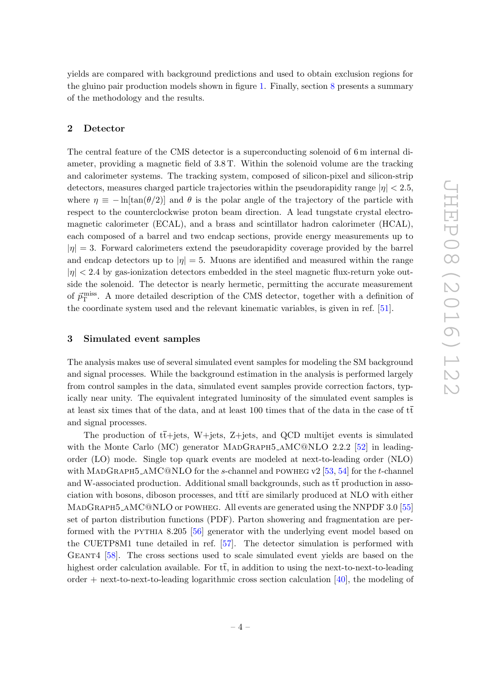yields are compared with background predictions and used to obtain exclusion regions for the gluino pair production models shown in figure [1.](#page-3-0) Finally, section [8](#page-21-0) presents a summary of the methodology and the results.

### <span id="page-4-0"></span>2 Detector

The central feature of the CMS detector is a superconducting solenoid of 6 m internal diameter, providing a magnetic field of 3.8 T. Within the solenoid volume are the tracking and calorimeter systems. The tracking system, composed of silicon-pixel and silicon-strip detectors, measures charged particle trajectories within the pseudorapidity range  $|\eta| < 2.5$ , where  $\eta \equiv -\ln[\tan(\theta/2)]$  and  $\theta$  is the polar angle of the trajectory of the particle with respect to the counterclockwise proton beam direction. A lead tungstate crystal electromagnetic calorimeter (ECAL), and a brass and scintillator hadron calorimeter (HCAL), each composed of a barrel and two endcap sections, provide energy measurements up to  $|\eta| = 3$ . Forward calorimeters extend the pseudorapidity coverage provided by the barrel and endcap detectors up to  $|\eta| = 5$ . Muons are identified and measured within the range  $|\eta|$   $\leq$  2.4 by gas-ionization detectors embedded in the steel magnetic flux-return yoke outside the solenoid. The detector is nearly hermetic, permitting the accurate measurement of  $\vec{p}_{\rm T}^{\rm miss}$ . A more detailed description of the CMS detector, together with a definition of the coordinate system used and the relevant kinematic variables, is given in ref. [\[51\]](#page-27-12).

### <span id="page-4-1"></span>3 Simulated event samples

The analysis makes use of several simulated event samples for modeling the SM background and signal processes. While the background estimation in the analysis is performed largely from control samples in the data, simulated event samples provide correction factors, typically near unity. The equivalent integrated luminosity of the simulated event samples is at least six times that of the data, and at least 100 times that of the data in the case of  $t\bar{t}$ and signal processes.

The production of  $t\bar{t}$ +jets, W+jets, Z+jets, and QCD multijet events is simulated with the Monte Carlo (MC) generator MADGRAPH5\_AMC@NLO 2.2.2 [\[52\]](#page-27-13) in leadingorder (LO) mode. Single top quark events are modeled at next-to-leading order (NLO) with MADGRAPH5\_AMC@NLO for the s-channel and POWHEG v2  $[53, 54]$  $[53, 54]$  $[53, 54]$  for the t-channel and W-associated production. Additional small backgrounds, such as  $t\bar{t}$  production in association with bosons, diboson processes, and  $\text{t} \text{t} \text{t} \text{t}$  are similarly produced at NLO with either MadGraph5 aMC@NLO or powheg. All events are generated using the NNPDF 3.0 [\[55\]](#page-28-1) set of parton distribution functions (PDF). Parton showering and fragmentation are performed with the PYTHIA 8.205  $[56]$  generator with the underlying event model based on the CUETP8M1 tune detailed in ref. [\[57\]](#page-28-3). The detector simulation is performed with Geant4 [\[58\]](#page-28-4). The cross sections used to scale simulated event yields are based on the highest order calculation available. For  $t\bar{t}$ , in addition to using the next-to-next-to-leading order  $+$  next-to-next-to-leading logarithmic cross section calculation [\[40\]](#page-27-3), the modeling of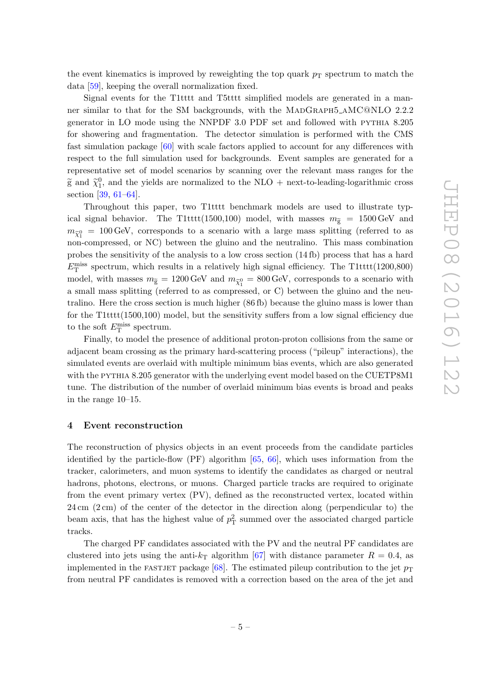the event kinematics is improved by reweighting the top quark  $p<sub>T</sub>$  spectrum to match the data [\[59\]](#page-28-5), keeping the overall normalization fixed.

Signal events for the T1tttt and T5tttt simplified models are generated in a manner similar to that for the SM backgrounds, with the MADGRAPH5\_AMC@NLO 2.2.2 generator in LO mode using the NNPDF 3.0 PDF set and followed with pythia 8.205 for showering and fragmentation. The detector simulation is performed with the CMS fast simulation package [\[60\]](#page-28-6) with scale factors applied to account for any differences with respect to the full simulation used for backgrounds. Event samples are generated for a representative set of model scenarios by scanning over the relevant mass ranges for the  $\tilde{g}$  and  $\tilde{\chi}_1^0$ , and the yields are normalized to the NLO + next-to-leading-logarithmic cross section [\[39,](#page-27-2) [61](#page-28-7)[–64\]](#page-28-8).

Throughout this paper, two T1tttt benchmark models are used to illustrate typical signal behavior. The T1tttt(1500,100) model, with masses  $m_{\tilde{g}} = 1500 \,\text{GeV}$  and  $m_{\tilde{\chi}_1^0} = 100 \,\text{GeV}$ , corresponds to a scenario with a large mass splitting (referred to as non-compressed, or NC) between the gluino and the neutralino. This mass combination probes the sensitivity of the analysis to a low cross section (14 fb) process that has a hard  $E_{\rm T}^{\rm miss}$  spectrum, which results in a relatively high signal efficiency. The T1tttt(1200,800) model, with masses  $m_{\tilde{g}} = 1200 \,\text{GeV}$  and  $m_{\tilde{\chi}_{1}^{0}} = 800 \,\text{GeV}$ , corresponds to a scenario with a small mass splitting (referred to as compressed, or C) between the gluino and the neutralino. Here the cross section is much higher (86 fb) because the gluino mass is lower than for the T1tttt(1500,100) model, but the sensitivity suffers from a low signal efficiency due to the soft  $E_{\rm T}^{\rm miss}$  spectrum.

Finally, to model the presence of additional proton-proton collisions from the same or adjacent beam crossing as the primary hard-scattering process ("pileup" interactions), the simulated events are overlaid with multiple minimum bias events, which are also generated with the PYTHIA 8.205 generator with the underlying event model based on the CUETP8M1 tune. The distribution of the number of overlaid minimum bias events is broad and peaks in the range 10–15.

#### <span id="page-5-0"></span>4 Event reconstruction

The reconstruction of physics objects in an event proceeds from the candidate particles identified by the particle-flow  $(PF)$  algorithm  $[65, 66]$  $[65, 66]$  $[65, 66]$ , which uses information from the tracker, calorimeters, and muon systems to identify the candidates as charged or neutral hadrons, photons, electrons, or muons. Charged particle tracks are required to originate from the event primary vertex (PV), defined as the reconstructed vertex, located within 24 cm (2 cm) of the center of the detector in the direction along (perpendicular to) the beam axis, that has the highest value of  $p_T^2$  summed over the associated charged particle tracks.

The charged PF candidates associated with the PV and the neutral PF candidates are clustered into jets using the anti- $k<sub>T</sub>$  algorithm [\[67\]](#page-28-11) with distance parameter  $R = 0.4$ , as implemented in the FASTJET package  $[68]$ . The estimated pileup contribution to the jet  $p_T$ from neutral PF candidates is removed with a correction based on the area of the jet and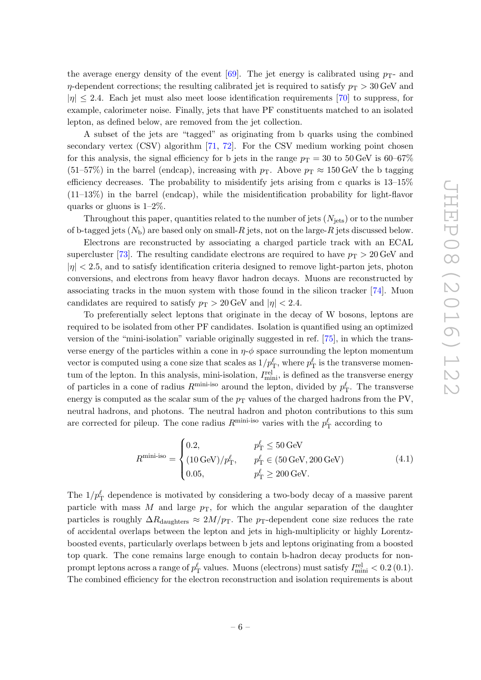the average energy density of the event [\[69\]](#page-28-13). The jet energy is calibrated using  $p_T$ - and  $\eta$ -dependent corrections; the resulting calibrated jet is required to satisfy  $p_T > 30$  GeV and  $|\eta| \leq 2.4$ . Each jet must also meet loose identification requirements [\[70\]](#page-28-14) to suppress, for example, calorimeter noise. Finally, jets that have PF constituents matched to an isolated lepton, as defined below, are removed from the jet collection.

A subset of the jets are "tagged" as originating from b quarks using the combined secondary vertex (CSV) algorithm [\[71,](#page-28-15) [72\]](#page-28-16). For the CSV medium working point chosen for this analysis, the signal efficiency for b jets in the range  $p_T = 30$  to 50 GeV is 60–67% (51–57%) in the barrel (endcap), increasing with  $p_T$ . Above  $p_T \approx 150 \,\text{GeV}$  the b tagging efficiency decreases. The probability to misidentify jets arising from c quarks is 13–15% (11–13%) in the barrel (endcap), while the misidentification probability for light-flavor quarks or gluons is  $1-2\%$ .

Throughout this paper, quantities related to the number of jets  $(N_{\text{iets}})$  or to the number of b-tagged jets  $(N_b)$  are based only on small-R jets, not on the large-R jets discussed below.

Electrons are reconstructed by associating a charged particle track with an ECAL supercluster [\[73\]](#page-29-0). The resulting candidate electrons are required to have  $p_T > 20$  GeV and  $|\eta|$   $\langle$  2.5, and to satisfy identification criteria designed to remove light-parton jets, photon conversions, and electrons from heavy flavor hadron decays. Muons are reconstructed by associating tracks in the muon system with those found in the silicon tracker [\[74\]](#page-29-1). Muon candidates are required to satisfy  $p_T > 20$  GeV and  $|\eta| < 2.4$ .

To preferentially select leptons that originate in the decay of W bosons, leptons are required to be isolated from other PF candidates. Isolation is quantified using an optimized version of the "mini-isolation" variable originally suggested in ref. [\[75\]](#page-29-2), in which the transverse energy of the particles within a cone in  $\eta$ - $\phi$  space surrounding the lepton momentum vector is computed using a cone size that scales as  $1/p_T^{\ell}$ , where  $p_T^{\ell}$  is the transverse momentum of the lepton. In this analysis, mini-isolation,  $I_{\text{mini}}^{\text{rel}}$ , is defined as the transverse energy of particles in a cone of radius  $R^{\text{min-iso}}$  around the lepton, divided by  $p_T^{\ell}$ . The transverse energy is computed as the scalar sum of the  $p_T$  values of the charged hadrons from the PV, neutral hadrons, and photons. The neutral hadron and photon contributions to this sum are corrected for pileup. The cone radius  $R^{\text{mini-iso}}$  varies with the  $p_T^{\ell}$  according to

$$
R^{\text{mini-iso}} = \begin{cases} 0.2, & p_{\text{T}}^{\ell} \leq 50 \,\text{GeV} \\ (10 \,\text{GeV})/p_{\text{T}}^{\ell}, & p_{\text{T}}^{\ell} \in (50 \,\text{GeV}, 200 \,\text{GeV}) \\ 0.05, & p_{\text{T}}^{\ell} \geq 200 \,\text{GeV}. \end{cases} (4.1)
$$

The  $1/p_T^{\ell}$  dependence is motivated by considering a two-body decay of a massive parent particle with mass M and large  $p<sub>T</sub>$ , for which the angular separation of the daughter particles is roughly  $\Delta R_{\text{daughters}} \approx 2M/p_{\text{T}}$ . The p<sub>T</sub>-dependent cone size reduces the rate of accidental overlaps between the lepton and jets in high-multiplicity or highly Lorentzboosted events, particularly overlaps between b jets and leptons originating from a boosted top quark. The cone remains large enough to contain b-hadron decay products for nonprompt leptons across a range of  $p_T^{\ell}$  values. Muons (electrons) must satisfy  $I_{\text{mini}}^{\text{rel}} < 0.2$  (0.1). The combined efficiency for the electron reconstruction and isolation requirements is about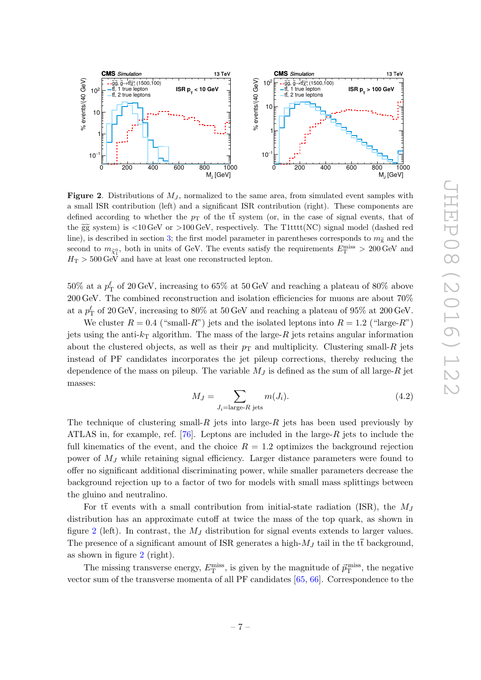

<span id="page-7-0"></span>**Figure 2.** Distributions of  $M<sub>J</sub>$ , normalized to the same area, from simulated event samples with a small ISR contribution (left) and a significant ISR contribution (right). These components are defined according to whether the  $p<sub>T</sub>$  of the  $t\bar{t}$  system (or, in the case of signal events, that of the  $\widetilde{gg}$  system) is  $\langle 10 \text{ GeV} \text{ or } 100 \text{ GeV} \rangle$ , respectively. The T1tttt(NC) signal model (dashed red line), is described in section [3;](#page-4-1) the first model parameter in parentheses corresponds to  $m_{\tilde{g}}$  and the second to  $m_{\tilde{\chi}_1^0}$ , both in units of GeV. The events satisfy the requirements  $E_T^{\text{miss}} > 200 \,\text{GeV}$  and  $H_{\rm T} > 500\,\text{GeV}$  and have at least one reconstructed lepton.

 $50\%$  at a  $p_T^{\ell}$  of 20 GeV, increasing to 65% at 50 GeV and reaching a plateau of 80% above 200 GeV. The combined reconstruction and isolation efficiencies for muons are about 70% at a  $p_T^{\ell}$  of 20 GeV, increasing to 80% at 50 GeV and reaching a plateau of 95% at 200 GeV.

We cluster  $R = 0.4$  ("small-R") jets and the isolated leptons into  $R = 1.2$  ("large-R") jets using the anti- $k_T$  algorithm. The mass of the large-R jets retains angular information about the clustered objects, as well as their  $p<sub>T</sub>$  and multiplicity. Clustering small-R jets instead of PF candidates incorporates the jet pileup corrections, thereby reducing the dependence of the mass on pileup. The variable  $M_J$  is defined as the sum of all large-R jet masses:

$$
M_J = \sum_{J_i = \text{large-}R \text{ jets}} m(J_i). \tag{4.2}
$$

The technique of clustering small-R jets into large-R jets has been used previously by ATLAS in, for example, ref. [\[76\]](#page-29-3). Leptons are included in the large-R jets to include the full kinematics of the event, and the choice  $R = 1.2$  optimizes the background rejection power of  $M_J$  while retaining signal efficiency. Larger distance parameters were found to offer no significant additional discriminating power, while smaller parameters decrease the background rejection up to a factor of two for models with small mass splittings between the gluino and neutralino.

For  $t\bar{t}$  events with a small contribution from initial-state radiation (ISR), the  $M<sub>J</sub>$ distribution has an approximate cutoff at twice the mass of the top quark, as shown in figure [2](#page-7-0) (left). In contrast, the  $M_J$  distribution for signal events extends to larger values. The presence of a significant amount of ISR generates a high- $M_J$  tail in the  $t\bar{t}$  background, as shown in figure [2](#page-7-0) (right).

The missing transverse energy,  $E_{\rm T}^{\rm miss}$ , is given by the magnitude of  $\vec{p}_{\rm T}^{\rm miss}$ , the negative vector sum of the transverse momenta of all PF candidates [\[65,](#page-28-9) [66\]](#page-28-10). Correspondence to the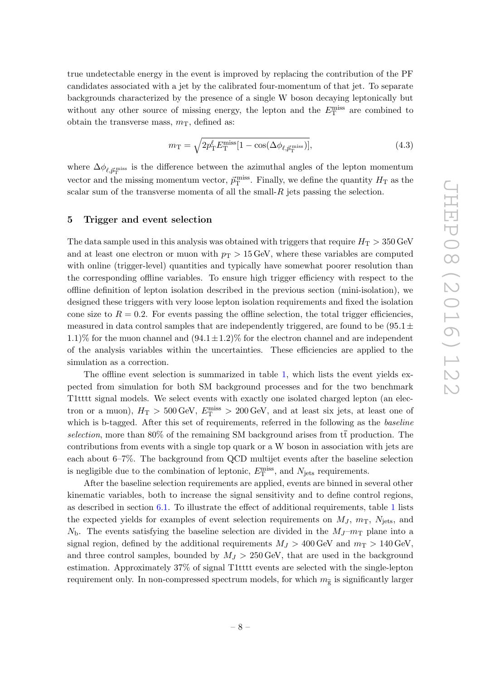true undetectable energy in the event is improved by replacing the contribution of the PF candidates associated with a jet by the calibrated four-momentum of that jet. To separate backgrounds characterized by the presence of a single W boson decaying leptonically but without any other source of missing energy, the lepton and the  $E_{\rm T}^{\rm miss}$  are combined to obtain the transverse mass,  $m<sub>T</sub>$ , defined as:

$$
m_{\rm T} = \sqrt{2p_{\rm T}^{\ell} E_{\rm T}^{\rm miss} [1 - \cos(\Delta\phi_{\ell, \vec{p}_{\rm T}^{\rm miss}})],\tag{4.3}
$$

where  $\Delta\phi_{\ell,\vec{p}_{\text{T}}^{\text{miss}}}$  is the difference between the azimuthal angles of the lepton momentum vector and the missing momentum vector,  $\vec{p}_{\text{T}}^{\text{miss}}$ . Finally, we define the quantity  $H_{\text{T}}$  as the scalar sum of the transverse momenta of all the small- $R$  jets passing the selection.

### <span id="page-8-0"></span>5 Trigger and event selection

The data sample used in this analysis was obtained with triggers that require  $H_T > 350$  GeV and at least one electron or muon with  $p_T > 15$  GeV, where these variables are computed with online (trigger-level) quantities and typically have somewhat poorer resolution than the corresponding offline variables. To ensure high trigger efficiency with respect to the offline definition of lepton isolation described in the previous section (mini-isolation), we designed these triggers with very loose lepton isolation requirements and fixed the isolation cone size to  $R = 0.2$ . For events passing the offline selection, the total trigger efficiencies, measured in data control samples that are independently triggered, are found to be  $(95.1 \pm$ 1.1)% for the muon channel and  $(94.1 \pm 1.2)$ % for the electron channel and are independent of the analysis variables within the uncertainties. These efficiencies are applied to the simulation as a correction.

The offline event selection is summarized in table [1,](#page-9-2) which lists the event yields expected from simulation for both SM background processes and for the two benchmark T1tttt signal models. We select events with exactly one isolated charged lepton (an electron or a muon),  $H_T > 500 \,\text{GeV}$ ,  $E_T^{\text{miss}} > 200 \,\text{GeV}$ , and at least six jets, at least one of which is b-tagged. After this set of requirements, referred in the following as the *baseline* selection, more than 80% of the remaining SM background arises from  $t\bar{t}$  production. The contributions from events with a single top quark or a W boson in association with jets are each about 6–7%. The background from QCD multijet events after the baseline selection is negligible due to the combination of leptonic,  $E_{\textrm{T}}^{\textrm{miss}}$ , and  $N_{\textrm{jets}}$  requirements.

After the baseline selection requirements are applied, events are binned in several other kinematic variables, both to increase the signal sensitivity and to define control regions, as described in section [6.1.](#page-9-1) To illustrate the effect of additional requirements, table [1](#page-9-2) lists the expected yields for examples of event selection requirements on  $M_J$ ,  $m_T$ ,  $N_{\text{jets}}$ , and  $N<sub>b</sub>$ . The events satisfying the baseline selection are divided in the  $M<sub>J</sub>$ - $m<sub>T</sub>$  plane into a signal region, defined by the additional requirements  $M_J > 400 \,\text{GeV}$  and  $m_T > 140 \,\text{GeV}$ , and three control samples, bounded by  $M<sub>J</sub> > 250$  GeV, that are used in the background estimation. Approximately 37% of signal T1tttt events are selected with the single-lepton requirement only. In non-compressed spectrum models, for which  $m_{\tilde{g}}$  is significantly larger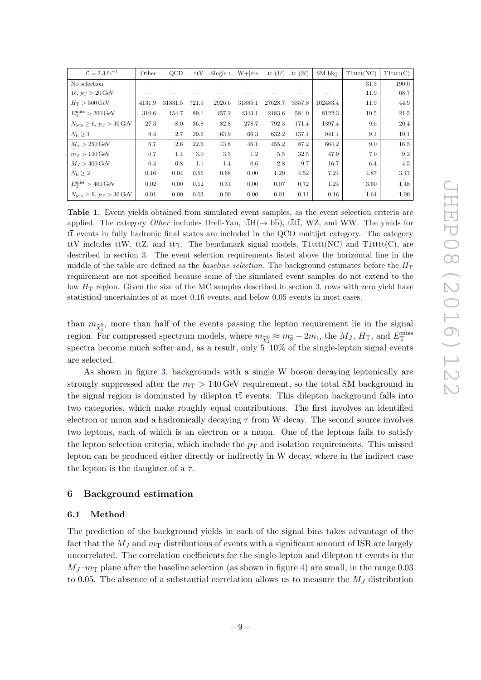| $\mathcal{L} = 2.3 \,\mathrm{fb}^{-1}$                     | Other  | QCD     | $t\overline{t}V$ | Single t | $W + iets$ | $t\bar{t}$ (1 $\ell$ ) | $t\bar{t}$ (2 $\ell$ ) | SM bkg.  | T1tttt(NC) | T1tttt(C) |
|------------------------------------------------------------|--------|---------|------------------|----------|------------|------------------------|------------------------|----------|------------|-----------|
| No selection                                               |        |         |                  |          |            |                        |                        |          | 31.3       | 190.0     |
| $1\ell, p_T > 20 \,\text{GeV}$                             |        |         |                  |          |            |                        |                        |          | 11.9       | 68.7      |
| $H_{\rm T} > 500 \,\text{GeV}$                             | 4131.9 | 31831.5 | 721.9            | 2926.6   | 31885.1    | 27628.7                | 3357.8                 | 102483.4 | 11.9       | 44.9      |
| $E_{\rm T}^{\rm miss} > 200 \,\text{GeV}$                  | 310.6  | 154.7   | 89.1             | 457.2    | 4343.1     | 2183.6                 | 584.0                  | 8122.3   | 10.5       | 21.5      |
| $N_{\text{iets}} \geq 6$ , $p_{\text{T}} > 30 \text{ GeV}$ | 27.3   | 8.0     | 36.8             | 82.8     | 278.7      | 792.3                  | 171.4                  | 1397.4   | 9.6        | 20.4      |
| $N_{\rm b} \geq 1$                                         | 9.4    | 2.7     | 29.6             | 63.9     | 66.3       | 632.2                  | 137.4                  | 941.4    | 9.1        | 19.1      |
| $M_J > 250$ GeV                                            | 6.7    | 2.6     | 22.6             | 43.8     | 46.1       | 455.2                  | 87.2                   | 664.2    | 9.0        | 16.5      |
| $m_T > 140 \,\text{GeV}$                                   | 0.7    | 1.4     | 3.0              | 3.5      | 1.2        | 5.5                    | 32.5                   | 47.9     | 7.0        | 9.2       |
| $M_{J} > 400 \,\text{GeV}$                                 | 0.4    | 0.8     | 1.1              | 1.4      | 0.6        | 2.8                    | 9.7                    | 16.7     | 6.4        | 4.5       |
| $N_{\rm b} \geq 2$                                         | 0.16   | 0.04    | 0.55             | 0.68     | 0.00       | 1.29                   | 4.52                   | 7.24     | 4.87       | 3.47      |
| $E_{\rm T}^{\rm miss} > 400 \,\text{GeV}$                  | 0.02   | 0.00    | 0.12             | 0.31     | 0.00       | 0.07                   | 0.72                   | 1.24     | 3.60       | 1.48      |
| $N_{\text{iets}} \geq 9$ , $p_T > 30 \,\text{GeV}$         | 0.01   | 0.00    | 0.03             | 0.00     | 0.00       | 0.01                   | 0.11                   | 0.16     | 1.64       | 1.00      |

<span id="page-9-2"></span>Table 1. Event yields obtained from simulated event samples, as the event selection criteria are applied. The category *Other* includes Drell-Yan,  $t\bar{t}H(\rightarrow b\bar{b})$ ,  $t\bar{t}t\bar{t}$ , WZ, and WW. The yields for  $t\bar{t}$  events in fully hadronic final states are included in the QCD multijet category. The category ttv includes ttw, ttz, and tt<sub> $\gamma$ </sub>. The benchmark signal models, T1tttt(NC) and T1tttt(C), are described in section [3.](#page-4-1) The event selection requirements listed above the horizontal line in the middle of the table are defined as the *baseline selection*. The background estimates before the  $H<sub>T</sub>$ requirement are not specified because some of the simulated event samples do not extend to the low  $H<sub>T</sub>$  region. Given the size of the MC samples described in section [3,](#page-4-1) rows with zero yield have statistical uncertainties of at most 0.16 events, and below 0.05 events in most cases.

than  $m_{\tilde{\chi}_1^0}$ , more than half of the events passing the lepton requirement lie in the signal region. For compressed spectrum models, where  $m_{\tilde{\chi}_{1}^{0}} \approx m_{\tilde{g}} - 2m_t$ , the  $M_J$ ,  $H_T$ , and  $E_T^{\text{miss}}$ spectra become much softer and, as a result, only 5–10% of the single-lepton signal events are selected.

As shown in figure [3,](#page-10-0) backgrounds with a single W boson decaying leptonically are strongly suppressed after the  $m<sub>T</sub> > 140$  GeV requirement, so the total SM background in the signal region is dominated by dilepton  $t\bar{t}$  events. This dilepton background falls into two categories, which make roughly equal contributions. The first involves an identified electron or muon and a hadronically decaying  $\tau$  from W decay. The second source involves two leptons, each of which is an electron or a muon. One of the leptons fails to satisfy the lepton selection criteria, which include the  $p<sub>T</sub>$  and isolation requirements. This missed lepton can be produced either directly or indirectly in W decay, where in the indirect case the lepton is the daughter of a  $\tau$ .

### <span id="page-9-0"></span>6 Background estimation

#### <span id="page-9-1"></span>6.1 Method

The prediction of the background yields in each of the signal bins takes advantage of the fact that the  $M_J$  and  $m<sub>T</sub>$  distributions of events with a significant amount of ISR are largely uncorrelated. The correlation coefficients for the single-lepton and dilepton  $t\bar{t}$  events in the  $M_J$ – $m_T$  plane after the baseline selection (as shown in figure [4\)](#page-10-1) are small, in the range 0.03 to 0.05. The absence of a substantial correlation allows us to measure the  $M_J$  distribution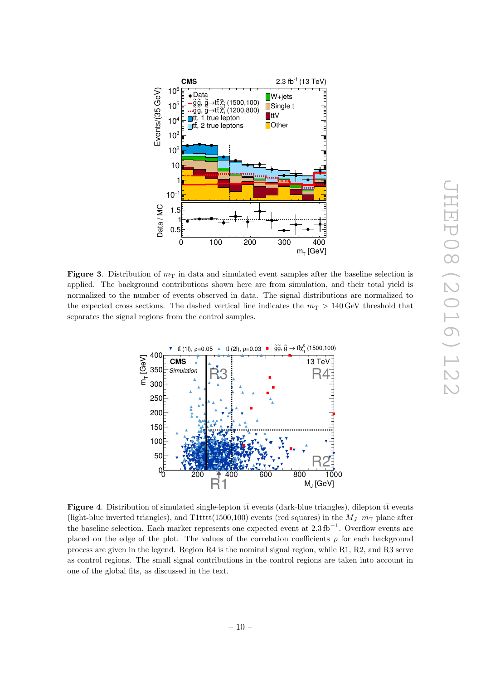

<span id="page-10-0"></span>**Figure 3.** Distribution of  $m<sub>T</sub>$  in data and simulated event samples after the baseline selection is applied. The background contributions shown here are from simulation, and their total yield is normalized to the number of events observed in data. The signal distributions are normalized to the expected cross sections. The dashed vertical line indicates the  $m<sub>T</sub> > 140$  GeV threshold that separates the signal regions from the control samples.



<span id="page-10-1"></span>**Figure 4.** Distribution of simulated single-lepton  $t\bar{t}$  events (dark-blue triangles), dilepton  $t\bar{t}$  events (light-blue inverted triangles), and T1tttt(1500,100) events (red squares) in the  $M_J$ – $m_T$  plane after the baseline selection. Each marker represents one expected event at  $2.3 \text{ fb}^{-1}$ . Overflow events are placed on the edge of the plot. The values of the correlation coefficients  $\rho$  for each background process are given in the legend. Region R4 is the nominal signal region, while R1, R2, and R3 serve as control regions. The small signal contributions in the control regions are taken into account in one of the global fits, as discussed in the text.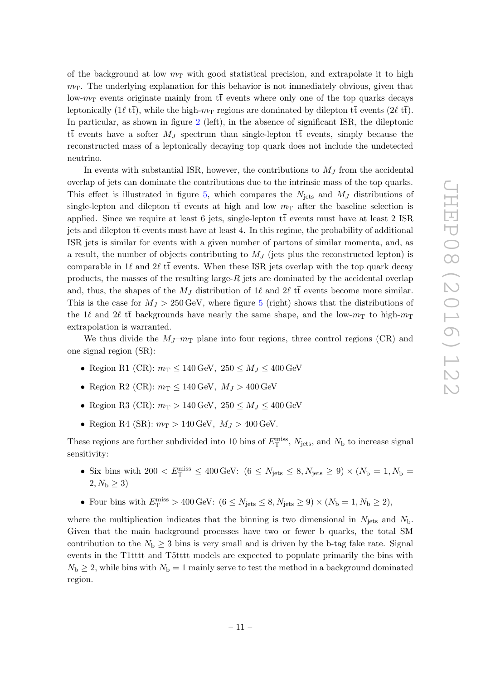of the background at low  $m<sub>T</sub>$  with good statistical precision, and extrapolate it to high  $m<sub>T</sub>$ . The underlying explanation for this behavior is not immediately obvious, given that low- $m<sub>T</sub>$  events originate mainly from  $t\bar{t}$  events where only one of the top quarks decays leptonically (1 $\ell$  tt), while the high- $m<sub>T</sub>$  regions are dominated by dilepton tt events (2 $\ell$  tt). In particular, as shown in figure [2](#page-7-0) (left), in the absence of significant ISR, the dileptonic  $t\bar{t}$  events have a softer  $M_J$  spectrum than single-lepton  $t\bar{t}$  events, simply because the reconstructed mass of a leptonically decaying top quark does not include the undetected neutrino.

In events with substantial ISR, however, the contributions to  $M_J$  from the accidental overlap of jets can dominate the contributions due to the intrinsic mass of the top quarks. This effect is illustrated in figure [5,](#page-12-0) which compares the  $N_{\text{jets}}$  and  $M_J$  distributions of single-lepton and dilepton  $t\bar{t}$  events at high and low  $m<sub>T</sub>$  after the baseline selection is applied. Since we require at least 6 jets, single-lepton  $t\bar{t}$  events must have at least 2 ISR jets and dilepton  $t\bar{t}$  events must have at least 4. In this regime, the probability of additional ISR jets is similar for events with a given number of partons of similar momenta, and, as a result, the number of objects contributing to  $M<sub>J</sub>$  (jets plus the reconstructed lepton) is comparable in  $1\ell$  and  $2\ell$  tt events. When these ISR jets overlap with the top quark decay products, the masses of the resulting large- $R$  jets are dominated by the accidental overlap and, thus, the shapes of the  $M_J$  distribution of  $1\ell$  and  $2\ell$  tt events become more similar. This is the case for  $M_J > 250 \,\text{GeV}$  $M_J > 250 \,\text{GeV}$  $M_J > 250 \,\text{GeV}$ , where figure 5 (right) shows that the distributions of the 1 $\ell$  and 2 $\ell$  tt backgrounds have nearly the same shape, and the low- $m_T$  to high- $m_T$ extrapolation is warranted.

We thus divide the  $M_J$ - $m_T$  plane into four regions, three control regions (CR) and one signal region (SR):

- Region R1 (CR):  $m_T \le 140 \,\text{GeV}$ ,  $250 \le M_J \le 400 \,\text{GeV}$
- Region R2 (CR):  $m_T \leq 140 \,\text{GeV}, M_J > 400 \,\text{GeV}$
- Region R3 (CR):  $m_T > 140 \,\text{GeV}, 250 \le M_J \le 400 \,\text{GeV}$
- Region R4 (SR):  $m_T > 140 \,\text{GeV}, M_J > 400 \,\text{GeV}.$

These regions are further subdivided into 10 bins of  $E_{\rm T}^{\rm miss}$ ,  $N_{\rm jets}$ , and  $N_{\rm b}$  to increase signal sensitivity:

- Six bins with  $200 < E_{\rm T}^{\rm miss} \le 400 \,\text{GeV}$ :  $(6 \le N_{\rm jets} \le 8, N_{\rm jets} \ge 9) \times (N_{\rm b} = 1, N_{\rm b} =$  $2, N_{\rm b} > 3$
- Four bins with  $E_{\rm T}^{\rm miss} > 400$  GeV:  $(6 \le N_{\rm jets} \le 8, N_{\rm jets} \ge 9) \times (N_{\rm b} = 1, N_{\rm b} \ge 2)$ ,

where the multiplication indicates that the binning is two dimensional in  $N_{\text{jets}}$  and  $N_{\text{b}}$ . Given that the main background processes have two or fewer b quarks, the total SM contribution to the  $N_b \geq 3$  bins is very small and is driven by the b-tag fake rate. Signal events in the T1tttt and T5tttt models are expected to populate primarily the bins with  $N_{\rm b} \geq 2$ , while bins with  $N_{\rm b} = 1$  mainly serve to test the method in a background dominated region.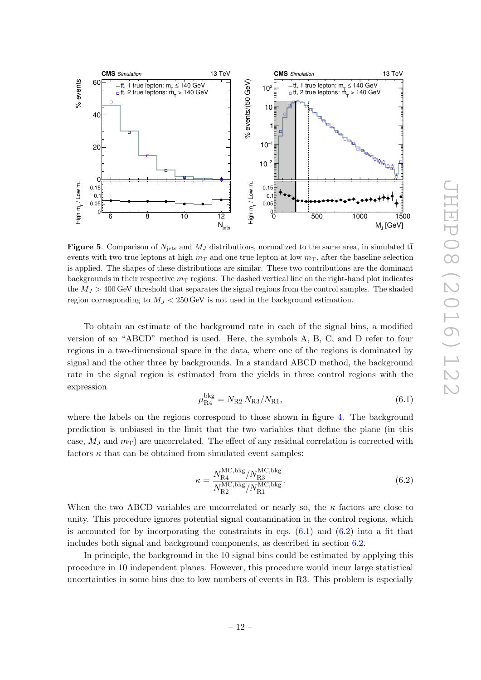

<span id="page-12-0"></span>**Figure 5.** Comparison of  $N_{\text{jets}}$  and  $M_J$  distributions, normalized to the same area, in simulated  $t\bar{t}$ events with two true leptons at high  $m<sub>T</sub>$  and one true lepton at low  $m<sub>T</sub>$ , after the baseline selection is applied. The shapes of these distributions are similar. These two contributions are the dominant backgrounds in their respective  $m<sub>T</sub>$  regions. The dashed vertical line on the right-hand plot indicates the  $M_J > 400$  GeV threshold that separates the signal regions from the control samples. The shaded region corresponding to  $M_J < 250$  GeV is not used in the background estimation.

To obtain an estimate of the background rate in each of the signal bins, a modified version of an "ABCD" method is used. Here, the symbols A, B, C, and D refer to four regions in a two-dimensional space in the data, where one of the regions is dominated by signal and the other three by backgrounds. In a standard ABCD method, the background rate in the signal region is estimated from the yields in three control regions with the expression

<span id="page-12-1"></span>
$$
\mu_{\text{R}4}^{\text{bkg}} = N_{\text{R}2} N_{\text{R}3} / N_{\text{R}1},\tag{6.1}
$$

where the labels on the regions correspond to those shown in figure [4.](#page-10-1) The background prediction is unbiased in the limit that the two variables that define the plane (in this case,  $M_I$  and  $m_T$ ) are uncorrelated. The effect of any residual correlation is corrected with factors  $\kappa$  that can be obtained from simulated event samples:

<span id="page-12-2"></span>
$$
\kappa = \frac{N_{\text{R}4}^{\text{MC},\text{bkg}}/N_{\text{R}3}^{\text{MC},\text{bkg}}}{N_{\text{R}2}^{\text{MC},\text{bkg}}/N_{\text{R}1}^{\text{MC},\text{bkg}}}.
$$
\n(6.2)

When the two ABCD variables are uncorrelated or nearly so, the  $\kappa$  factors are close to unity. This procedure ignores potential signal contamination in the control regions, which is accounted for by incorporating the constraints in eqs.  $(6.1)$  and  $(6.2)$  into a fit that includes both signal and background components, as described in section [6.2.](#page-13-0)

In principle, the background in the 10 signal bins could be estimated by applying this procedure in 10 independent planes. However, this procedure would incur large statistical uncertainties in some bins due to low numbers of events in R3. This problem is especially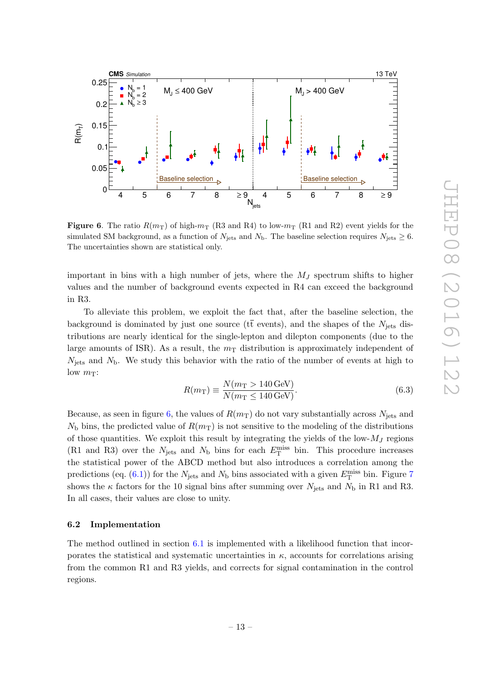

<span id="page-13-1"></span>**Figure 6.** The ratio  $R(m_T)$  of high- $m_T$  (R3 and R4) to low- $m_T$  (R1 and R2) event yields for the simulated SM background, as a function of  $N_{\text{jets}}$  and  $N_{\text{b}}$ . The baseline selection requires  $N_{\text{jets}} \geq 6$ . The uncertainties shown are statistical only.

important in bins with a high number of jets, where the  $M_J$  spectrum shifts to higher values and the number of background events expected in R4 can exceed the background in R3.

To alleviate this problem, we exploit the fact that, after the baseline selection, the background is dominated by just one source ( $t\bar{t}$  events), and the shapes of the  $N_{\text{jets}}$  distributions are nearly identical for the single-lepton and dilepton components (due to the large amounts of ISR). As a result, the  $m<sub>T</sub>$  distribution is approximately independent of  $N_{\text{jets}}$  and  $N_{\text{b}}$ . We study this behavior with the ratio of the number of events at high to low  $m_T$ :

$$
R(m_{\rm T}) \equiv \frac{N(m_{\rm T} > 140 \,\text{GeV})}{N(m_{\rm T} \le 140 \,\text{GeV})}.
$$
\n(6.3)

Because, as seen in figure [6,](#page-13-1) the values of  $R(m_T)$  do not vary substantially across  $N_{\text{jets}}$  and  $N<sub>b</sub>$  bins, the predicted value of  $R(m_T)$  is not sensitive to the modeling of the distributions of those quantities. We exploit this result by integrating the yields of the low- $M_J$  regions (R1 and R3) over the  $N_{\text{jets}}$  and  $N_{\text{b}}$  bins for each  $E_{\text{T}}^{\text{miss}}$  bin. This procedure increases the statistical power of the ABCD method but also introduces a correlation among the predictions (eq.  $(6.1)$ ) for the  $N_{\text{jets}}$  and  $N_{\text{b}}$  bins associated with a given  $E_{\text{T}}^{\text{miss}}$  bin. Figure [7](#page-14-0) shows the  $\kappa$  factors for the 10 signal bins after summing over  $N_{\text{jets}}$  and  $N_{\text{b}}$  in R1 and R3. In all cases, their values are close to unity.

### <span id="page-13-0"></span>6.2 Implementation

The method outlined in section [6.1](#page-9-1) is implemented with a likelihood function that incorporates the statistical and systematic uncertainties in  $\kappa$ , accounts for correlations arising from the common R1 and R3 yields, and corrects for signal contamination in the control regions.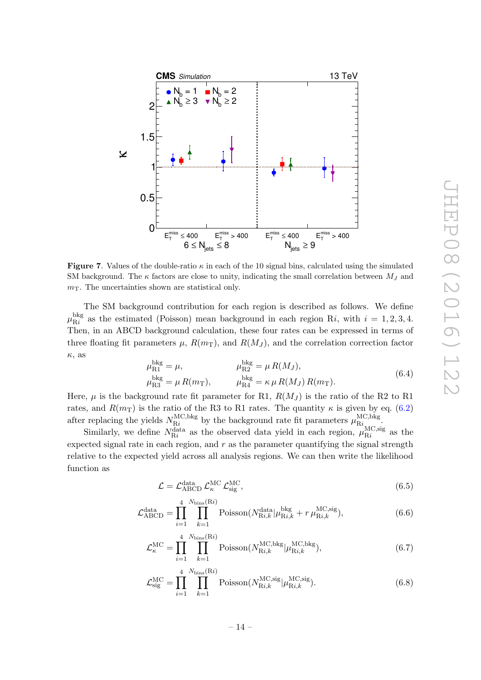

<span id="page-14-0"></span>**Figure 7.** Values of the double-ratio  $\kappa$  in each of the 10 signal bins, calculated using the simulated SM background. The  $\kappa$  factors are close to unity, indicating the small correlation between  $M_J$  and  $m<sub>T</sub>$ . The uncertainties shown are statistical only.

The SM background contribution for each region is described as follows. We define  $\mu^{\rm bkg}_{\rm R}$  $R_i^{bkg}$  as the estimated (Poisson) mean background in each region Ri, with  $i = 1, 2, 3, 4$ . Then, in an ABCD background calculation, these four rates can be expressed in terms of three floating fit parameters  $\mu$ ,  $R(m_T)$ , and  $R(M_J)$ , and the correlation correction factor  $\kappa$ , as

<span id="page-14-1"></span>
$$
\mu_{R1}^{\text{bkg}} = \mu, \qquad \mu_{R2}^{\text{bkg}} = \mu R(M_J), \n\mu_{R3}^{\text{bkg}} = \mu R(m_T), \qquad \mu_{R4}^{\text{bkg}} = \kappa \mu R(M_J) R(m_T).
$$
\n(6.4)

Here,  $\mu$  is the background rate fit parameter for R1,  $R(M_J)$  is the ratio of the R2 to R1 rates, and  $R(m_T)$  is the ratio of the R3 to R1 rates. The quantity  $\kappa$  is given by eq. [\(6.2\)](#page-12-2) after replacing the yields  $N_{\text{R}i}^{\text{MC},\text{bkg}}$  $\mu_{\text{R}i}^{\text{MC},\text{bkg}}$  by the background rate fit parameters  $\mu_{\text{R}i}^{\text{MC},\text{bkg}}$  $R_i$ ,  $\ldots$ .

Similarly, we define  $N_{\text{R}i}^{\text{data}}$  as the observed data yield in each region,  $\mu_{\text{R}i}^{\text{MC,sig}}$  $\frac{M}{R}$  as the expected signal rate in each region, and  $r$  as the parameter quantifying the signal strength relative to the expected yield across all analysis regions. We can then write the likelihood function as

L

<span id="page-14-4"></span><span id="page-14-2"></span>
$$
\mathcal{L} = \mathcal{L}_{\text{ABCD}}^{\text{data}} \mathcal{L}_{\kappa}^{\text{MC}} \mathcal{L}_{\text{sig}}^{\text{MC}},\tag{6.5}
$$

$$
\mathcal{L}_{\text{ABCD}}^{\text{data}} = \prod_{i=1}^{4} \prod_{k=1}^{N_{\text{bins}}(Ri)} \text{Poisson}(N_{\text{R}i,k}^{\text{data}} | \mu_{\text{R}i,k}^{\text{bkg}} + r \mu_{\text{R}i,k}^{\text{MC,sig}}), \tag{6.6}
$$

$$
\mathcal{L}_{\kappa}^{\text{MC}} = \prod_{i=1}^{4} \prod_{k=1}^{N_{\text{bins}}(\text{R}i)} \text{Poisson}(N_{\text{R}i,k}^{\text{MC},\text{bkg}} | \mu_{\text{R}i,k}^{\text{MC},\text{bkg}}), \tag{6.7}
$$

<span id="page-14-3"></span>
$$
\mathcal{L}_{\text{sig}}^{\text{MC}} = \prod_{i=1}^{4} \prod_{k=1}^{N_{\text{bins}}(\text{R}i)} \text{Poisson}(N_{\text{R}i,k}^{\text{MC,sig}} | \mu_{\text{R}i,k}^{\text{MC,sig}}). \tag{6.8}
$$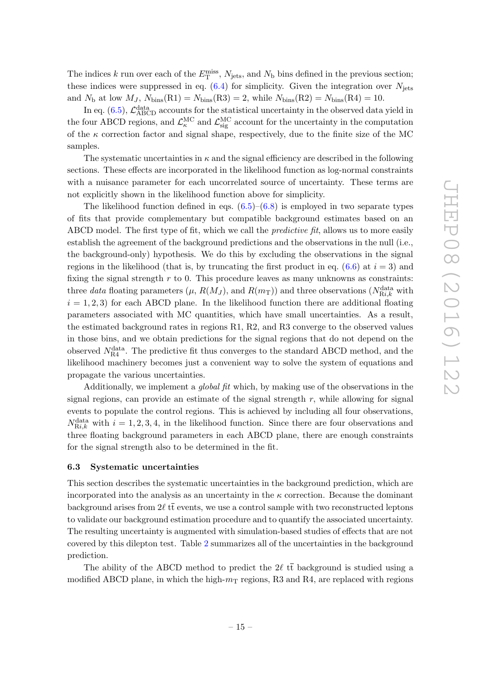The indices k run over each of the  $E_{\rm T}^{\rm miss}$ ,  $N_{\rm jets}$ , and  $N_{\rm b}$  bins defined in the previous section; these indices were suppressed in eq.  $(6.4)$  for simplicity. Given the integration over  $N_{\text{jets}}$ and  $N_{\rm b}$  at low  $M_J$ ,  $N_{\rm bins}(R1) = N_{\rm bins}(R3) = 2$ , while  $N_{\rm bins}(R2) = N_{\rm bins}(R4) = 10$ .

In eq.  $(6.5)$ ,  $\mathcal{L}_{\rm ABCD}^{\rm data}$  accounts for the statistical uncertainty in the observed data yield in the four ABCD regions, and  $\mathcal{L}_{\kappa}^{\text{MC}}$  and  $\mathcal{L}_{\text{sig}}^{\text{MC}}$  account for the uncertainty in the computation of the  $\kappa$  correction factor and signal shape, respectively, due to the finite size of the MC samples.

The systematic uncertainties in  $\kappa$  and the signal efficiency are described in the following sections. These effects are incorporated in the likelihood function as log-normal constraints with a nuisance parameter for each uncorrelated source of uncertainty. These terms are not explicitly shown in the likelihood function above for simplicity.

The likelihood function defined in eqs.  $(6.5)$ – $(6.8)$  is employed in two separate types of fits that provide complementary but compatible background estimates based on an ABCD model. The first type of fit, which we call the *predictive fit*, allows us to more easily establish the agreement of the background predictions and the observations in the null (i.e., the background-only) hypothesis. We do this by excluding the observations in the signal regions in the likelihood (that is, by truncating the first product in eq.  $(6.6)$  at  $i = 3$ ) and fixing the signal strength  $r$  to 0. This procedure leaves as many unknowns as constraints: three data floating parameters  $(\mu, R(M_J), \text{ and } R(m_T))$  and three observations  $(N_{\text{R}i,k}^{\text{data}}$  with  $i = 1, 2, 3$  for each ABCD plane. In the likelihood function there are additional floating parameters associated with MC quantities, which have small uncertainties. As a result, the estimated background rates in regions R1, R2, and R3 converge to the observed values in those bins, and we obtain predictions for the signal regions that do not depend on the observed  $N_{\rm R4}^{\rm data}$ . The predictive fit thus converges to the standard ABCD method, and the likelihood machinery becomes just a convenient way to solve the system of equations and propagate the various uncertainties.

Additionally, we implement a global fit which, by making use of the observations in the signal regions, can provide an estimate of the signal strength  $r$ , while allowing for signal events to populate the control regions. This is achieved by including all four observations,  $N_{\text{R}i,k}^{\text{data}}$  with  $i = 1, 2, 3, 4$ , in the likelihood function. Since there are four observations and three floating background parameters in each ABCD plane, there are enough constraints for the signal strength also to be determined in the fit.

## <span id="page-15-0"></span>6.3 Systematic uncertainties

This section describes the systematic uncertainties in the background prediction, which are incorporated into the analysis as an uncertainty in the  $\kappa$  correction. Because the dominant background arises from  $2\ell$  tt events, we use a control sample with two reconstructed leptons to validate our background estimation procedure and to quantify the associated uncertainty. The resulting uncertainty is augmented with simulation-based studies of effects that are not covered by this dilepton test. Table [2](#page-16-0) summarizes all of the uncertainties in the background prediction.

The ability of the ABCD method to predict the  $2\ell$  tth background is studied using a modified ABCD plane, in which the high- $m<sub>T</sub>$  regions, R3 and R4, are replaced with regions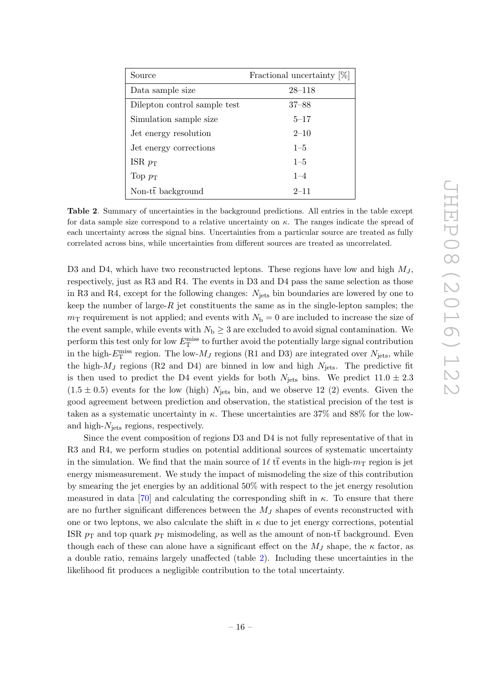| Source                       | Fractional uncertainty [%] |
|------------------------------|----------------------------|
| Data sample size             | $28 - 118$                 |
| Dilepton control sample test | $37 - 88$                  |
| Simulation sample size       | $5 - 17$                   |
| Jet energy resolution        | $2 - 10$                   |
| Jet energy corrections       | $1 - 5$                    |
| ISR $p_T$                    | $1 - 5$                    |
| Top $p_T$                    | $1 - 4$                    |
| Non-tt background            | $2 - 11$                   |

<span id="page-16-0"></span>Table 2. Summary of uncertainties in the background predictions. All entries in the table except for data sample size correspond to a relative uncertainty on  $\kappa$ . The ranges indicate the spread of each uncertainty across the signal bins. Uncertainties from a particular source are treated as fully correlated across bins, while uncertainties from different sources are treated as uncorrelated.

D3 and D4, which have two reconstructed leptons. These regions have low and high  $M_J$ , respectively, just as R3 and R4. The events in D3 and D4 pass the same selection as those in R3 and R4, except for the following changes:  $N_{\text{jets}}$  bin boundaries are lowered by one to keep the number of large- $R$  jet constituents the same as in the single-lepton samples; the  $m<sub>T</sub>$  requirement is not applied; and events with  $N<sub>b</sub> = 0$  are included to increase the size of the event sample, while events with  $N_{\rm b} \geq 3$  are excluded to avoid signal contamination. We perform this test only for low  $E_{\rm T}^{\rm miss}$  to further avoid the potentially large signal contribution in the high- $E_{\rm T}^{\rm miss}$  region. The low- $M_J$  regions (R1 and D3) are integrated over  $N_{\rm jets}$ , while the high- $M_J$  regions (R2 and D4) are binned in low and high  $N_{\text{jets}}$ . The predictive fit is then used to predict the D4 event yields for both  $N_{\text{jets}}$  bins. We predict  $11.0 \pm 2.3$  $(1.5 \pm 0.5)$  events for the low (high)  $N_{\text{jets}}$  bin, and we observe 12 (2) events. Given the good agreement between prediction and observation, the statistical precision of the test is taken as a systematic uncertainty in  $\kappa$ . These uncertainties are 37% and 88% for the lowand high- $N_{\text{jets}}$  regions, respectively.

Since the event composition of regions D3 and D4 is not fully representative of that in R3 and R4, we perform studies on potential additional sources of systematic uncertainty in the simulation. We find that the main source of  $1\ell$  tt events in the high- $m_T$  region is jet energy mismeasurement. We study the impact of mismodeling the size of this contribution by smearing the jet energies by an additional 50% with respect to the jet energy resolution measured in data [\[70\]](#page-28-14) and calculating the corresponding shift in  $\kappa$ . To ensure that there are no further significant differences between the  $M_J$  shapes of events reconstructed with one or two leptons, we also calculate the shift in  $\kappa$  due to jet energy corrections, potential ISR  $p_T$  and top quark  $p_T$  mismodeling, as well as the amount of non-tt background. Even though each of these can alone have a significant effect on the  $M_J$  shape, the  $\kappa$  factor, as a double ratio, remains largely unaffected (table [2\)](#page-16-0). Including these uncertainties in the likelihood fit produces a negligible contribution to the total uncertainty.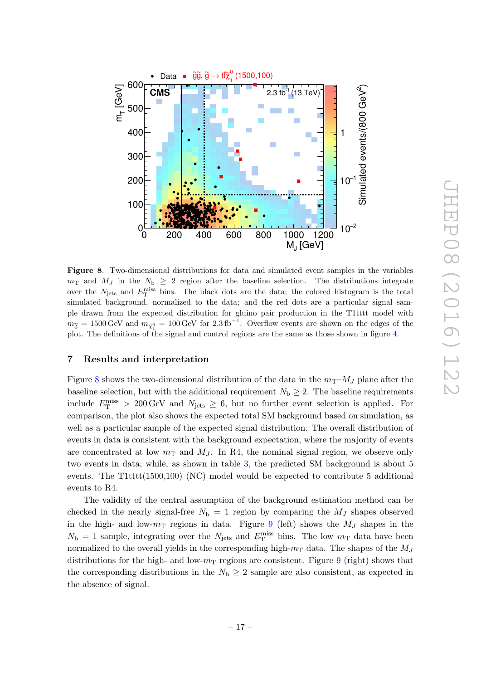

<span id="page-17-1"></span>Figure 8. Two-dimensional distributions for data and simulated event samples in the variables  $m<sub>T</sub>$  and  $M<sub>J</sub>$  in the  $N<sub>b</sub> \geq 2$  region after the baseline selection. The distributions integrate over the  $N_{\text{jets}}$  and  $E_{\text{T}}^{\text{miss}}$  bins. The black dots are the data; the colored histogram is the total simulated background, normalized to the data; and the red dots are a particular signal sample drawn from the expected distribution for gluino pair production in the T1tttt model with  $m_{\tilde{g}} = 1500 \text{ GeV}$  and  $m_{\tilde{\chi}_1^0} = 100 \text{ GeV}$  for  $2.3 \text{ fb}^{-1}$ . Overflow events are shown on the edges of the plot. The definitions of the signal and control regions are the same as those shown in figure [4.](#page-10-1)

### <span id="page-17-0"></span>7 Results and interpretation

Figure [8](#page-17-1) shows the two-dimensional distribution of the data in the  $m<sub>T</sub>-M<sub>J</sub>$  plane after the baseline selection, but with the additional requirement  $N_b \geq 2$ . The baseline requirements include  $E_{\rm T}^{\rm miss} > 200 \,\text{GeV}$  and  $N_{\rm jets} \geq 6$ , but no further event selection is applied. For comparison, the plot also shows the expected total SM background based on simulation, as well as a particular sample of the expected signal distribution. The overall distribution of events in data is consistent with the background expectation, where the majority of events are concentrated at low  $m<sub>T</sub>$  and  $M<sub>J</sub>$ . In R4, the nominal signal region, we observe only two events in data, while, as shown in table [3,](#page-19-0) the predicted SM background is about 5 events. The T1tttt(1500,100) (NC) model would be expected to contribute 5 additional events to R4.

The validity of the central assumption of the background estimation method can be checked in the nearly signal-free  $N<sub>b</sub> = 1$  region by comparing the  $M<sub>J</sub>$  shapes observed in the high- and low- $m<sub>T</sub>$  regions in data. Figure [9](#page-18-0) (left) shows the  $M<sub>J</sub>$  shapes in the  $N_{\rm b} = 1$  sample, integrating over the  $N_{\rm jets}$  and  $E_{\rm T}^{\rm miss}$  bins. The low  $m_{\rm T}$  data have been normalized to the overall yields in the corresponding high- $m<sub>T</sub>$  data. The shapes of the  $M<sub>J</sub>$ distributions for the high- and low- $m<sub>T</sub>$  regions are consistent. Figure [9](#page-18-0) (right) shows that the corresponding distributions in the  $N<sub>b</sub> \ge 2$  sample are also consistent, as expected in the absence of signal.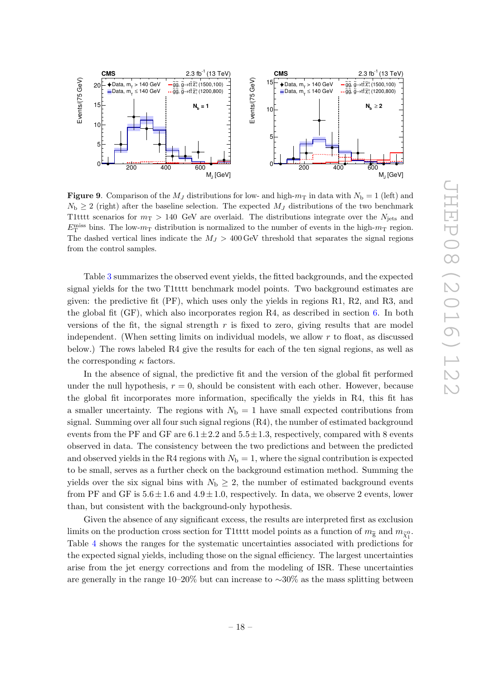

<span id="page-18-0"></span>**Figure 9.** Comparison of the  $M_J$  distributions for low- and high- $m_T$  in data with  $N_b = 1$  (left) and  $N_{\rm b} \geq 2$  (right) after the baseline selection. The expected  $M_J$  distributions of the two benchmark T1tttt scenarios for  $m<sub>T</sub> > 140$  GeV are overlaid. The distributions integrate over the  $N<sub>jets</sub>$  and  $E_{\rm T}^{\rm miss}$  bins. The low- $m_{\rm T}$  distribution is normalized to the number of events in the high- $m_{\rm T}$  region. The dashed vertical lines indicate the  $M_J > 400 \,\text{GeV}$  threshold that separates the signal regions from the control samples.

Table [3](#page-19-0) summarizes the observed event yields, the fitted backgrounds, and the expected signal yields for the two T1tttt benchmark model points. Two background estimates are given: the predictive fit (PF), which uses only the yields in regions R1, R2, and R3, and the global fit (GF), which also incorporates region R4, as described in section [6.](#page-9-0) In both versions of the fit, the signal strength  $r$  is fixed to zero, giving results that are model independent. (When setting limits on individual models, we allow  $r$  to float, as discussed below.) The rows labeled R4 give the results for each of the ten signal regions, as well as the corresponding  $\kappa$  factors.

In the absence of signal, the predictive fit and the version of the global fit performed under the null hypothesis,  $r = 0$ , should be consistent with each other. However, because the global fit incorporates more information, specifically the yields in R4, this fit has a smaller uncertainty. The regions with  $N<sub>b</sub> = 1$  have small expected contributions from signal. Summing over all four such signal regions (R4), the number of estimated background events from the PF and GF are  $6.1 \pm 2.2$  and  $5.5 \pm 1.3$ , respectively, compared with 8 events observed in data. The consistency between the two predictions and between the predicted and observed yields in the R4 regions with  $N<sub>b</sub> = 1$ , where the signal contribution is expected to be small, serves as a further check on the background estimation method. Summing the yields over the six signal bins with  $N_b \geq 2$ , the number of estimated background events from PF and GF is  $5.6 \pm 1.6$  and  $4.9 \pm 1.0$ , respectively. In data, we observe 2 events, lower than, but consistent with the background-only hypothesis.

Given the absence of any significant excess, the results are interpreted first as exclusion limits on the production cross section for T1tttt model points as a function of  $m_{\tilde{g}}$  and  $m_{\tilde{\chi}_1^0}$ . Table [4](#page-20-0) shows the ranges for the systematic uncertainties associated with predictions for the expected signal yields, including those on the signal efficiency. The largest uncertainties arise from the jet energy corrections and from the modeling of ISR. These uncertainties are generally in the range 10–20% but can increase to  $\sim$ 30% as the mass splitting between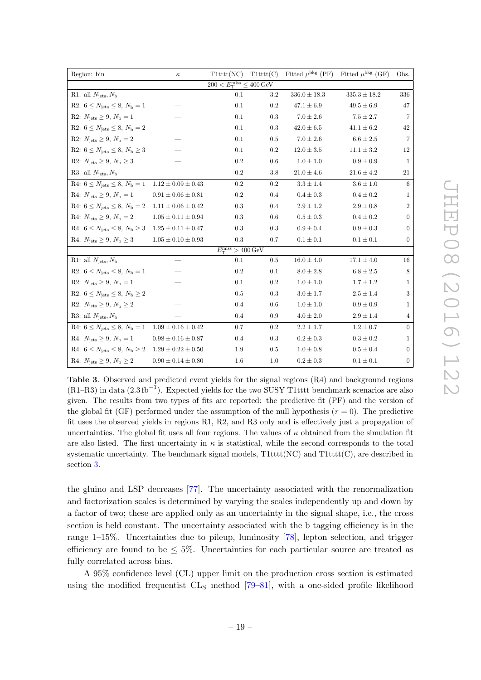| Region: bin<br>$\kappa$                               |                          | T1tttt(NC)                                         | T1tttt(C)          | Fitted $\mu^{\text{bkg}}$ (PF) | Fitted $\mu^{\text{bkg}}$ (GF) | Obs.             |
|-------------------------------------------------------|--------------------------|----------------------------------------------------|--------------------|--------------------------------|--------------------------------|------------------|
|                                                       |                          | $200 < E_{\rm T}^{\rm miss} \leq 400 \,\text{GeV}$ |                    |                                |                                |                  |
| R1: all $N_{\text{iets}}$ , $N_{\text{b}}$            |                          | 0.1                                                | 3.2                | $336.0 \pm 18.3$               | $335.3 \pm 18.2$               | 336              |
| R2: $6 \le N_{\text{jets}} \le 8, N_{\text{b}} = 1$   |                          | 0.1                                                | 0.2                | $47.1 \pm 6.9$                 | $49.5 \pm 6.9$                 | 47               |
| R2: $N_{\text{jets}} \ge 9, N_{\text{b}} = 1$         |                          | 0.1                                                | 0.3                | $7.0 \pm 2.6$                  | $7.5 \pm 2.7$                  | $\overline{7}$   |
| R2: $6\leq N_{\rm jets}\leq 8,\,N_{\rm b}=2$          |                          | 0.1                                                | 0.3                | $42.0 \pm 6.5$                 | $41.1 \pm 6.2$                 | 42               |
| R2: $N_{\text{jets}} \ge 9, N_{\text{b}} = 2$         |                          | 0.1                                                | 0.5                | $7.0 \pm 2.6$                  | $6.6 \pm 2.5$                  | $\overline{7}$   |
| R2: $6 \le N_{\text{jets}} \le 8, N_{\text{b}} \ge 3$ |                          | 0.1                                                | 0.2                | $12.0 \pm 3.5$                 | $11.1 \pm 3.2$                 | 12               |
| R2: $N_{\text{jets}} \geq 9, N_{\text{b}} \geq 3$     |                          | 0.2                                                | 0.6                | $1.0 \pm 1.0$                  | $0.9 \pm 0.9$                  | $\mathbf{1}$     |
| R3: all $N_{\text{iets}}$ , $N_{\text{b}}$            |                          | $0.2\,$                                            | 3.8                | $21.0 \pm 4.6$                 | $21.6 \pm 4.2$                 | 21               |
| R4: $6 \le N_{\text{jets}} \le 8, N_{\text{b}} = 1$   | $1.12 \pm 0.09 \pm 0.43$ | $0.2\,$                                            | 0.2                | $3.3 \pm 1.4$                  | $3.6 \pm 1.0$                  | 6                |
| R4: $N_{\text{iets}} \geq 9$ , $N_{\text{b}} = 1$     | $0.91 \pm 0.06 \pm 0.81$ | $0.2\,$                                            | $0.4\,$            | $0.4 \pm 0.3$                  | $0.4 \pm 0.2$                  | $\mathbf{1}$     |
| R4: $6 \le N_{\text{iets}} \le 8, N_{\text{b}} = 2$   | $1.11 \pm 0.06 \pm 0.42$ | 0.3                                                | $0.4\,$            | $2.9 \pm 1.2$                  | $2.9 \pm 0.8$                  | $\overline{2}$   |
| R4: $N_{\text{jets}} \ge 9, N_{\text{b}} = 2$         | $1.05 \pm 0.11 \pm 0.94$ | 0.3                                                | 0.6                | $0.5 \pm 0.3$                  | $0.4 \pm 0.2$                  | $\overline{0}$   |
| R4: $6 \le N_{\text{jets}} \le 8, N_{\text{b}} \ge 3$ | $1.25 \pm 0.11 \pm 0.47$ | 0.3                                                | $\rm 0.3$          | $0.9 \pm 0.4$                  | $0.9 \pm 0.3$                  | $\overline{0}$   |
| R4: $N_{\text{jets}} \geq 9, N_{\text{b}} \geq 3$     | $1.05 \pm 0.10 \pm 0.93$ | 0.3                                                | 0.7                | $0.1 \pm 0.1$                  | $0.1 \pm 0.1$                  | $\overline{0}$   |
|                                                       |                          | $E_{\rm T}^{\rm miss}$                             | $>400\,\text{GeV}$ |                                |                                |                  |
| R1: all $N_{\text{jets}}, N_{\text{b}}$               |                          | 0.1                                                | 0.5                | $16.0 \pm 4.0$                 | $17.1 \pm 4.0$                 | 16               |
| R2: $6 \le N_{\text{jets}} \le 8, N_{\text{b}} = 1$   |                          | 0.2                                                | 0.1                | $8.0 \pm 2.8$                  | $6.8 \pm 2.5$                  | 8                |
| R2: $N_{\text{iets}} \geq 9$ , $N_{\text{b}} = 1$     |                          | 0.1                                                | 0.2                | $1.0 \pm 1.0$                  | $1.7 \pm 1.2$                  | $\mathbf{1}$     |
| R2: $6 \le N_{\text{jets}} \le 8, N_{\text{b}} \ge 2$ |                          | 0.5                                                | 0.3                | $3.0 \pm 1.7$                  | $2.5 \pm 1.4$                  | 3                |
| R2: $N_{\text{jets}} \geq 9, N_{\text{b}} \geq 2$     |                          | $0.4\,$                                            | 0.6                | $1.0 \pm 1.0$                  | $0.9 \pm 0.9$                  | $\mathbf{1}$     |
| R3: all $N_{\text{iets}}$ , $N_{\text{b}}$            |                          | $0.4\,$                                            | 0.9                | $4.0 \pm 2.0$                  | $2.9 \pm 1.4$                  | 4                |
| R4: $6 \le N_{\text{jets}} \le 8, N_{\text{b}} = 1$   | $1.09 \pm 0.16 \pm 0.42$ | 0.7                                                | 0.2                | $2.2 \pm 1.7$                  | $1.2 \pm 0.7$                  | $\overline{0}$   |
| R4: $N_{\text{iets}} \geq 9$ , $N_{\text{b}} = 1$     | $0.98 \pm 0.16 \pm 0.87$ | 0.4                                                | 0.3                | $0.2 \pm 0.3$                  | $0.3 \pm 0.2$                  | $\mathbf{1}$     |
| R4: $6 \le N_{\text{jets}} \le 8, N_{\text{b}} \ge 2$ | $1.29 \pm 0.22 \pm 0.50$ | 1.9                                                | 0.5                | $1.0 \pm 0.8$                  | $0.5 \pm 0.4$                  | $\overline{0}$   |
| R4: $N_{\text{jets}} \geq 9, N_{\text{b}} \geq 2$     | $0.90 \pm 0.14 \pm 0.80$ | $1.6\,$                                            | 1.0                | $0.2 \pm 0.3$                  | $0.1 \pm 0.1$                  | $\boldsymbol{0}$ |

<span id="page-19-0"></span>Table 3. Observed and predicted event yields for the signal regions (R4) and background regions  $(R1-R3)$  in data  $(2.3 fb<sup>-1</sup>)$ . Expected yields for the two SUSY T1tttt benchmark scenarios are also given. The results from two types of fits are reported: the predictive fit (PF) and the version of the global fit (GF) performed under the assumption of the null hypothesis  $(r = 0)$ . The predictive fit uses the observed yields in regions R1, R2, and R3 only and is effectively just a propagation of uncertainties. The global fit uses all four regions. The values of  $\kappa$  obtained from the simulation fit are also listed. The first uncertainty in  $\kappa$  is statistical, while the second corresponds to the total systematic uncertainty. The benchmark signal models, T1tttt(NC) and T1tttt(C), are described in section [3.](#page-4-1)

the gluino and LSP decreases [\[77\]](#page-29-4). The uncertainty associated with the renormalization and factorization scales is determined by varying the scales independently up and down by a factor of two; these are applied only as an uncertainty in the signal shape, i.e., the cross section is held constant. The uncertainty associated with the b tagging efficiency is in the range 1–15%. Uncertainties due to pileup, luminosity [\[78\]](#page-29-5), lepton selection, and trigger efficiency are found to be  $\leq 5\%$ . Uncertainties for each particular source are treated as fully correlated across bins.

A 95% confidence level (CL) upper limit on the production cross section is estimated using the modified frequentist  $CL_S$  method  $[79–81]$  $[79–81]$ , with a one-sided profile likelihood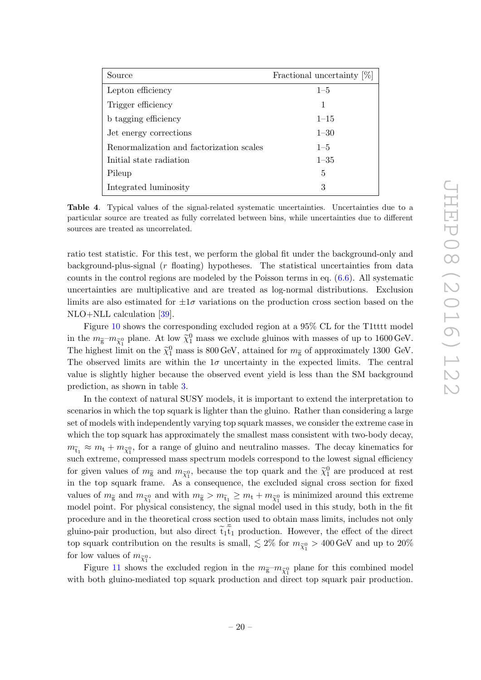| Source                                   | Fractional uncertainty [%] |
|------------------------------------------|----------------------------|
| Lepton efficiency                        | $1 - 5$                    |
| Trigger efficiency                       | 1                          |
| b tagging efficiency                     | $1 - 15$                   |
| Jet energy corrections                   | $1 - 30$                   |
| Renormalization and factorization scales | $1 - 5$                    |
| Initial state radiation                  | $1 - 35$                   |
| Pileup                                   | 5                          |
| Integrated luminosity                    | 3                          |

<span id="page-20-0"></span>Table 4. Typical values of the signal-related systematic uncertainties. Uncertainties due to a particular source are treated as fully correlated between bins, while uncertainties due to different sources are treated as uncorrelated.

ratio test statistic. For this test, we perform the global fit under the background-only and background-plus-signal (r floating) hypotheses. The statistical uncertainties from data counts in the control regions are modeled by the Poisson terms in eq. [\(6.6\)](#page-14-4). All systematic uncertainties are multiplicative and are treated as log-normal distributions. Exclusion limits are also estimated for  $\pm 1\sigma$  variations on the production cross section based on the NLO+NLL calculation [\[39\]](#page-27-2).

Figure [10](#page-21-1) shows the corresponding excluded region at a 95% CL for the T1tttt model in the  $m_{\tilde{g}}-m_{\tilde{\chi}_{1}^{0}}$  plane. At low  $\tilde{\chi}_{1}^{0}$  mass we exclude gluinos with masses of up to 1600 GeV. The highest limit on the  $\tilde{\chi}_1^0$  mass is 800 GeV, attained for  $m_{\tilde{g}}$  of approximately 1300 GeV. The observed limits are within the  $1\sigma$  uncertainty in the expected limits. The central value is slightly higher because the observed event yield is less than the SM background prediction, as shown in table [3.](#page-19-0)

In the context of natural SUSY models, it is important to extend the interpretation to scenarios in which the top squark is lighter than the gluino. Rather than considering a large set of models with independently varying top squark masses, we consider the extreme case in which the top squark has approximately the smallest mass consistent with two-body decay,  $m_{\tilde{t}_1} \approx m_t + m_{\tilde{\chi}_1^0}$ , for a range of gluino and neutralino masses. The decay kinematics for such extreme, compressed mass spectrum models correspond to the lowest signal efficiency for given values of  $m_{\tilde{\chi}_1^0}$  and  $m_{\tilde{\chi}_1^0}$ , because the top quark and the  $\tilde{\chi}_1^0$  are produced at rest in the top squark frame. As a consequence, the excluded signal cross section for fixed values of  $m_{\tilde{g}}$  and  $m_{\tilde{\chi}_1^0}$  and with  $m_{\tilde{g}} > m_{\tilde{t}_1} \geq m_t + m_{\tilde{\chi}_1^0}$  is minimized around this extreme<br>we delegate Four planetical arguitances the simulated and in this study hath in the fit model point. For physical consistency, the signal model used in this study, both in the fit procedure and in the theoretical cross section used to obtain mass limits, includes not only gluino-pair production, but also direct  $t_1t_1$  production. However, the effect of the direct top squark contribution on the results is small,  $\lesssim 2\%$  for  $m_{\tilde{\chi}_1^0} > 400 \,\text{GeV}$  and up to  $20\%$ for low values of  $m_{\tilde{\chi}_1^0}$ .

Figure [11](#page-22-0) shows the excluded region in the  $m_{\tilde{g}}-m_{\tilde{\chi}_{1}^{0}}$  plane for this combined model with both gluino-mediated top squark production and direct top squark pair production.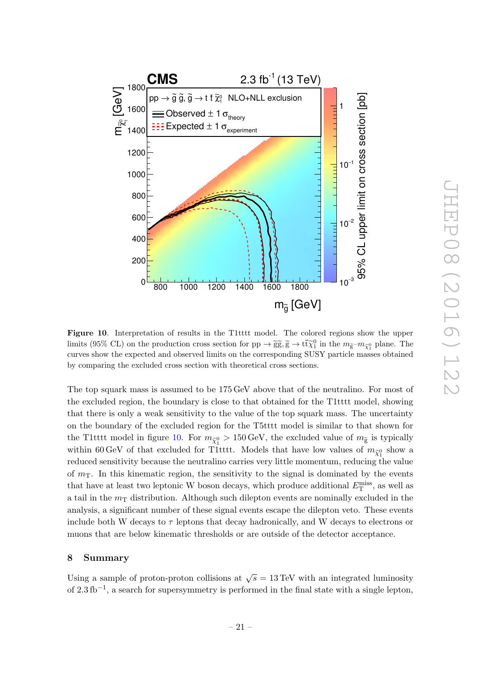

<span id="page-21-1"></span>Figure 10. Interpretation of results in the T1tttt model. The colored regions show the upper limits (95% CL) on the production cross section for  $pp \to \tilde{g}\tilde{g}, \tilde{g} \to t\bar{t}\tilde{\chi}_1^0$  in the  $m_{\tilde{g}}-m_{\tilde{\chi}_1^0}$  plane. The curves show the expected and observed limits on the corresponding SUSY particle masses obtained by comparing the excluded cross section with theoretical cross sections.

The top squark mass is assumed to be 175 GeV above that of the neutralino. For most of the excluded region, the boundary is close to that obtained for the T1tttt model, showing that there is only a weak sensitivity to the value of the top squark mass. The uncertainty on the boundary of the excluded region for the T5tttt model is similar to that shown for the T1tttt model in figure [10.](#page-21-1) For  $m_{\tilde{\chi}_1^0} > 150 \,\text{GeV}$ , the excluded value of  $m_{\tilde{g}}$  is typically within 60 GeV of that excluded for T1tttt. Models that have low values of  $m_{\tilde{\chi}_1^0}$  show a reduced sensitivity because the neutralino carries very little momentum, reducing the value of  $m<sub>T</sub>$ . In this kinematic region, the sensitivity to the signal is dominated by the events that have at least two leptonic W boson decays, which produce additional  $E_{\rm T}^{\rm miss}$ , as well as a tail in the  $m<sub>T</sub>$  distribution. Although such dilepton events are nominally excluded in the analysis, a significant number of these signal events escape the dilepton veto. These events include both W decays to  $\tau$  leptons that decay hadronically, and W decays to electrons or muons that are below kinematic thresholds or are outside of the detector acceptance.

### <span id="page-21-0"></span>8 Summary

Using a sample of proton-proton collisions at  $\sqrt{s} = 13 \text{ TeV}$  with an integrated luminosity of  $2.3\,\text{fb}^{-1}$ , a search for supersymmetry is performed in the final state with a single lepton,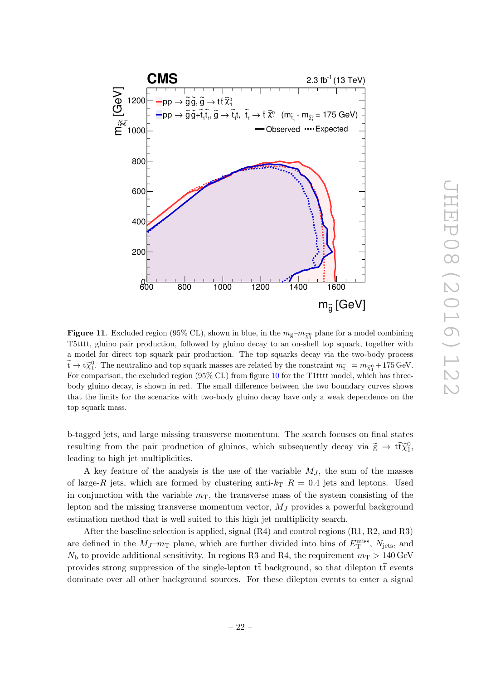

<span id="page-22-0"></span>**Figure 11.** Excluded region (95% CL), shown in blue, in the  $m_{\tilde{g}}-m_{\tilde{\chi}_{1}^{0}}$  plane for a model combining T5tttt, gluino pair production, followed by gluino decay to an on-shell top squark, together with a model for direct top squark pair production. The top squarks decay via the two-body process  $\widetilde{t} \to t \widetilde{\chi}_1^0$ . The neutralino and top squark masses are related by the constraint  $m_{\widetilde{t}_1} = m_{\widetilde{\chi}_1^0} + 175 \,\text{GeV}$ . For comparison, the excluded region  $(95\% \text{ CL})$  from figure [10](#page-21-1) for the T1tttt model, which has threebody gluino decay, is shown in red. The small difference between the two boundary curves shows that the limits for the scenarios with two-body gluino decay have only a weak dependence on the top squark mass.

b-tagged jets, and large missing transverse momentum. The search focuses on final states resulting from the pair production of gluinos, which subsequently decay via  $\tilde{g} \to t\bar{t}\tilde{\chi}_1^0$ , leading to high jet multiplicities.

A key feature of the analysis is the use of the variable  $M_J$ , the sum of the masses of large-R jets, which are formed by clustering anti- $k_T$   $R = 0.4$  jets and leptons. Used in conjunction with the variable  $m<sub>T</sub>$ , the transverse mass of the system consisting of the lepton and the missing transverse momentum vector,  $M_J$  provides a powerful background estimation method that is well suited to this high jet multiplicity search.

After the baseline selection is applied, signal (R4) and control regions (R1, R2, and R3) are defined in the  $M_J$ - $m_T$  plane, which are further divided into bins of  $E_{\rm T}^{\rm miss}$ ,  $N_{\rm jets}$ , and  $N_{\rm b}$  to provide additional sensitivity. In regions R3 and R4, the requirement  $m_{\rm T} > 140$  GeV provides strong suppression of the single-lepton  $t\bar{t}$  background, so that dilepton  $t\bar{t}$  events dominate over all other background sources. For these dilepton events to enter a signal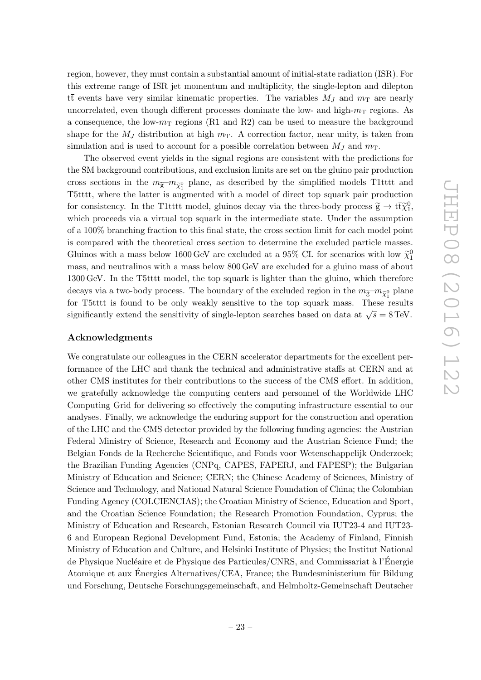region, however, they must contain a substantial amount of initial-state radiation (ISR). For this extreme range of ISR jet momentum and multiplicity, the single-lepton and dilepton  $t\bar{t}$  events have very similar kinematic properties. The variables  $M_J$  and  $m_T$  are nearly uncorrelated, even though different processes dominate the low- and high- $m<sub>T</sub>$  regions. As a consequence, the low- $m<sub>T</sub>$  regions (R1 and R2) can be used to measure the background shape for the  $M_J$  distribution at high  $m_T$ . A correction factor, near unity, is taken from simulation and is used to account for a possible correlation between  $M_J$  and  $m_T$ .

The observed event yields in the signal regions are consistent with the predictions for the SM background contributions, and exclusion limits are set on the gluino pair production cross sections in the  $m_{\tilde{g}}-m_{\tilde{\chi}_{1}^{0}}$  plane, as described by the simplified models T1tttt and T5tttt, where the latter is augmented with a model of direct top squark pair production for consistency. In the T1tttt model, gluinos decay via the three-body process  $\tilde{g} \to t\bar{t}\tilde{\chi}_1^0$ , which proceeds via a virtual top squark in the intermediate state. Under the assumption of a 100% branching fraction to this final state, the cross section limit for each model point is compared with the theoretical cross section to determine the excluded particle masses. Gluinos with a mass below 1600 GeV are excluded at a 95% CL for scenarios with low  $\tilde{\chi}_1^0$ mass, and neutralinos with a mass below 800 GeV are excluded for a gluino mass of about 1300 GeV. In the T5tttt model, the top squark is lighter than the gluino, which therefore decays via a two-body process. The boundary of the excluded region in the  $m_{\tilde{g}}-m_{\tilde{\chi}_1^0}$  plane for T5tttt is found to be only weakly sensitive to the top squark mass. These results significantly extend the sensitivity of single-lepton searches based on data at  $\sqrt{s} = 8$  TeV.

### Acknowledgments

We congratulate our colleagues in the CERN accelerator departments for the excellent performance of the LHC and thank the technical and administrative staffs at CERN and at other CMS institutes for their contributions to the success of the CMS effort. In addition, we gratefully acknowledge the computing centers and personnel of the Worldwide LHC Computing Grid for delivering so effectively the computing infrastructure essential to our analyses. Finally, we acknowledge the enduring support for the construction and operation of the LHC and the CMS detector provided by the following funding agencies: the Austrian Federal Ministry of Science, Research and Economy and the Austrian Science Fund; the Belgian Fonds de la Recherche Scientifique, and Fonds voor Wetenschappelijk Onderzoek; the Brazilian Funding Agencies (CNPq, CAPES, FAPERJ, and FAPESP); the Bulgarian Ministry of Education and Science; CERN; the Chinese Academy of Sciences, Ministry of Science and Technology, and National Natural Science Foundation of China; the Colombian Funding Agency (COLCIENCIAS); the Croatian Ministry of Science, Education and Sport, and the Croatian Science Foundation; the Research Promotion Foundation, Cyprus; the Ministry of Education and Research, Estonian Research Council via IUT23-4 and IUT23- 6 and European Regional Development Fund, Estonia; the Academy of Finland, Finnish Ministry of Education and Culture, and Helsinki Institute of Physics; the Institut National de Physique Nucléaire et de Physique des Particules/CNRS, and Commissariat à l'Energie Atomique et aux Énergies Alternatives/CEA, France; the Bundesministerium für Bildung und Forschung, Deutsche Forschungsgemeinschaft, and Helmholtz-Gemeinschaft Deutscher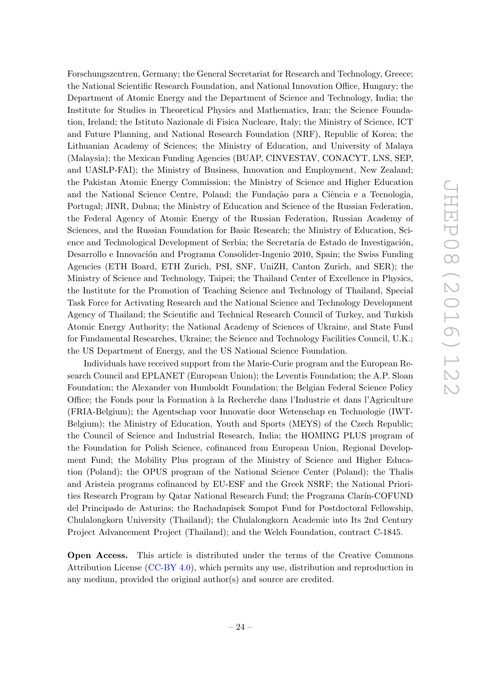Forschungszentren, Germany; the General Secretariat for Research and Technology, Greece; the National Scientific Research Foundation, and National Innovation Office, Hungary; the Department of Atomic Energy and the Department of Science and Technology, India; the Institute for Studies in Theoretical Physics and Mathematics, Iran; the Science Foundation, Ireland; the Istituto Nazionale di Fisica Nucleare, Italy; the Ministry of Science, ICT and Future Planning, and National Research Foundation (NRF), Republic of Korea; the Lithuanian Academy of Sciences; the Ministry of Education, and University of Malaya (Malaysia); the Mexican Funding Agencies (BUAP, CINVESTAV, CONACYT, LNS, SEP, and UASLP-FAI); the Ministry of Business, Innovation and Employment, New Zealand; the Pakistan Atomic Energy Commission; the Ministry of Science and Higher Education and the National Science Centre, Poland; the Fundação para a Ciência e a Tecnologia, Portugal; JINR, Dubna; the Ministry of Education and Science of the Russian Federation, the Federal Agency of Atomic Energy of the Russian Federation, Russian Academy of Sciences, and the Russian Foundation for Basic Research; the Ministry of Education, Science and Technological Development of Serbia; the Secretaría de Estado de Investigación, Desarrollo e Innovación and Programa Consolider-Ingenio 2010, Spain; the Swiss Funding Agencies (ETH Board, ETH Zurich, PSI, SNF, UniZH, Canton Zurich, and SER); the Ministry of Science and Technology, Taipei; the Thailand Center of Excellence in Physics, the Institute for the Promotion of Teaching Science and Technology of Thailand, Special Task Force for Activating Research and the National Science and Technology Development Agency of Thailand; the Scientific and Technical Research Council of Turkey, and Turkish Atomic Energy Authority; the National Academy of Sciences of Ukraine, and State Fund for Fundamental Researches, Ukraine; the Science and Technology Facilities Council, U.K.; the US Department of Energy, and the US National Science Foundation.

Individuals have received support from the Marie-Curie program and the European Research Council and EPLANET (European Union); the Leventis Foundation; the A.P. Sloan Foundation; the Alexander von Humboldt Foundation; the Belgian Federal Science Policy Office; the Fonds pour la Formation `a la Recherche dans l'Industrie et dans l'Agriculture (FRIA-Belgium); the Agentschap voor Innovatie door Wetenschap en Technologie (IWT-Belgium); the Ministry of Education, Youth and Sports (MEYS) of the Czech Republic; the Council of Science and Industrial Research, India; the HOMING PLUS program of the Foundation for Polish Science, cofinanced from European Union, Regional Development Fund; the Mobility Plus program of the Ministry of Science and Higher Education (Poland); the OPUS program of the National Science Center (Poland); the Thalis and Aristeia programs cofinanced by EU-ESF and the Greek NSRF; the National Priorities Research Program by Qatar National Research Fund; the Programa Clarín-COFUND del Principado de Asturias; the Rachadapisek Sompot Fund for Postdoctoral Fellowship, Chulalongkorn University (Thailand); the Chulalongkorn Academic into Its 2nd Century Project Advancement Project (Thailand); and the Welch Foundation, contract C-1845.

Open Access. This article is distributed under the terms of the Creative Commons Attribution License [\(CC-BY 4.0\)](http://creativecommons.org/licenses/by/4.0/), which permits any use, distribution and reproduction in any medium, provided the original author(s) and source are credited.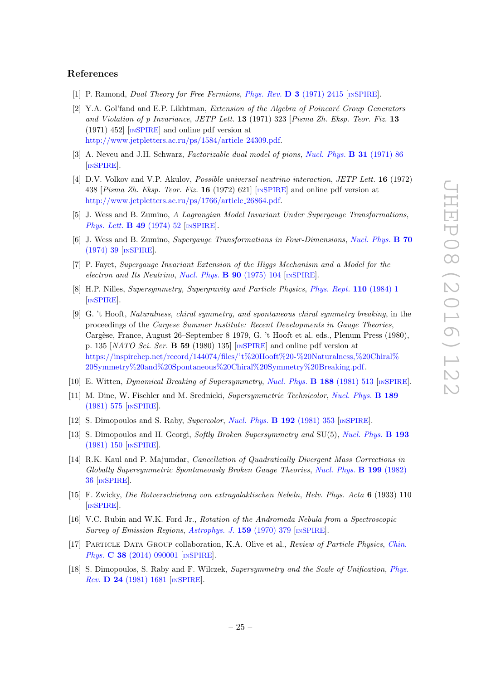### References

- <span id="page-25-0"></span>[1] P. Ramond, Dual Theory for Free Fermions, Phys. Rev. D 3 [\(1971\) 2415](http://dx.doi.org/10.1103/PhysRevD.3.2415) [IN[SPIRE](http://inspirehep.net/search?p=find+J+%22Phys.Rev.,D3,2415%22)].
- [2] Y.A. Gol'fand and E.P. Likhtman, Extension of the Algebra of Poincaré Group Generators and Violation of p Invariance, JETP Lett. 13 (1971) 323 [Pisma Zh. Eksp. Teor. Fiz. 13 (1971) 452] [IN[SPIRE](http://inspirehep.net/search?p=find+J+%22JETPLett.,13,323%22)] and online pdf version at [http://www.jetpletters.ac.ru/ps/1584/article](http://www.jetpletters.ac.ru/ps/1584/article_24309.pdf) 24309.pdf.
- [3] A. Neveu and J.H. Schwarz, Factorizable dual model of pions, [Nucl. Phys.](http://dx.doi.org/10.1016/0550-3213(71)90448-2) **B 31** (1971) 86 [IN[SPIRE](http://inspirehep.net/search?p=find+J+%22Nucl.Phys.,B31,86%22)].
- [4] D.V. Volkov and V.P. Akulov, Possible universal neutrino interaction, JETP Lett. 16 (1972) 438 [Pisma Zh. Eksp. Teor. Fiz. 16 (1972) 621] [IN[SPIRE](http://inspirehep.net/search?p=find+J+%22JETPLett.,16,438%22)] and online pdf version at [http://www.jetpletters.ac.ru/ps/1766/article](http://www.jetpletters.ac.ru/ps/1766/article_26864.pdf) 26864.pdf.
- [5] J. Wess and B. Zumino, A Lagrangian Model Invariant Under Supergauge Transformations, [Phys. Lett.](http://dx.doi.org/10.1016/0370-2693(74)90578-4) **B 49** (1974) 52 [IN[SPIRE](http://inspirehep.net/search?p=find+J+%22Phys.Lett.,B49,52%22)].
- [6] J. Wess and B. Zumino, Supergauge Transformations in Four-Dimensions, [Nucl. Phys.](http://dx.doi.org/10.1016/0550-3213(74)90355-1) B 70 [\(1974\) 39](http://dx.doi.org/10.1016/0550-3213(74)90355-1) [IN[SPIRE](http://inspirehep.net/search?p=find+J+%22Nucl.Phys.,B70,39%22)].
- [7] P. Fayet, Supergauge Invariant Extension of the Higgs Mechanism and a Model for the electron and Its Neutrino, [Nucl. Phys.](http://dx.doi.org/10.1016/0550-3213(75)90636-7) **B 90** (1975) 104 [IN[SPIRE](http://inspirehep.net/search?p=find+J+%22Nucl.Phys.,B90,104%22)].
- <span id="page-25-1"></span>[8] H.P. Nilles, Supersymmetry, Supergravity and Particle Physics, [Phys. Rept.](http://dx.doi.org/10.1016/0370-1573(84)90008-5) 110 (1984) 1 [IN[SPIRE](http://inspirehep.net/search?p=find+J+%22Phys.Rep.,110,1%22)].
- <span id="page-25-2"></span>[9] G. 't Hooft, Naturalness, chiral symmetry, and spontaneous chiral symmetry breaking, in the proceedings of the Cargese Summer Institute: Recent Developments in Gauge Theories, Carg`ese, France, August 26–September 8 1979, G. 't Hooft et al. eds., Plenum Press (1980), p. 135  $[NATO\, Sci.$  Ser. **B 59** (1980) 135  $[\text{nsPIRE}]$  and online pdf version at [https://inspirehep.net/record/144074/files/'t%20Hooft%20-%20Naturalness,%20Chiral%](https://inspirehep.net/record/144074/files/) [20Symmetry%20and%20Spontaneous%20Chiral%20Symmetry%20Breaking.pdf.](https://inspirehep.net/record/144074/files/)
- [10] E. Witten, Dynamical Breaking of Supersymmetry, [Nucl. Phys.](http://dx.doi.org/10.1016/0550-3213(81)90006-7) B 188 (1981) 513 [IN[SPIRE](http://inspirehep.net/search?p=find+J+%22Nucl.Phys.,B188,513%22)].
- [11] M. Dine, W. Fischler and M. Srednicki, Supersymmetric Technicolor, [Nucl. Phys.](http://dx.doi.org/10.1016/0550-3213(81)90582-4) B 189 [\(1981\) 575](http://dx.doi.org/10.1016/0550-3213(81)90582-4) [IN[SPIRE](http://inspirehep.net/search?p=find+J+%22Nucl.Phys.,B189,575%22)].
- [12] S. Dimopoulos and S. Raby, Supercolor, [Nucl. Phys.](http://dx.doi.org/10.1016/0550-3213(81)90430-2) **B** 192 (1981) 353 [IN[SPIRE](http://inspirehep.net/search?p=find+J+%22Nucl.Phys.,B192,353%22)].
- [13] S. Dimopoulos and H. Georgi, *Softly Broken Supersymmetry and* SU(5), *[Nucl. Phys.](http://dx.doi.org/10.1016/0550-3213(81)90522-8)* **B 193** [\(1981\) 150](http://dx.doi.org/10.1016/0550-3213(81)90522-8) [IN[SPIRE](http://inspirehep.net/search?p=find+J+%22Nucl.Phys.,B193,150%22)].
- <span id="page-25-3"></span>[14] R.K. Kaul and P. Majumdar, Cancellation of Quadratically Divergent Mass Corrections in Globally Supersymmetric Spontaneously Broken Gauge Theories, [Nucl. Phys.](http://dx.doi.org/10.1016/0550-3213(82)90565-X) B 199 (1982) [36](http://dx.doi.org/10.1016/0550-3213(82)90565-X) [IN[SPIRE](http://inspirehep.net/search?p=find+J+%22Nucl.Phys.,B199,36%22)].
- <span id="page-25-4"></span>[15] F. Zwicky, Die Rotverschiebung von extragalaktischen Nebeln, Helv. Phys. Acta 6 (1933) 110 [IN[SPIRE](http://inspirehep.net/search?p=find+J+%22Helv.Phys.Acta,6,110%22)].
- [16] V.C. Rubin and W.K. Ford Jr., Rotation of the Andromeda Nebula from a Spectroscopic Survey of Emission Regions, [Astrophys. J.](http://dx.doi.org/10.1086/150317) 159 (1970) 379 [IN[SPIRE](http://inspirehep.net/search?p=find+J+%22Astrophys.J.,159,379%22)].
- <span id="page-25-5"></span>[17] Particle Data Group collaboration, K.A. Olive et al., Review of Particle Physics, [Chin.](http://dx.doi.org/10.1088/1674-1137/38/9/090001) Phys. **C 38** [\(2014\) 090001](http://dx.doi.org/10.1088/1674-1137/38/9/090001) [IN[SPIRE](http://inspirehep.net/search?p=find+J+%22Chin.Phys.,C38,090001%22)].
- <span id="page-25-6"></span>[18] S. Dimopoulos, S. Raby and F. Wilczek, Supersymmetry and the Scale of Unification, [Phys.](http://dx.doi.org/10.1103/PhysRevD.24.1681) Rev. D 24 [\(1981\) 1681](http://dx.doi.org/10.1103/PhysRevD.24.1681) [IN[SPIRE](http://inspirehep.net/search?p=find+J+%22Phys.Rev.,D24,1681%22)].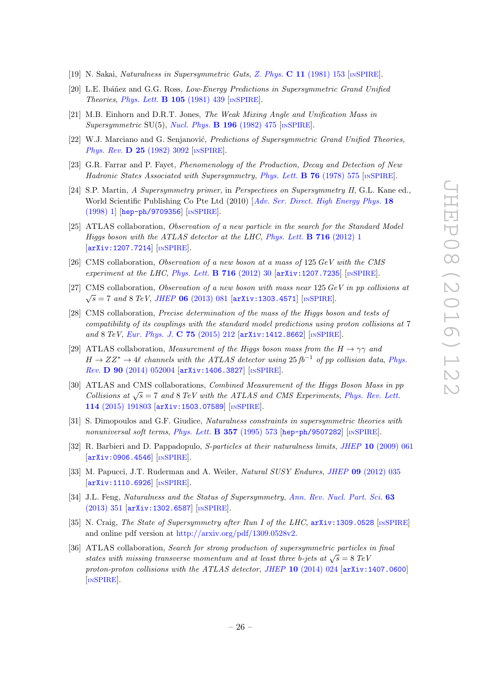- [19] N. Sakai, Naturalness in Supersymmetric Guts, Z. Phys. C 11 [\(1981\) 153](http://dx.doi.org/10.1007/BF01573998) [IN[SPIRE](http://inspirehep.net/search?p=find+J+%22Z.Physik,C11,153%22)].
- [20] L.E. Ibáñez and G.G. Ross, Low-Energy Predictions in Supersymmetric Grand Unified Theories, [Phys. Lett.](http://dx.doi.org/10.1016/0370-2693(81)91200-4)  $\bf{B}$  105 (1981) 439 [IN[SPIRE](http://inspirehep.net/search?p=find+J+%22Phys.Lett.,B105,439%22)].
- [21] M.B. Einhorn and D.R.T. Jones, The Weak Mixing Angle and Unification Mass in Supersymmetric SU(5), [Nucl. Phys.](http://dx.doi.org/10.1016/0550-3213(82)90502-8)  $\bf{B}$  196 (1982) 475 [IN[SPIRE](http://inspirehep.net/search?p=find+J+%22Nucl.Phys.,B196,475%22)].
- <span id="page-26-0"></span>[22] W.J. Marciano and G. Senjanović, Predictions of Supersymmetric Grand Unified Theories, Phys. Rev. **D 25** [\(1982\) 3092](http://dx.doi.org/10.1103/PhysRevD.25.3092) [IN[SPIRE](http://inspirehep.net/search?p=find+J+%22Phys.Rev.,D25,3092%22)].
- <span id="page-26-1"></span>[23] G.R. Farrar and P. Fayet, Phenomenology of the Production, Decay and Detection of New Hadronic States Associated with Supersymmetry, [Phys. Lett.](http://dx.doi.org/10.1016/0370-2693(78)90858-4) **B** 76 (1978) 575 [IN[SPIRE](http://inspirehep.net/search?p=find+J+%22Phys.Lett.,B76,575%22)].
- <span id="page-26-2"></span>[24] S.P. Martin, A Supersymmetry primer, in Perspectives on Supersymmetry II, G.L. Kane ed., World Scientific Publishing Co Pte Ltd (2010) [[Adv. Ser. Direct. High Energy Phys.](http://dx.doi.org/10.1142/9789814307505_0001) 18 [\(1998\) 1\]](http://dx.doi.org/10.1142/9789814307505_0001) [[hep-ph/9709356](http://arxiv.org/abs/hep-ph/9709356)] [IN[SPIRE](http://inspirehep.net/search?p=find+EPRINT+hep-ph/9709356)].
- <span id="page-26-3"></span>[25] ATLAS collaboration, Observation of a new particle in the search for the Standard Model Higgs boson with the ATLAS detector at the LHC, [Phys. Lett.](http://dx.doi.org/10.1016/j.physletb.2012.08.020) **B** 716 (2012) 1 [[arXiv:1207.7214](http://arxiv.org/abs/1207.7214)] [IN[SPIRE](http://inspirehep.net/search?p=find+EPRINT+arXiv:1207.7214)].
- [26] CMS collaboration, Observation of a new boson at a mass of 125 GeV with the CMS experiment at the LHC, [Phys. Lett.](http://dx.doi.org/10.1016/j.physletb.2012.08.021) **B** 716 (2012) 30  $\left[$ [arXiv:1207.7235](http://arxiv.org/abs/1207.7235) $\right]$   $\left[$ IN[SPIRE](http://inspirehep.net/search?p=find+EPRINT+arXiv:1207.7235) $\right]$ .
- [27] CMS collaboration, Observation of a new boson with mass near  $125 \text{ GeV}$  in pp collisions at  $\sqrt{s} = 7$  and 8 TeV, JHEP 06 [\(2013\) 081](http://dx.doi.org/10.1007/JHEP06(2013)081) [[arXiv:1303.4571](http://arxiv.org/abs/1303.4571)] [IN[SPIRE](http://inspirehep.net/search?p=find+EPRINT+arXiv:1303.4571)].
- [28] CMS collaboration, Precise determination of the mass of the Higgs boson and tests of compatibility of its couplings with the standard model predictions using proton collisions at 7 and 8 TeV, [Eur. Phys. J.](http://dx.doi.org/10.1140/epjc/s10052-015-3351-7) C 75 (2015) 212  $\text{arXiv:1412.8662}$  $\text{arXiv:1412.8662}$  $\text{arXiv:1412.8662}$  [IN[SPIRE](http://inspirehep.net/search?p=find+EPRINT+arXiv:1412.8662)].
- [29] ATLAS collaboration, Measurement of the Higgs boson mass from the  $H \to \gamma\gamma$  and  $H \to ZZ^* \to 4\ell$  channels with the ATLAS detector using 25 fb<sup>-1</sup> of pp collision data, [Phys.](http://dx.doi.org/10.1103/PhysRevD.90.052004) Rev. D 90 [\(2014\) 052004](http://dx.doi.org/10.1103/PhysRevD.90.052004) [[arXiv:1406.3827](http://arxiv.org/abs/1406.3827)] [IN[SPIRE](http://inspirehep.net/search?p=find+EPRINT+arXiv:1406.3827)].
- <span id="page-26-4"></span>[30] ATLAS and CMS collaborations, *Combined Measurement of the Higgs Boson Mass in pp* Collisions at  $\sqrt{s} = 7$  and 8 TeV with the ATLAS and CMS Experiments, [Phys. Rev. Lett.](http://dx.doi.org/10.1103/PhysRevLett.114.191803) 114 [\(2015\) 191803](http://dx.doi.org/10.1103/PhysRevLett.114.191803) [[arXiv:1503.07589](http://arxiv.org/abs/1503.07589)] [IN[SPIRE](http://inspirehep.net/search?p=find+EPRINT+arXiv:1503.07589)].
- <span id="page-26-5"></span>[31] S. Dimopoulos and G.F. Giudice, Naturalness constraints in supersymmetric theories with nonuniversal soft terms, [Phys. Lett.](http://dx.doi.org/10.1016/0370-2693(95)00961-J) B 357 (1995) 573 [[hep-ph/9507282](http://arxiv.org/abs/hep-ph/9507282)] [IN[SPIRE](http://inspirehep.net/search?p=find+EPRINT+hep-ph/9507282)].
- [32] R. Barbieri and D. Pappadopulo, S-particles at their naturalness limits, JHEP 10 [\(2009\) 061](http://dx.doi.org/10.1088/1126-6708/2009/10/061) [[arXiv:0906.4546](http://arxiv.org/abs/0906.4546)] [IN[SPIRE](http://inspirehep.net/search?p=find+EPRINT+arXiv:0906.4546)].
- <span id="page-26-7"></span>[33] M. Papucci, J.T. Ruderman and A. Weiler, Natural SUSY Endures, JHEP 09 [\(2012\) 035](http://dx.doi.org/10.1007/JHEP09(2012)035) [[arXiv:1110.6926](http://arxiv.org/abs/1110.6926)] [IN[SPIRE](http://inspirehep.net/search?p=find+EPRINT+arXiv:1110.6926)].
- <span id="page-26-6"></span>[34] J.L. Feng, Naturalness and the Status of Supersymmetry, [Ann. Rev. Nucl. Part. Sci.](http://dx.doi.org/10.1146/annurev-nucl-102010-130447) 63 [\(2013\) 351](http://dx.doi.org/10.1146/annurev-nucl-102010-130447) [[arXiv:1302.6587](http://arxiv.org/abs/1302.6587)] [IN[SPIRE](http://inspirehep.net/search?p=find+EPRINT+arXiv:1302.6587)].
- <span id="page-26-8"></span>[35] N. Craig, The State of Supersymmetry after Run I of the LHC,  $arXiv:1309.0528$  [IN[SPIRE](http://inspirehep.net/search?p=find+EPRINT+arXiv:1309.0528)] and online pdf version at [http://arxiv.org/pdf/1309.0528v2.](http://arxiv.org/pdf/1309.0528v2)
- <span id="page-26-9"></span>[36] ATLAS collaboration, Search for strong production of supersymmetric particles in final states with missing transverse momentum and at least three b-jets at  $\sqrt{s} = 8$  TeV proton-proton collisions with the ATLAS detector, JHEP 10 [\(2014\) 024](http://dx.doi.org/10.1007/JHEP10(2014)024) [[arXiv:1407.0600](http://arxiv.org/abs/1407.0600)] [IN[SPIRE](http://inspirehep.net/search?p=find+EPRINT+arXiv:1407.0600)].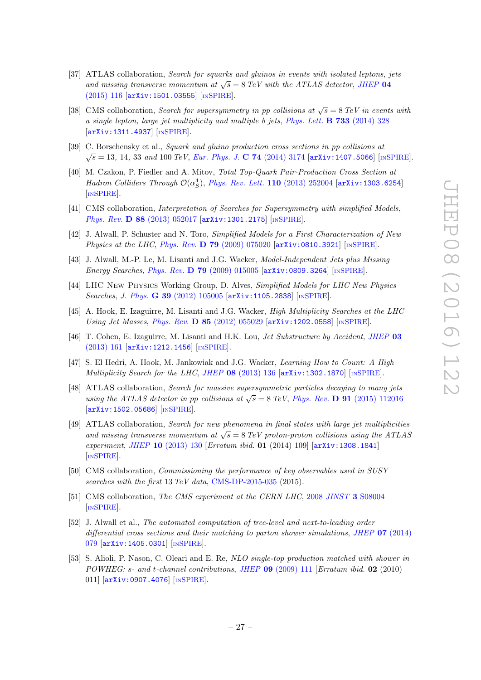- <span id="page-27-0"></span>[37] ATLAS collaboration, Search for squarks and gluinos in events with isolated leptons, jets and missing transverse momentum at  $\sqrt{s} = 8$  TeV with the ATLAS detector, [JHEP](http://dx.doi.org/10.1007/JHEP04(2015)116) 04 [\(2015\) 116](http://dx.doi.org/10.1007/JHEP04(2015)116) [[arXiv:1501.03555](http://arxiv.org/abs/1501.03555)] [IN[SPIRE](http://inspirehep.net/search?p=find+EPRINT+arXiv:1501.03555)].
- <span id="page-27-1"></span>[38] CMS collaboration, *Search for supersymmetry in pp collisions at*  $\sqrt{s} = 8 \text{ TeV}$  in events with a single lepton, large jet multiplicity and multiple b jets,  $Phys. Lett. B 733 (2014) 328$  $Phys. Lett. B 733 (2014) 328$ [[arXiv:1311.4937](http://arxiv.org/abs/1311.4937)] [IN[SPIRE](http://inspirehep.net/search?p=find+EPRINT+arXiv:1311.4937)].
- <span id="page-27-2"></span>[39] C. Borschensky et al., Squark and gluino production cross sections in pp collisions at  $\sqrt{s} = 13, 14, 33 \text{ and } 100 \text{ TeV}, \text{ Eur. Phys. J. C 74 (2014) 3174 [arXiv:1407.5066] [NSPIRE].$  $\sqrt{s} = 13, 14, 33 \text{ and } 100 \text{ TeV}, \text{ Eur. Phys. J. C 74 (2014) 3174 [arXiv:1407.5066] [NSPIRE].$  $\sqrt{s} = 13, 14, 33 \text{ and } 100 \text{ TeV}, \text{ Eur. Phys. J. C 74 (2014) 3174 [arXiv:1407.5066] [NSPIRE].$  $\sqrt{s} = 13, 14, 33 \text{ and } 100 \text{ TeV}, \text{ Eur. Phys. J. C 74 (2014) 3174 [arXiv:1407.5066] [NSPIRE].$  $\sqrt{s} = 13, 14, 33 \text{ and } 100 \text{ TeV}, \text{ Eur. Phys. J. C 74 (2014) 3174 [arXiv:1407.5066] [NSPIRE].$  $\sqrt{s} = 13, 14, 33 \text{ and } 100 \text{ TeV}, \text{ Eur. Phys. J. C 74 (2014) 3174 [arXiv:1407.5066] [NSPIRE].$  $\sqrt{s} = 13, 14, 33 \text{ and } 100 \text{ TeV}, \text{ Eur. Phys. J. C 74 (2014) 3174 [arXiv:1407.5066] [NSPIRE].$
- <span id="page-27-3"></span>[40] M. Czakon, P. Fiedler and A. Mitov, Total Top-Quark Pair-Production Cross Section at Hadron Colliders Through  $\mathcal{O}(\alpha_S^4)$ , [Phys. Rev. Lett.](http://dx.doi.org/10.1103/PhysRevLett.110.252004) 110 (2013) 252004 [[arXiv:1303.6254](http://arxiv.org/abs/1303.6254)] [IN[SPIRE](http://inspirehep.net/search?p=find+EPRINT+arXiv:1303.6254)].
- <span id="page-27-4"></span>[41] CMS collaboration, Interpretation of Searches for Supersymmetry with simplified Models, Phys. Rev. D 88 [\(2013\) 052017](http://dx.doi.org/10.1103/PhysRevD.88.052017) [[arXiv:1301.2175](http://arxiv.org/abs/1301.2175)] [IN[SPIRE](http://inspirehep.net/search?p=find+EPRINT+arXiv:1301.2175)].
- <span id="page-27-5"></span>[42] J. Alwall, P. Schuster and N. Toro, Simplified Models for a First Characterization of New Physics at the LHC, Phys. Rev. D 79 [\(2009\) 075020](http://dx.doi.org/10.1103/PhysRevD.79.075020) [[arXiv:0810.3921](http://arxiv.org/abs/0810.3921)] [IN[SPIRE](http://inspirehep.net/search?p=find+EPRINT+arXiv:0810.3921)].
- [43] J. Alwall, M.-P. Le, M. Lisanti and J.G. Wacker, Model-Independent Jets plus Missing Energy Searches, Phys. Rev. D 79 [\(2009\) 015005](http://dx.doi.org/10.1103/PhysRevD.79.015005)  $arXiv:0809.3264$  [IN[SPIRE](http://inspirehep.net/search?p=find+EPRINT+arXiv:0809.3264)].
- <span id="page-27-6"></span>[44] LHC New Physics Working Group, D. Alves, Simplified Models for LHC New Physics Searches, J. Phys. G 39 [\(2012\) 105005](http://dx.doi.org/10.1088/0954-3899/39/10/105005) [[arXiv:1105.2838](http://arxiv.org/abs/1105.2838)] [IN[SPIRE](http://inspirehep.net/search?p=find+EPRINT+arXiv:1105.2838)].
- <span id="page-27-7"></span>[45] A. Hook, E. Izaguirre, M. Lisanti and J.G. Wacker, High Multiplicity Searches at the LHC Using Jet Masses, Phys. Rev. D 85 [\(2012\) 055029](http://dx.doi.org/10.1103/PhysRevD.85.055029) [[arXiv:1202.0558](http://arxiv.org/abs/1202.0558)] [IN[SPIRE](http://inspirehep.net/search?p=find+EPRINT+arXiv:1202.0558)].
- [46] T. Cohen, E. Izaguirre, M. Lisanti and H.K. Lou, Jet Substructure by Accident, [JHEP](http://dx.doi.org/10.1007/JHEP03(2013)161) 03 [\(2013\) 161](http://dx.doi.org/10.1007/JHEP03(2013)161) [[arXiv:1212.1456](http://arxiv.org/abs/1212.1456)] [IN[SPIRE](http://inspirehep.net/search?p=find+EPRINT+arXiv:1212.1456)].
- <span id="page-27-8"></span>[47] S. El Hedri, A. Hook, M. Jankowiak and J.G. Wacker, Learning How to Count: A High Multiplicity Search for the LHC, JHEP  $\overline{OB}$  [\(2013\) 136](http://dx.doi.org/10.1007/JHEP08(2013)136) [[arXiv:1302.1870](http://arxiv.org/abs/1302.1870)] [IN[SPIRE](http://inspirehep.net/search?p=find+EPRINT+arXiv:1302.1870)].
- <span id="page-27-9"></span>[48] ATLAS collaboration, Search for massive supersymmetric particles decaying to many jets using the ATLAS detector in pp collisions at  $\sqrt{s} = 8$  TeV, Phys. Rev. **D** 91 [\(2015\) 112016](http://dx.doi.org/10.1103/PhysRevD.93.039901) [[arXiv:1502.05686](http://arxiv.org/abs/1502.05686)] [IN[SPIRE](http://inspirehep.net/search?p=find+EPRINT+arXiv:1502.05686)].
- <span id="page-27-10"></span>[49] ATLAS collaboration, Search for new phenomena in final states with large jet multiplicities and missing transverse momentum at  $\sqrt{s} = 8 \text{ TeV}$  proton-proton collisions using the ATLAS experiment, JHEP 10 [\(2013\) 130](http://dx.doi.org/10.1007/JHEP10(2013)130) [Erratum ibid. 01 (2014) 109] [[arXiv:1308.1841](http://arxiv.org/abs/1308.1841)] [IN[SPIRE](http://inspirehep.net/search?p=find+EPRINT+arXiv:1308.1841)].
- <span id="page-27-11"></span>[50] CMS collaboration, Commissioning the performance of key observables used in SUSY searches with the first 13 TeV data, [CMS-DP-2015-035](http://cds.cern.ch/record/2049757) (2015).
- <span id="page-27-12"></span>[51] CMS collaboration, The CMS experiment at the CERN LHC, 2008 JINST 3 [S08004](http://dx.doi.org/10.1088/1748-0221/3/08/S08004) [IN[SPIRE](http://inspirehep.net/search?p=find+J+%22JINST,3,S08004%22)].
- <span id="page-27-13"></span>[52] J. Alwall et al., The automated computation of tree-level and next-to-leading order differential cross sections and their matching to parton shower simulations, JHEP **07** [\(2014\)](http://dx.doi.org/10.1007/JHEP07(2014)079) [079](http://dx.doi.org/10.1007/JHEP07(2014)079) [[arXiv:1405.0301](http://arxiv.org/abs/1405.0301)] [IN[SPIRE](http://inspirehep.net/search?p=find+EPRINT+arXiv:1405.0301)].
- <span id="page-27-14"></span>[53] S. Alioli, P. Nason, C. Oleari and E. Re, NLO single-top production matched with shower in POWHEG: s- and t-channel contributions, JHEP 09 [\(2009\) 111](http://dx.doi.org/10.1088/1126-6708/2009/09/111) [Erratum ibid. 02 (2010) 011] [[arXiv:0907.4076](http://arxiv.org/abs/0907.4076)] [IN[SPIRE](http://inspirehep.net/search?p=find+EPRINT+arXiv:0907.4076)].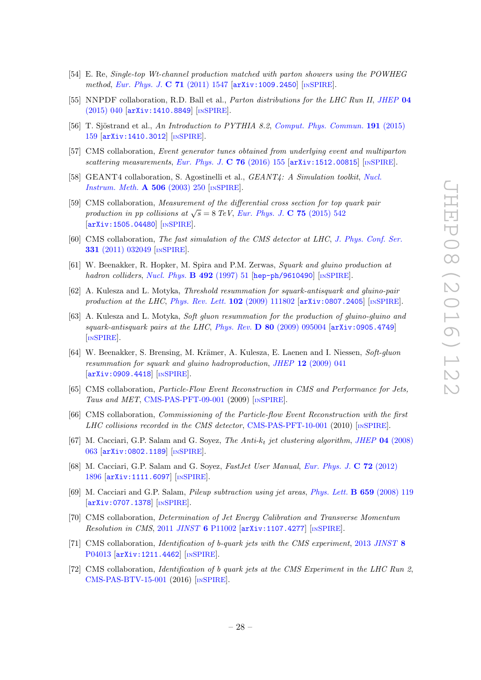- <span id="page-28-0"></span>[54] E. Re, Single-top Wt-channel production matched with parton showers using the POWHEG method, [Eur. Phys. J.](http://dx.doi.org/10.1140/epjc/s10052-011-1547-z) C 71 (2011) 1547 [[arXiv:1009.2450](http://arxiv.org/abs/1009.2450)] [IN[SPIRE](http://inspirehep.net/search?p=find+EPRINT+arXiv:1009.2450)].
- <span id="page-28-1"></span>[55] NNPDF collaboration, R.D. Ball et al., *Parton distributions for the LHC Run II, [JHEP](http://dx.doi.org/10.1007/JHEP04(2015)040)* 04 [\(2015\) 040](http://dx.doi.org/10.1007/JHEP04(2015)040) [[arXiv:1410.8849](http://arxiv.org/abs/1410.8849)] [IN[SPIRE](http://inspirehep.net/search?p=find+EPRINT+arXiv:1410.8849)].
- <span id="page-28-2"></span>[56] T. Sjöstrand et al., An Introduction to PYTHIA 8.2, [Comput. Phys. Commun.](http://dx.doi.org/10.1016/j.cpc.2015.01.024) 191 (2015) [159](http://dx.doi.org/10.1016/j.cpc.2015.01.024) [[arXiv:1410.3012](http://arxiv.org/abs/1410.3012)] [IN[SPIRE](http://inspirehep.net/search?p=find+EPRINT+arXiv:1410.3012)].
- <span id="page-28-3"></span>[57] CMS collaboration, Event generator tunes obtained from underlying event and multiparton scattering measurements, [Eur. Phys. J.](http://dx.doi.org/10.1140/epjc/s10052-016-3988-x) C  $76$  (2016) 155 [[arXiv:1512.00815](http://arxiv.org/abs/1512.00815)] [IN[SPIRE](http://inspirehep.net/search?p=find+EPRINT+arXiv:1512.00815)].
- <span id="page-28-4"></span>[58] GEANT4 collaboration, S. Agostinelli et al., GEANT4: A Simulation toolkit, [Nucl.](http://dx.doi.org/10.1016/S0168-9002(03)01368-8) [Instrum. Meth.](http://dx.doi.org/10.1016/S0168-9002(03)01368-8) A 506 (2003) 250 [IN[SPIRE](http://inspirehep.net/search?p=find+J+%22Nucl.Instrum.Meth.,A506,250%22)].
- <span id="page-28-5"></span>[59] CMS collaboration, Measurement of the differential cross section for top quark pair production in pp collisions at  $\sqrt{s} = 8$  TeV, [Eur. Phys. J.](http://dx.doi.org/10.1140/epjc/s10052-015-3709-x) C 75 (2015) 542 [[arXiv:1505.04480](http://arxiv.org/abs/1505.04480)] [IN[SPIRE](http://inspirehep.net/search?p=find+EPRINT+arXiv:1505.04480)].
- <span id="page-28-6"></span>[60] CMS collaboration, The fast simulation of the CMS detector at LHC, [J. Phys. Conf. Ser.](http://dx.doi.org/10.1088/1742-6596/331/3/032049) 331 [\(2011\) 032049](http://dx.doi.org/10.1088/1742-6596/331/3/032049) [IN[SPIRE](http://inspirehep.net/search?p=find+J+%22J.Phys.Conf.Ser.,331,032049%22)].
- <span id="page-28-7"></span>[61] W. Beenakker, R. Hopker, M. Spira and P.M. Zerwas, Squark and gluino production at hadron colliders, [Nucl. Phys.](http://dx.doi.org/10.1016/S0550-3213(97)80027-2) B 492 (1997) 51 [[hep-ph/9610490](http://arxiv.org/abs/hep-ph/9610490)] [IN[SPIRE](http://inspirehep.net/search?p=find+EPRINT+hep-ph/9610490)].
- [62] A. Kulesza and L. Motyka, Threshold resummation for squark-antisquark and gluino-pair production at the LHC, [Phys. Rev. Lett.](http://dx.doi.org/10.1103/PhysRevLett.102.111802)  $102$  (2009) 111802 [[arXiv:0807.2405](http://arxiv.org/abs/0807.2405)] [IN[SPIRE](http://inspirehep.net/search?p=find+EPRINT+arXiv:0807.2405)].
- [63] A. Kulesza and L. Motyka, Soft gluon resummation for the production of gluino-gluino and squark-antisquark pairs at the LHC, Phys. Rev.  $\bf{D}$  80 [\(2009\) 095004](http://dx.doi.org/10.1103/PhysRevD.80.095004) [[arXiv:0905.4749](http://arxiv.org/abs/0905.4749)] [IN[SPIRE](http://inspirehep.net/search?p=find+EPRINT+arXiv:0905.4749)].
- <span id="page-28-8"></span>[64] W. Beenakker, S. Brensing, M. Krämer, A. Kulesza, E. Laenen and I. Niessen, Soft-gluon resummation for squark and gluino hadroproduction, JHEP 12 [\(2009\) 041](http://dx.doi.org/10.1088/1126-6708/2009/12/041) [[arXiv:0909.4418](http://arxiv.org/abs/0909.4418)] [IN[SPIRE](http://inspirehep.net/search?p=find+EPRINT+arXiv:0909.4418)].
- <span id="page-28-9"></span>[65] CMS collaboration, Particle-Flow Event Reconstruction in CMS and Performance for Jets, Taus and MET, [CMS-PAS-PFT-09-001](http://cds.cern.ch/record/1194487) (2009) [IN[SPIRE](http://inspirehep.net/record/925379)].
- <span id="page-28-10"></span>[66] CMS collaboration, Commissioning of the Particle-flow Event Reconstruction with the first LHC collisions recorded in the CMS detector, [CMS-PAS-PFT-10-001](http://cds.cern.ch/record/1247373) (2010) [IN[SPIRE](http://inspirehep.net/record/925318)].
- <span id="page-28-11"></span>[67] M. Cacciari, G.P. Salam and G. Soyez, The Anti- $k_t$  jet clustering algorithm, JHEP 04 [\(2008\)](http://dx.doi.org/10.1088/1126-6708/2008/04/063) [063](http://dx.doi.org/10.1088/1126-6708/2008/04/063) [[arXiv:0802.1189](http://arxiv.org/abs/0802.1189)] [IN[SPIRE](http://inspirehep.net/search?p=find+EPRINT+arXiv:0802.1189)].
- <span id="page-28-12"></span>[68] M. Cacciari, G.P. Salam and G. Soyez, FastJet User Manual, [Eur. Phys. J.](http://dx.doi.org/10.1140/epjc/s10052-012-1896-2) C 72 (2012) [1896](http://dx.doi.org/10.1140/epjc/s10052-012-1896-2) [[arXiv:1111.6097](http://arxiv.org/abs/1111.6097)] [IN[SPIRE](http://inspirehep.net/search?p=find+EPRINT+arXiv:1111.6097)].
- <span id="page-28-13"></span>[69] M. Cacciari and G.P. Salam, Pileup subtraction using jet areas, [Phys. Lett.](http://dx.doi.org/10.1016/j.physletb.2007.09.077) B 659 (2008) 119 [[arXiv:0707.1378](http://arxiv.org/abs/0707.1378)] [IN[SPIRE](http://inspirehep.net/search?p=find+EPRINT+arXiv:0707.1378)].
- <span id="page-28-14"></span>[70] CMS collaboration, Determination of Jet Energy Calibration and Transverse Momentum Resolution in CMS, 2011 JINST 6 [P11002](http://dx.doi.org/10.1088/1748-0221/6/11/P11002) [[arXiv:1107.4277](http://arxiv.org/abs/1107.4277)] [IN[SPIRE](http://inspirehep.net/search?p=find+EPRINT+arXiv:1107.4277)].
- <span id="page-28-15"></span>[71] CMS collaboration, *Identification of b-quark jets with the CMS experiment*, 2013 *[JINST](http://dx.doi.org/10.1088/1748-0221/8/04/P04013)* 8 [P04013](http://dx.doi.org/10.1088/1748-0221/8/04/P04013) [[arXiv:1211.4462](http://arxiv.org/abs/1211.4462)] [IN[SPIRE](http://inspirehep.net/search?p=find+EPRINT+arXiv:1211.4462)].
- <span id="page-28-16"></span>[72] CMS collaboration, *Identification of b quark jets at the CMS Experiment in the LHC Run 2*. [CMS-PAS-BTV-15-001](http://cds.cern.ch/record/2138504) (2016) [IN[SPIRE](http://inspirehep.net/record/1427161)].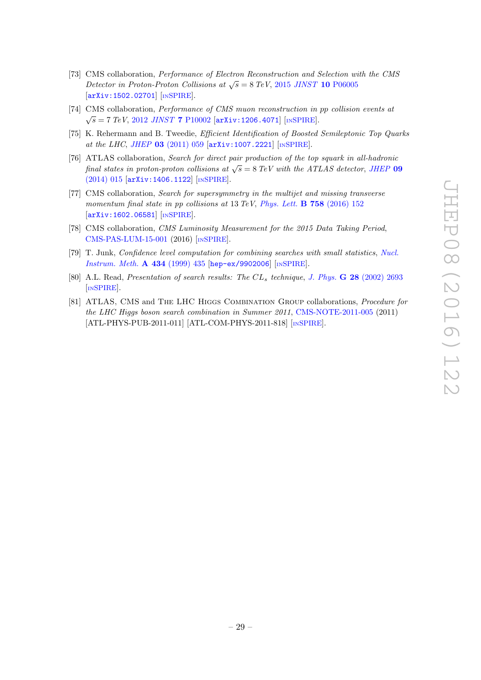- <span id="page-29-0"></span>[73] CMS collaboration, Performance of Electron Reconstruction and Selection with the CMS Detector in Proton-Proton Collisions at  $\sqrt{s} = 8$  TeV, 2015 JINST 10 [P06005](http://dx.doi.org/10.1088/1748-0221/10/06/P06005) [[arXiv:1502.02701](http://arxiv.org/abs/1502.02701)] [IN[SPIRE](http://inspirehep.net/search?p=find+EPRINT+arXiv:1502.02701)].
- <span id="page-29-1"></span>[74] CMS collaboration, Performance of CMS muon reconstruction in pp collision events at √  $\sqrt{s} = 7 \text{ TeV}, 2012 \text{ JINST}$  7 [P10002](http://dx.doi.org/10.1088/1748-0221/7/10/P10002) [[arXiv:1206.4071](http://arxiv.org/abs/1206.4071)] [IN[SPIRE](http://inspirehep.net/search?p=find+EPRINT+arXiv:1206.4071)].
- <span id="page-29-2"></span>[75] K. Rehermann and B. Tweedie, Efficient Identification of Boosted Semileptonic Top Quarks at the LHC, JHEP  $03$  [\(2011\) 059](http://dx.doi.org/10.1007/JHEP03(2011)059) [[arXiv:1007.2221](http://arxiv.org/abs/1007.2221)] [IN[SPIRE](http://inspirehep.net/search?p=find+EPRINT+arXiv:1007.2221)].
- <span id="page-29-3"></span>[76] ATLAS collaboration, Search for direct pair production of the top squark in all-hadronic final states in proton-proton collisions at  $\sqrt{s} = 8$  TeV with the ATLAS detector, [JHEP](http://dx.doi.org/10.1007/JHEP09(2014)015) 09 [\(2014\) 015](http://dx.doi.org/10.1007/JHEP09(2014)015) [[arXiv:1406.1122](http://arxiv.org/abs/1406.1122)] [IN[SPIRE](http://inspirehep.net/search?p=find+EPRINT+arXiv:1406.1122)].
- <span id="page-29-4"></span>[77] CMS collaboration, Search for supersymmetry in the multijet and missing transverse momentum final state in pp collisions at 13 TeV, [Phys. Lett.](http://dx.doi.org/10.1016/j.physletb.2016.05.002) **B 758** (2016) 152  $\left[\text{arXiv:1602.06581}\right]$  $\left[\text{arXiv:1602.06581}\right]$  $\left[\text{arXiv:1602.06581}\right]$   $\left[\text{nSPIRE}\right]$  $\left[\text{nSPIRE}\right]$  $\left[\text{nSPIRE}\right]$ .
- <span id="page-29-5"></span>[78] CMS collaboration, CMS Luminosity Measurement for the 2015 Data Taking Period, [CMS-PAS-LUM-15-001](http://cds.cern.ch/record/2138682) (2016) [IN[SPIRE](http://inspirehep.net/record/1427340)].
- <span id="page-29-6"></span>[79] T. Junk, Confidence level computation for combining searches with small statistics, [Nucl.](http://dx.doi.org/10.1016/S0168-9002(99)00498-2) [Instrum. Meth.](http://dx.doi.org/10.1016/S0168-9002(99)00498-2) A 434 (1999) 435 [[hep-ex/9902006](http://arxiv.org/abs/hep-ex/9902006)] [IN[SPIRE](http://inspirehep.net/search?p=find+EPRINT+hep-ex/9902006)].
- [80] A.L. Read, Presentation of search results: The CL<sub>s</sub> technique, J. Phys. **G 28** [\(2002\) 2693](http://dx.doi.org/10.1088/0954-3899/28/10/313) [IN[SPIRE](http://inspirehep.net/search?p=find+J+%22J.Phys.,G28,2693%22)].
- <span id="page-29-7"></span>[81] ATLAS, CMS and THE LHC HIGGS COMBINATION GROUP collaborations, Procedure for the LHC Higgs boson search combination in Summer 2011, [CMS-NOTE-2011-005](http://cds.cern.ch/record/1379837) (2011) [ATL-PHYS-PUB-2011-011] [ATL-COM-PHYS-2011-818] [IN[SPIRE](https://inspirehep.net/record/1196797)].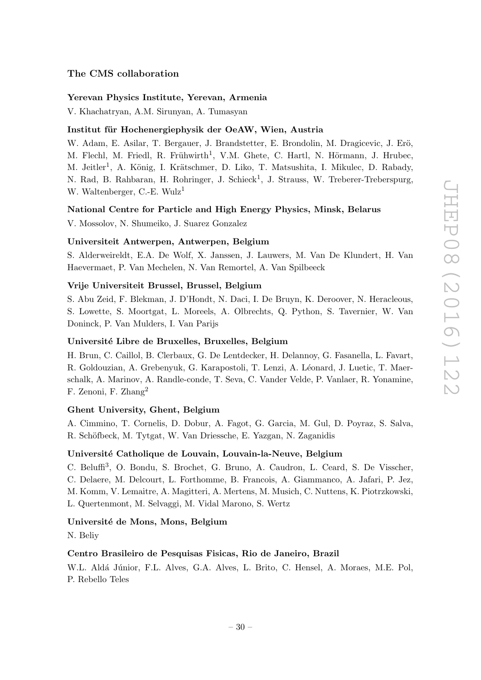## The CMS collaboration

### <span id="page-30-0"></span>Yerevan Physics Institute, Yerevan, Armenia

V. Khachatryan, A.M. Sirunyan, A. Tumasyan

### Institut für Hochenergiephysik der OeAW, Wien, Austria

W. Adam, E. Asilar, T. Bergauer, J. Brandstetter, E. Brondolin, M. Dragicevic, J. Erö, M. Flechl, M. Friedl, R. Frühwirth<sup>1</sup>, V.M. Ghete, C. Hartl, N. Hörmann, J. Hrubec, M. Jeitler<sup>1</sup>, A. König, I. Krätschmer, D. Liko, T. Matsushita, I. Mikulec, D. Rabady, N. Rad, B. Rahbaran, H. Rohringer, J. Schieck<sup>1</sup>, J. Strauss, W. Treberer-Treberspurg, W. Waltenberger, C.-E. Wulz<sup>1</sup>

### National Centre for Particle and High Energy Physics, Minsk, Belarus

V. Mossolov, N. Shumeiko, J. Suarez Gonzalez

### Universiteit Antwerpen, Antwerpen, Belgium

S. Alderweireldt, E.A. De Wolf, X. Janssen, J. Lauwers, M. Van De Klundert, H. Van Haevermaet, P. Van Mechelen, N. Van Remortel, A. Van Spilbeeck

### Vrije Universiteit Brussel, Brussel, Belgium

S. Abu Zeid, F. Blekman, J. D'Hondt, N. Daci, I. De Bruyn, K. Deroover, N. Heracleous, S. Lowette, S. Moortgat, L. Moreels, A. Olbrechts, Q. Python, S. Tavernier, W. Van Doninck, P. Van Mulders, I. Van Parijs

### Universit´e Libre de Bruxelles, Bruxelles, Belgium

H. Brun, C. Caillol, B. Clerbaux, G. De Lentdecker, H. Delannoy, G. Fasanella, L. Favart, R. Goldouzian, A. Grebenyuk, G. Karapostoli, T. Lenzi, A. Léonard, J. Luetic, T. Maerschalk, A. Marinov, A. Randle-conde, T. Seva, C. Vander Velde, P. Vanlaer, R. Yonamine, F. Zenoni, F. Zhang<sup>2</sup>

## Ghent University, Ghent, Belgium

A. Cimmino, T. Cornelis, D. Dobur, A. Fagot, G. Garcia, M. Gul, D. Poyraz, S. Salva, R. Schöfbeck, M. Tytgat, W. Van Driessche, E. Yazgan, N. Zaganidis

### Université Catholique de Louvain, Louvain-la-Neuve, Belgium

C. Beluffi<sup>3</sup>, O. Bondu, S. Brochet, G. Bruno, A. Caudron, L. Ceard, S. De Visscher, C. Delaere, M. Delcourt, L. Forthomme, B. Francois, A. Giammanco, A. Jafari, P. Jez, M. Komm, V. Lemaitre, A. Magitteri, A. Mertens, M. Musich, C. Nuttens, K. Piotrzkowski, L. Quertenmont, M. Selvaggi, M. Vidal Marono, S. Wertz

### Université de Mons, Mons, Belgium

N. Beliy

## Centro Brasileiro de Pesquisas Fisicas, Rio de Janeiro, Brazil

W.L. Aldá Júnior, F.L. Alves, G.A. Alves, L. Brito, C. Hensel, A. Moraes, M.E. Pol, P. Rebello Teles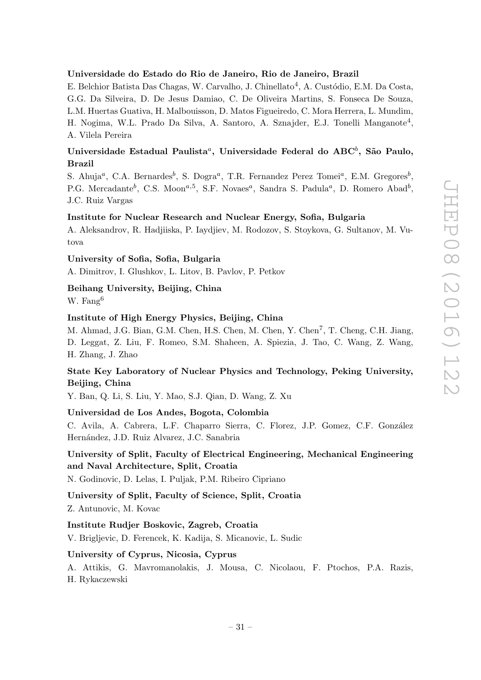### Universidade do Estado do Rio de Janeiro, Rio de Janeiro, Brazil

E. Belchior Batista Das Chagas, W. Carvalho, J. Chinellato<sup>4</sup>, A. Custódio, E.M. Da Costa, G.G. Da Silveira, D. De Jesus Damiao, C. De Oliveira Martins, S. Fonseca De Souza, L.M. Huertas Guativa, H. Malbouisson, D. Matos Figueiredo, C. Mora Herrera, L. Mundim, H. Nogima, W.L. Prado Da Silva, A. Santoro, A. Sznajder, E.J. Tonelli Manganote<sup>4</sup>, A. Vilela Pereira

# Universidade Estadual Paulista ${}^a,\,$  Universidade Federal do ABC ${}^b,\,$  São Paulo, Brazil

S. Ahuja<sup>a</sup>, C.A. Bernardes<sup>b</sup>, S. Dogra<sup>a</sup>, T.R. Fernandez Perez Tomei<sup>a</sup>, E.M. Gregores<sup>b</sup>, P.G. Mercadante<sup>b</sup>, C.S. Moon<sup>a,5</sup>, S.F. Novaes<sup>a</sup>, Sandra S. Padula<sup>a</sup>, D. Romero Abad<sup>b</sup>, J.C. Ruiz Vargas

### Institute for Nuclear Research and Nuclear Energy, Sofia, Bulgaria

A. Aleksandrov, R. Hadjiiska, P. Iaydjiev, M. Rodozov, S. Stoykova, G. Sultanov, M. Vutova

#### University of Sofia, Sofia, Bulgaria

A. Dimitrov, I. Glushkov, L. Litov, B. Pavlov, P. Petkov

# Beihang University, Beijing, China

W. Fang<sup>6</sup>

## Institute of High Energy Physics, Beijing, China

M. Ahmad, J.G. Bian, G.M. Chen, H.S. Chen, M. Chen, Y. Chen<sup>7</sup>, T. Cheng, C.H. Jiang, D. Leggat, Z. Liu, F. Romeo, S.M. Shaheen, A. Spiezia, J. Tao, C. Wang, Z. Wang, H. Zhang, J. Zhao

# State Key Laboratory of Nuclear Physics and Technology, Peking University, Beijing, China

Y. Ban, Q. Li, S. Liu, Y. Mao, S.J. Qian, D. Wang, Z. Xu

### Universidad de Los Andes, Bogota, Colombia

C. Avila, A. Cabrera, L.F. Chaparro Sierra, C. Florez, J.P. Gomez, C.F. González Hernández, J.D. Ruiz Alvarez, J.C. Sanabria

# University of Split, Faculty of Electrical Engineering, Mechanical Engineering and Naval Architecture, Split, Croatia

N. Godinovic, D. Lelas, I. Puljak, P.M. Ribeiro Cipriano

### University of Split, Faculty of Science, Split, Croatia

Z. Antunovic, M. Kovac

Institute Rudjer Boskovic, Zagreb, Croatia

V. Brigljevic, D. Ferencek, K. Kadija, S. Micanovic, L. Sudic

### University of Cyprus, Nicosia, Cyprus

A. Attikis, G. Mavromanolakis, J. Mousa, C. Nicolaou, F. Ptochos, P.A. Razis, H. Rykaczewski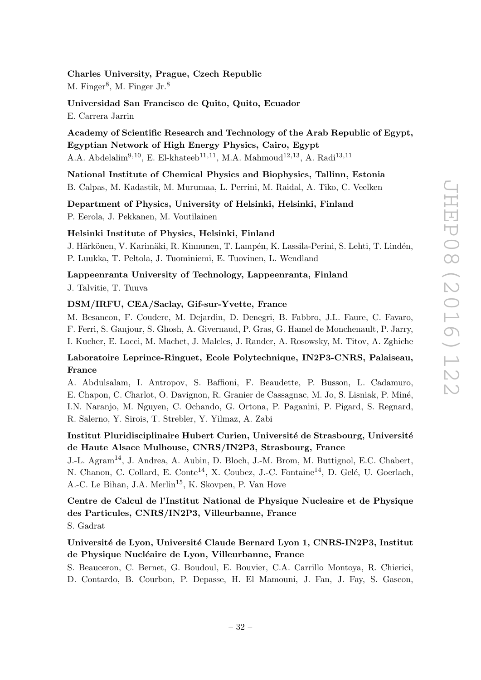### Charles University, Prague, Czech Republic

M. Finger<sup>8</sup>, M. Finger Jr.<sup>8</sup>

Universidad San Francisco de Quito, Quito, Ecuador E. Carrera Jarrin

# Academy of Scientific Research and Technology of the Arab Republic of Egypt, Egyptian Network of High Energy Physics, Cairo, Egypt A.A. Abdelalim<sup>9,10</sup>, E. El-khateeb<sup>11,11</sup>, M.A. Mahmoud<sup>12,13</sup>, A. Radi<sup>13,11</sup>

National Institute of Chemical Physics and Biophysics, Tallinn, Estonia B. Calpas, M. Kadastik, M. Murumaa, L. Perrini, M. Raidal, A. Tiko, C. Veelken

Department of Physics, University of Helsinki, Helsinki, Finland

P. Eerola, J. Pekkanen, M. Voutilainen

## Helsinki Institute of Physics, Helsinki, Finland

J. Härkönen, V. Karimäki, R. Kinnunen, T. Lampén, K. Lassila-Perini, S. Lehti, T. Lindén, P. Luukka, T. Peltola, J. Tuominiemi, E. Tuovinen, L. Wendland

Lappeenranta University of Technology, Lappeenranta, Finland J. Talvitie, T. Tuuva

## DSM/IRFU, CEA/Saclay, Gif-sur-Yvette, France

M. Besancon, F. Couderc, M. Dejardin, D. Denegri, B. Fabbro, J.L. Faure, C. Favaro, F. Ferri, S. Ganjour, S. Ghosh, A. Givernaud, P. Gras, G. Hamel de Monchenault, P. Jarry, I. Kucher, E. Locci, M. Machet, J. Malcles, J. Rander, A. Rosowsky, M. Titov, A. Zghiche

# Laboratoire Leprince-Ringuet, Ecole Polytechnique, IN2P3-CNRS, Palaiseau, France

A. Abdulsalam, I. Antropov, S. Baffioni, F. Beaudette, P. Busson, L. Cadamuro, E. Chapon, C. Charlot, O. Davignon, R. Granier de Cassagnac, M. Jo, S. Lisniak, P. Miné, I.N. Naranjo, M. Nguyen, C. Ochando, G. Ortona, P. Paganini, P. Pigard, S. Regnard, R. Salerno, Y. Sirois, T. Strebler, Y. Yilmaz, A. Zabi

# Institut Pluridisciplinaire Hubert Curien, Université de Strasbourg, Université de Haute Alsace Mulhouse, CNRS/IN2P3, Strasbourg, France

J.-L. Agram14, J. Andrea, A. Aubin, D. Bloch, J.-M. Brom, M. Buttignol, E.C. Chabert, N. Chanon, C. Collard, E. Conte<sup>14</sup>, X. Coubez, J.-C. Fontaine<sup>14</sup>, D. Gelé, U. Goerlach, A.-C. Le Bihan, J.A. Merlin<sup>15</sup>, K. Skovpen, P. Van Hove

# Centre de Calcul de l'Institut National de Physique Nucleaire et de Physique des Particules, CNRS/IN2P3, Villeurbanne, France S. Gadrat

# Université de Lyon, Université Claude Bernard Lyon 1, CNRS-IN2P3, Institut de Physique Nucléaire de Lyon, Villeurbanne, France

S. Beauceron, C. Bernet, G. Boudoul, E. Bouvier, C.A. Carrillo Montoya, R. Chierici, D. Contardo, B. Courbon, P. Depasse, H. El Mamouni, J. Fan, J. Fay, S. Gascon,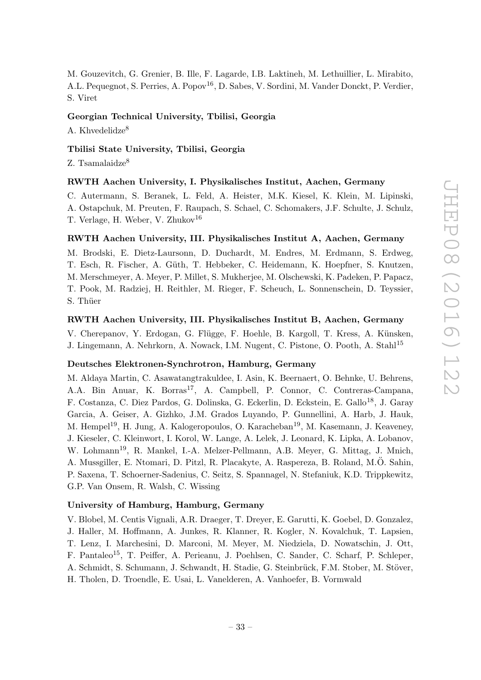M. Gouzevitch, G. Grenier, B. Ille, F. Lagarde, I.B. Laktineh, M. Lethuillier, L. Mirabito, A.L. Pequegnot, S. Perries, A. Popov<sup>16</sup>, D. Sabes, V. Sordini, M. Vander Donckt, P. Verdier, S. Viret

### Georgian Technical University, Tbilisi, Georgia

A. Khvedelidze<sup>8</sup>

## Tbilisi State University, Tbilisi, Georgia

Z. Tsamalaidze<sup>8</sup>

### RWTH Aachen University, I. Physikalisches Institut, Aachen, Germany

C. Autermann, S. Beranek, L. Feld, A. Heister, M.K. Kiesel, K. Klein, M. Lipinski, A. Ostapchuk, M. Preuten, F. Raupach, S. Schael, C. Schomakers, J.F. Schulte, J. Schulz, T. Verlage, H. Weber, V. Zhukov<sup>16</sup>

### RWTH Aachen University, III. Physikalisches Institut A, Aachen, Germany

M. Brodski, E. Dietz-Laursonn, D. Duchardt, M. Endres, M. Erdmann, S. Erdweg, T. Esch, R. Fischer, A. G¨uth, T. Hebbeker, C. Heidemann, K. Hoepfner, S. Knutzen, M. Merschmeyer, A. Meyer, P. Millet, S. Mukherjee, M. Olschewski, K. Padeken, P. Papacz, T. Pook, M. Radziej, H. Reithler, M. Rieger, F. Scheuch, L. Sonnenschein, D. Teyssier, S. Thüer

#### RWTH Aachen University, III. Physikalisches Institut B, Aachen, Germany

V. Cherepanov, Y. Erdogan, G. Flügge, F. Hoehle, B. Kargoll, T. Kress, A. Künsken, J. Lingemann, A. Nehrkorn, A. Nowack, I.M. Nugent, C. Pistone, O. Pooth, A. Stahl<sup>15</sup>

### Deutsches Elektronen-Synchrotron, Hamburg, Germany

M. Aldaya Martin, C. Asawatangtrakuldee, I. Asin, K. Beernaert, O. Behnke, U. Behrens, A.A. Bin Anuar, K. Borras<sup>17</sup>, A. Campbell, P. Connor, C. Contreras-Campana, F. Costanza, C. Diez Pardos, G. Dolinska, G. Eckerlin, D. Eckstein, E. Gallo<sup>18</sup>, J. Garay Garcia, A. Geiser, A. Gizhko, J.M. Grados Luyando, P. Gunnellini, A. Harb, J. Hauk, M. Hempel<sup>19</sup>, H. Jung, A. Kalogeropoulos, O. Karacheban<sup>19</sup>, M. Kasemann, J. Keaveney, J. Kieseler, C. Kleinwort, I. Korol, W. Lange, A. Lelek, J. Leonard, K. Lipka, A. Lobanov, W. Lohmann<sup>19</sup>, R. Mankel, I.-A. Melzer-Pellmann, A.B. Meyer, G. Mittag, J. Mnich, A. Mussgiller, E. Ntomari, D. Pitzl, R. Placakyte, A. Raspereza, B. Roland, M.O. Sahin, ¨ P. Saxena, T. Schoerner-Sadenius, C. Seitz, S. Spannagel, N. Stefaniuk, K.D. Trippkewitz, G.P. Van Onsem, R. Walsh, C. Wissing

### University of Hamburg, Hamburg, Germany

V. Blobel, M. Centis Vignali, A.R. Draeger, T. Dreyer, E. Garutti, K. Goebel, D. Gonzalez, J. Haller, M. Hoffmann, A. Junkes, R. Klanner, R. Kogler, N. Kovalchuk, T. Lapsien, T. Lenz, I. Marchesini, D. Marconi, M. Meyer, M. Niedziela, D. Nowatschin, J. Ott, F. Pantaleo<sup>15</sup>, T. Peiffer, A. Perieanu, J. Poehlsen, C. Sander, C. Scharf, P. Schleper, A. Schmidt, S. Schumann, J. Schwandt, H. Stadie, G. Steinbrück, F.M. Stober, M. Stöver, H. Tholen, D. Troendle, E. Usai, L. Vanelderen, A. Vanhoefer, B. Vormwald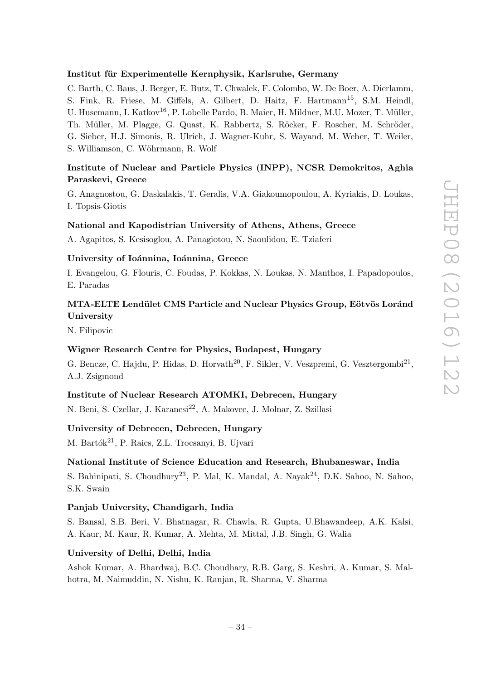### Institut für Experimentelle Kernphysik, Karlsruhe, Germany

C. Barth, C. Baus, J. Berger, E. Butz, T. Chwalek, F. Colombo, W. De Boer, A. Dierlamm, S. Fink, R. Friese, M. Giffels, A. Gilbert, D. Haitz, F. Hartmann<sup>15</sup>, S.M. Heindl, U. Husemann, I. Katkov<sup>16</sup>, P. Lobelle Pardo, B. Maier, H. Mildner, M.U. Mozer, T. Müller, Th. Müller, M. Plagge, G. Quast, K. Rabbertz, S. Röcker, F. Roscher, M. Schröder, G. Sieber, H.J. Simonis, R. Ulrich, J. Wagner-Kuhr, S. Wayand, M. Weber, T. Weiler, S. Williamson, C. Wöhrmann, R. Wolf

# Institute of Nuclear and Particle Physics (INPP), NCSR Demokritos, Aghia Paraskevi, Greece

G. Anagnostou, G. Daskalakis, T. Geralis, V.A. Giakoumopoulou, A. Kyriakis, D. Loukas, I. Topsis-Giotis

### National and Kapodistrian University of Athens, Athens, Greece

A. Agapitos, S. Kesisoglou, A. Panagiotou, N. Saoulidou, E. Tziaferi

#### University of Ioánnina, Ioánnina, Greece

I. Evangelou, G. Flouris, C. Foudas, P. Kokkas, N. Loukas, N. Manthos, I. Papadopoulos, E. Paradas

# MTA-ELTE Lendület CMS Particle and Nuclear Physics Group, Eötvös Loránd University

N. Filipovic

## Wigner Research Centre for Physics, Budapest, Hungary

G. Bencze, C. Hajdu, P. Hidas, D. Horvath<sup>20</sup>, F. Sikler, V. Veszpremi, G. Vesztergombi<sup>21</sup>, A.J. Zsigmond

## Institute of Nuclear Research ATOMKI, Debrecen, Hungary

N. Beni, S. Czellar, J. Karancsi<sup>22</sup>, A. Makovec, J. Molnar, Z. Szillasi

## University of Debrecen, Debrecen, Hungary

M. Bartók<sup>21</sup>, P. Raics, Z.L. Trocsanyi, B. Ujvari

### National Institute of Science Education and Research, Bhubaneswar, India

S. Bahinipati, S. Choudhury<sup>23</sup>, P. Mal, K. Mandal, A. Nayak<sup>24</sup>, D.K. Sahoo, N. Sahoo, S.K. Swain

### Panjab University, Chandigarh, India

S. Bansal, S.B. Beri, V. Bhatnagar, R. Chawla, R. Gupta, U.Bhawandeep, A.K. Kalsi, A. Kaur, M. Kaur, R. Kumar, A. Mehta, M. Mittal, J.B. Singh, G. Walia

### University of Delhi, Delhi, India

Ashok Kumar, A. Bhardwaj, B.C. Choudhary, R.B. Garg, S. Keshri, A. Kumar, S. Malhotra, M. Naimuddin, N. Nishu, K. Ranjan, R. Sharma, V. Sharma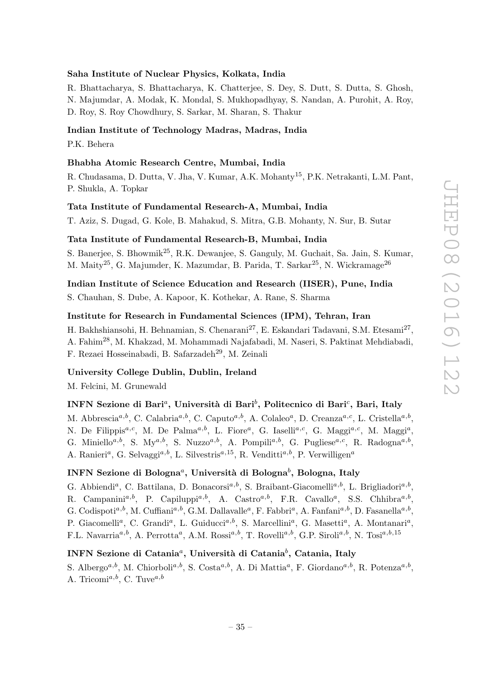### Saha Institute of Nuclear Physics, Kolkata, India

R. Bhattacharya, S. Bhattacharya, K. Chatterjee, S. Dey, S. Dutt, S. Dutta, S. Ghosh, N. Majumdar, A. Modak, K. Mondal, S. Mukhopadhyay, S. Nandan, A. Purohit, A. Roy, D. Roy, S. Roy Chowdhury, S. Sarkar, M. Sharan, S. Thakur

### Indian Institute of Technology Madras, Madras, India

P.K. Behera

## Bhabha Atomic Research Centre, Mumbai, India

R. Chudasama, D. Dutta, V. Jha, V. Kumar, A.K. Mohanty<sup>15</sup>, P.K. Netrakanti, L.M. Pant, P. Shukla, A. Topkar

### Tata Institute of Fundamental Research-A, Mumbai, India

T. Aziz, S. Dugad, G. Kole, B. Mahakud, S. Mitra, G.B. Mohanty, N. Sur, B. Sutar

#### Tata Institute of Fundamental Research-B, Mumbai, India

S. Banerjee, S. Bhowmik25, R.K. Dewanjee, S. Ganguly, M. Guchait, Sa. Jain, S. Kumar, M. Maity<sup>25</sup>, G. Majumder, K. Mazumdar, B. Parida, T. Sarkar<sup>25</sup>, N. Wickramage<sup>26</sup>

### Indian Institute of Science Education and Research (IISER), Pune, India

S. Chauhan, S. Dube, A. Kapoor, K. Kothekar, A. Rane, S. Sharma

### Institute for Research in Fundamental Sciences (IPM), Tehran, Iran

H. Bakhshiansohi, H. Behnamian, S. Chenarani<sup>27</sup>, E. Eskandari Tadavani, S.M. Etesami<sup>27</sup>, A. Fahim28, M. Khakzad, M. Mohammadi Najafabadi, M. Naseri, S. Paktinat Mehdiabadi, F. Rezaei Hosseinabadi, B. Safarzadeh<sup>29</sup>, M. Zeinali

### University College Dublin, Dublin, Ireland

M. Felcini, M. Grunewald

## INFN Sezione di Bari $^a$ , Università di Bari $^b$ , Politecnico di Bari $^c$ , Bari, Italy

M. Abbrescia<sup>a,b</sup>, C. Calabria<sup>a,b</sup>, C. Caputo<sup>a,b</sup>, A. Colaleo<sup>a</sup>, D. Creanza<sup>a,c</sup>, L. Cristella<sup>a,b</sup>, N. De Filippis<sup>a,c</sup>, M. De Palma<sup>a,b</sup>, L. Fiore<sup>a</sup>, G. Iaselli<sup>a,c</sup>, G. Maggi<sup>a,c</sup>, M. Maggi<sup>a</sup>, G. Miniello<sup>a,b</sup>, S. My<sup>a,b</sup>, S. Nuzzo<sup>a,b</sup>, A. Pompili<sup>a,b</sup>, G. Pugliese<sup>a,c</sup>, R. Radogna<sup>a,b</sup>, A. Ranieri<sup>a</sup>, G. Selvaggi<sup>a,b</sup>, L. Silvestris<sup>a, 15</sup>, R. Venditti<sup>a,b</sup>, P. Verwilligen<sup>a</sup>

# INFN Sezione di Bologna $^a,$  Università di Bologna $^b,$  Bologna, Italy

G. Abbiendi<sup>a</sup>, C. Battilana, D. Bonacorsi<sup>a,b</sup>, S. Braibant-Giacomelli<sup>a,b</sup>, L. Brigliadori<sup>a,b</sup>, R. Campanini<sup>a,b</sup>, P. Capiluppi<sup>a,b</sup>, A. Castro<sup>a,b</sup>, F.R. Cavallo<sup>a</sup>, S.S. Chhibra<sup>a,b</sup>, G. Codispoti<sup>a,b</sup>, M. Cuffiani<sup>a,b</sup>, G.M. Dallavalle<sup>a</sup>, F. Fabbri<sup>a</sup>, A. Fanfani<sup>a,b</sup>, D. Fasanella<sup>a,b</sup>, P. Giacomelli<sup>a</sup>, C. Grandi<sup>a</sup>, L. Guiducci<sup>a,b</sup>, S. Marcellini<sup>a</sup>, G. Masetti<sup>a</sup>, A. Montanari<sup>a</sup>, F.L. Navarria $a,b$ , A. Perrotta $^a$ , A.M. Rossi $^{a,b}$ , T. Rovelli $^{a,b}$ , G.P. Siroli $^{a,b}$ , N. Tosi $^{a,b,15}$ 

# INFN Sezione di Catania $^a,$  Università di Catania $^b,$  Catania, Italy

S. Albergo<sup>a,b</sup>, M. Chiorboli<sup>a,b</sup>, S. Costa<sup>a,b</sup>, A. Di Mattia<sup>a</sup>, F. Giordano<sup>a,b</sup>, R. Potenza<sup>a,b</sup>, A. Tricomi<sup>a,b</sup>, C. Tuve<sup>a,b</sup>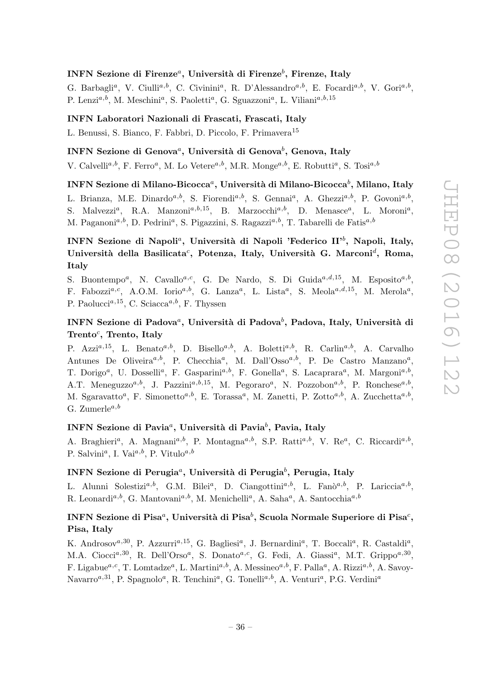## INFN Sezione di Firenze $^a,$  Università di Firenze $^b,$  Firenze, Italy

G. Barbagli<sup>a</sup>, V. Ciulli<sup>a,b</sup>, C. Civinini<sup>a</sup>, R. D'Alessandro<sup>a,b</sup>, E. Focardi<sup>a,b</sup>, V. Gori<sup>a,b</sup>, P. Lenzi<sup>a,b</sup>, M. Meschini<sup>a</sup>, S. Paoletti<sup>a</sup>, G. Sguazzoni<sup>a</sup>, L. Viliani<sup>a,b,15</sup>

## INFN Laboratori Nazionali di Frascati, Frascati, Italy

L. Benussi, S. Bianco, F. Fabbri, D. Piccolo, F. Primavera<sup>15</sup>

## INFN Sezione di Genova $^a,$  Università di Genova $^b,$  Genova, Italy

V. Calvelli<sup>a,b</sup>, F. Ferro<sup>a</sup>, M. Lo Vetere<sup>a,b</sup>, M.R. Monge<sup>a,b</sup>, E. Robutti<sup>a</sup>, S. Tosi<sup>a,b</sup>

## INFN Sezione di Milano-Bicocca $^a,$  Università di Milano-Bicocca $^b,$  Milano, Italy

L. Brianza, M.E. Dinardo<sup>a,b</sup>, S. Fiorendi<sup>a,b</sup>, S. Gennai<sup>a</sup>, A. Ghezzi<sup>a,b</sup>, P. Govoni<sup>a,b</sup>,

S. Malvezzi<sup>a</sup>, R.A. Manzoni<sup>a,b,15</sup>, B. Marzocchi<sup>a,b</sup>, D. Menasce<sup>a</sup>, L. Moroni<sup>a</sup>,

M. Paganoni<sup>a,b</sup>, D. Pedrini<sup>a</sup>, S. Pigazzini, S. Ragazzi<sup>a,b</sup>, T. Tabarelli de Fatis<sup>a,b</sup>

# INFN Sezione di Napoli<sup>a</sup>, Università di Napoli 'Federico II'<sup>b</sup>, Napoli, Italy, Università della Basilicata $^c$ , Potenza, Italy, Università G. Marconi $^d$ , Roma, Italy

S. Buontempo<sup>a</sup>, N. Cavallo<sup>a,c</sup>, G. De Nardo, S. Di Guida<sup>a,d,15</sup>, M. Esposito<sup>a,b</sup>, F. Fabozzi<sup>a,c</sup>, A.O.M. Iorio<sup>a,b</sup>, G. Lanza<sup>a</sup>, L. Lista<sup>a</sup>, S. Meola<sup>a,d,15</sup>, M. Merola<sup>a</sup>, P. Paolucci<sup>a, 15</sup>, C. Sciacca<sup>a,b</sup>, F. Thyssen

# INFN Sezione di Padova ${}^a,\,$ Università di Padova ${}^b,\,$ Padova, Italy, Università di  $Trento<sup>c</sup>$ , Trento, Italy

P. Azzi<sup>a, 15</sup>, L. Benato<sup>a,b</sup>, D. Bisello<sup>a,b</sup>, A. Boletti<sup>a,b</sup>, R. Carlin<sup>a,b</sup>, A. Carvalho Antunes De Oliveira<sup>a,b</sup>, P. Checchia<sup>a</sup>, M. Dall'Osso<sup>a,b</sup>, P. De Castro Manzano<sup>a</sup>, T. Dorigo<sup>a</sup>, U. Dosselli<sup>a</sup>, F. Gasparini<sup>a,b</sup>, F. Gonella<sup>a</sup>, S. Lacaprara<sup>a</sup>, M. Margoni<sup>a,b</sup>, A.T. Meneguzzo<sup>a,b</sup>, J. Pazzini<sup>a,b,15</sup>, M. Pegoraro<sup>a</sup>, N. Pozzobon<sup>a,b</sup>, P. Ronchese<sup>a,b</sup>, M. Sgaravatto<sup>a</sup>, F. Simonetto<sup>a,b</sup>, E. Torassa<sup>a</sup>, M. Zanetti, P. Zotto<sup>a,b</sup>, A. Zucchetta<sup>a,b</sup>, G. Zumerle<sup>a,b</sup>

# INFN Sezione di Pavia $^a,$  Università di Pavia $^b,$  Pavia, Italy

A. Braghieri<sup>a</sup>, A. Magnani<sup>a,b</sup>, P. Montagna<sup>a,b</sup>, S.P. Ratti<sup>a,b</sup>, V. Re<sup>a</sup>, C. Riccardi<sup>a,b</sup>, P. Salvini<sup>a</sup>, I. Vai<sup> $a,b$ </sup>, P. Vitulo $a,b$ 

## INFN Sezione di Perugia $^a,$  Università di Perugia $^b,$  Perugia, Italy

L. Alunni Solestizi<sup>a,b</sup>, G.M. Bilei<sup>a</sup>, D. Ciangottini<sup>a,b</sup>, L. Fanò<sup>a,b</sup>, P. Lariccia<sup>a,b</sup>, R. Leonardi<sup>a, b</sup>, G. Mantovani<sup>a, b</sup>, M. Menichelli<sup>a</sup>, A. Saha<sup>a</sup>, A. Santocchia<sup>a, b</sup>

# $\mathbf{INFN}$  Sezione di Pisa $^a, \mathbf{Universit\`a}$  di Pisa $^b, \mathbf{Scuola}$  Normale Superiore di Pisa $^c,$ Pisa, Italy

K. Androsov<sup>a, 30</sup>, P. Azzurri<sup>a, 15</sup>, G. Bagliesi<sup>a</sup>, J. Bernardini<sup>a</sup>, T. Boccali<sup>a</sup>, R. Castaldi<sup>a</sup>, M.A. Ciocci<sup>a,30</sup>, R. Dell'Orso<sup>a</sup>, S. Donato<sup>a,c</sup>, G. Fedi, A. Giassi<sup>a</sup>, M.T. Grippo<sup>a,30</sup>, F. Ligabue<sup>a, c</sup>, T. Lomtadze<sup>a</sup>, L. Martini<sup>a, b</sup>, A. Messineo<sup>a, b</sup>, F. Palla<sup>a</sup>, A. Rizzi<sup>a, b</sup>, A. Savoy-Navarro<sup>a,31</sup>, P. Spagnolo<sup>a</sup>, R. Tenchini<sup>a</sup>, G. Tonelli<sup>a,b</sup>, A. Venturi<sup>a</sup>, P.G. Verdini<sup>a</sup>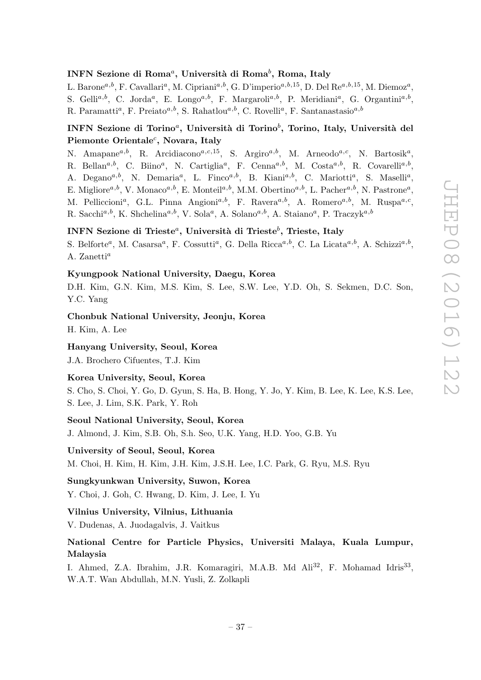## INFN Sezione di Roma $^a,$  Università di Roma $^b,$  Roma, Italy

L. Barone<sup>a, b</sup>, F. Cavallari<sup>a</sup>, M. Cipriani<sup>a, b</sup>, G. D'imperio<sup>a, b, 15</sup>, D. Del Re<sup>a, b, 15</sup>, M. Diemoz<sup>a</sup>, S. Gelli<sup>a,b</sup>, C. Jorda<sup>a</sup>, E. Longo<sup>a,b</sup>, F. Margaroli<sup>a,b</sup>, P. Meridiani<sup>a</sup>, G. Organtini<sup>a,b</sup>, R. Paramatti<sup>a</sup>, F. Preiato<sup>a,b</sup>, S. Rahatlou<sup>a,b</sup>, C. Rovelli<sup>a</sup>, F. Santanastasio<sup>a,b</sup>

# ${\rm INFN}$  Sezione di Torino ${}^a,\; {\rm Università}$  di Torino ${}^b,\; {\rm Torino},\; {\rm Italy},\; {\rm Università}$  del  $\mathbf{P}$ iemonte  $\mathbf{O}\mathbf{r}$ ientale $^c$ , Novara, Italy

N. Amapane<sup>a,b</sup>, R. Arcidiacono<sup>a,c,15</sup>, S. Argiro<sup>a,b</sup>, M. Arneodo<sup>a,c</sup>, N. Bartosik<sup>a</sup>, R. Bellan<sup>a,b</sup>, C. Biino<sup>a</sup>, N. Cartiglia<sup>a</sup>, F. Cenna<sup>a,b</sup>, M. Costa<sup>a,b</sup>, R. Covarelli<sup>a,b</sup>, A. Degano<sup>a,b</sup>, N. Demaria<sup>a</sup>, L. Finco<sup>a,b</sup>, B. Kiani<sup>a,b</sup>, C. Mariotti<sup>a</sup>, S. Maselli<sup>a</sup>, E. Migliore<sup>a,b</sup>, V. Monaco<sup>a,b</sup>, E. Monteil<sup>a,b</sup>, M.M. Obertino<sup>a,b</sup>, L. Pacher<sup>a,b</sup>, N. Pastrone<sup>a</sup>, M. Pelliccioni<sup>a</sup>, G.L. Pinna Angioni<sup>a,b</sup>, F. Ravera<sup>a,b</sup>, A. Romero<sup>a,b</sup>, M. Ruspa<sup>a,c</sup>, R. Sacchi<sup>a,b</sup>, K. Shchelina<sup>a,b</sup>, V. Sola<sup>a</sup>, A. Solano<sup>a,b</sup>, A. Staiano<sup>a</sup>, P. Traczyk<sup>a,b</sup>

# $\operatorname{INFN}$  Sezione di Trieste $^a,$  Università di Trieste $^b,$  Trieste, Italy

S. Belforte<sup>a</sup>, M. Casarsa<sup>a</sup>, F. Cossutti<sup>a</sup>, G. Della Ricca<sup>a,b</sup>, C. La Licata<sup>a,b</sup>, A. Schizzi<sup>a,b</sup>, A. Zanetti<sup>a</sup>

### Kyungpook National University, Daegu, Korea

D.H. Kim, G.N. Kim, M.S. Kim, S. Lee, S.W. Lee, Y.D. Oh, S. Sekmen, D.C. Son, Y.C. Yang

## Chonbuk National University, Jeonju, Korea

H. Kim, A. Lee

## Hanyang University, Seoul, Korea

J.A. Brochero Cifuentes, T.J. Kim

### Korea University, Seoul, Korea

S. Cho, S. Choi, Y. Go, D. Gyun, S. Ha, B. Hong, Y. Jo, Y. Kim, B. Lee, K. Lee, K.S. Lee, S. Lee, J. Lim, S.K. Park, Y. Roh

### Seoul National University, Seoul, Korea

J. Almond, J. Kim, S.B. Oh, S.h. Seo, U.K. Yang, H.D. Yoo, G.B. Yu

### University of Seoul, Seoul, Korea

M. Choi, H. Kim, H. Kim, J.H. Kim, J.S.H. Lee, I.C. Park, G. Ryu, M.S. Ryu

## Sungkyunkwan University, Suwon, Korea

Y. Choi, J. Goh, C. Hwang, D. Kim, J. Lee, I. Yu

### Vilnius University, Vilnius, Lithuania

V. Dudenas, A. Juodagalvis, J. Vaitkus

# National Centre for Particle Physics, Universiti Malaya, Kuala Lumpur, Malaysia

I. Ahmed, Z.A. Ibrahim, J.R. Komaragiri, M.A.B. Md Ali<sup>32</sup>, F. Mohamad Idris<sup>33</sup>, W.A.T. Wan Abdullah, M.N. Yusli, Z. Zolkapli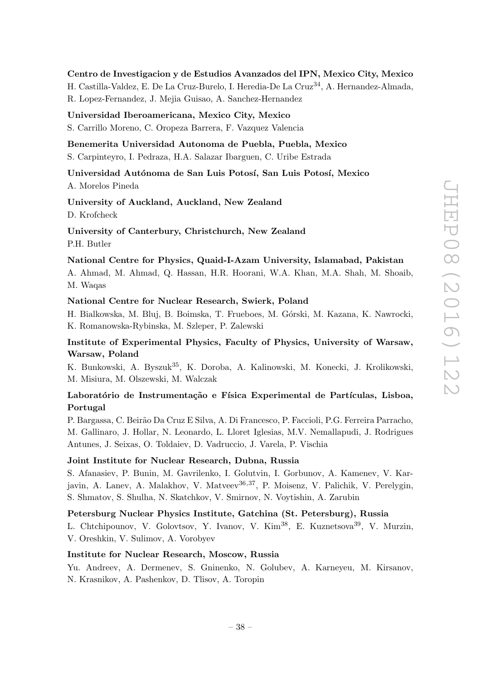### Centro de Investigacion y de Estudios Avanzados del IPN, Mexico City, Mexico

H. Castilla-Valdez, E. De La Cruz-Burelo, I. Heredia-De La Cruz<sup>34</sup>, A. Hernandez-Almada, R. Lopez-Fernandez, J. Mejia Guisao, A. Sanchez-Hernandez

#### Universidad Iberoamericana, Mexico City, Mexico

S. Carrillo Moreno, C. Oropeza Barrera, F. Vazquez Valencia

#### Benemerita Universidad Autonoma de Puebla, Puebla, Mexico

S. Carpinteyro, I. Pedraza, H.A. Salazar Ibarguen, C. Uribe Estrada

# Universidad Autónoma de San Luis Potosí, San Luis Potosí, Mexico

A. Morelos Pineda

### University of Auckland, Auckland, New Zealand

D. Krofcheck

University of Canterbury, Christchurch, New Zealand P.H. Butler

# National Centre for Physics, Quaid-I-Azam University, Islamabad, Pakistan

A. Ahmad, M. Ahmad, Q. Hassan, H.R. Hoorani, W.A. Khan, M.A. Shah, M. Shoaib, M. Waqas

#### National Centre for Nuclear Research, Swierk, Poland

H. Bialkowska, M. Bluj, B. Boimska, T. Frueboes, M. G´orski, M. Kazana, K. Nawrocki, K. Romanowska-Rybinska, M. Szleper, P. Zalewski

# Institute of Experimental Physics, Faculty of Physics, University of Warsaw, Warsaw, Poland

K. Bunkowski, A. Byszuk35, K. Doroba, A. Kalinowski, M. Konecki, J. Krolikowski, M. Misiura, M. Olszewski, M. Walczak

# Laboratório de Instrumentação e Física Experimental de Partículas, Lisboa, Portugal

P. Bargassa, C. Beirão Da Cruz E Silva, A. Di Francesco, P. Faccioli, P.G. Ferreira Parracho, M. Gallinaro, J. Hollar, N. Leonardo, L. Lloret Iglesias, M.V. Nemallapudi, J. Rodrigues Antunes, J. Seixas, O. Toldaiev, D. Vadruccio, J. Varela, P. Vischia

#### Joint Institute for Nuclear Research, Dubna, Russia

S. Afanasiev, P. Bunin, M. Gavrilenko, I. Golutvin, I. Gorbunov, A. Kamenev, V. Karjavin, A. Lanev, A. Malakhov, V. Matveev<sup>36,37</sup>, P. Moisenz, V. Palichik, V. Perelygin, S. Shmatov, S. Shulha, N. Skatchkov, V. Smirnov, N. Voytishin, A. Zarubin

#### Petersburg Nuclear Physics Institute, Gatchina (St. Petersburg), Russia

L. Chtchipounov, V. Golovtsov, Y. Ivanov, V. Kim<sup>38</sup>, E. Kuznetsova<sup>39</sup>, V. Murzin, V. Oreshkin, V. Sulimov, A. Vorobyev

### Institute for Nuclear Research, Moscow, Russia

Yu. Andreev, A. Dermenev, S. Gninenko, N. Golubev, A. Karneyeu, M. Kirsanov, N. Krasnikov, A. Pashenkov, D. Tlisov, A. Toropin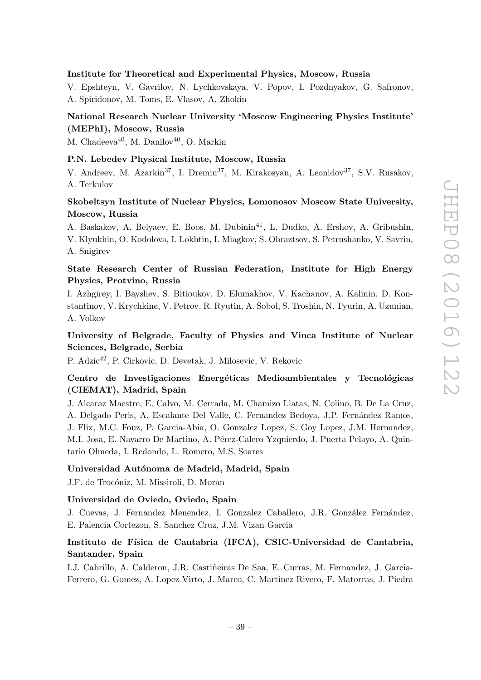### Institute for Theoretical and Experimental Physics, Moscow, Russia

V. Epshteyn, V. Gavrilov, N. Lychkovskaya, V. Popov, I. Pozdnyakov, G. Safronov, A. Spiridonov, M. Toms, E. Vlasov, A. Zhokin

# National Research Nuclear University 'Moscow Engineering Physics Institute' (MEPhI), Moscow, Russia

M. Chadeeva<sup>40</sup>, M. Danilov<sup>40</sup>, O. Markin

## P.N. Lebedev Physical Institute, Moscow, Russia

V. Andreev, M. Azarkin<sup>37</sup>, I. Dremin<sup>37</sup>, M. Kirakosyan, A. Leonidov<sup>37</sup>, S.V. Rusakov, A. Terkulov

# Skobeltsyn Institute of Nuclear Physics, Lomonosov Moscow State University, Moscow, Russia

A. Baskakov, A. Belyaev, E. Boos, M. Dubinin<sup>41</sup>, L. Dudko, A. Ershov, A. Gribushin, V. Klyukhin, O. Kodolova, I. Lokhtin, I. Miagkov, S. Obraztsov, S. Petrushanko, V. Savrin, A. Snigirev

# State Research Center of Russian Federation, Institute for High Energy Physics, Protvino, Russia

I. Azhgirey, I. Bayshev, S. Bitioukov, D. Elumakhov, V. Kachanov, A. Kalinin, D. Konstantinov, V. Krychkine, V. Petrov, R. Ryutin, A. Sobol, S. Troshin, N. Tyurin, A. Uzunian, A. Volkov

# University of Belgrade, Faculty of Physics and Vinca Institute of Nuclear Sciences, Belgrade, Serbia

P. Adzic42, P. Cirkovic, D. Devetak, J. Milosevic, V. Rekovic

# Centro de Investigaciones Energéticas Medioambientales y Tecnológicas (CIEMAT), Madrid, Spain

J. Alcaraz Maestre, E. Calvo, M. Cerrada, M. Chamizo Llatas, N. Colino, B. De La Cruz, A. Delgado Peris, A. Escalante Del Valle, C. Fernandez Bedoya, J.P. Fernández Ramos, J. Flix, M.C. Fouz, P. Garcia-Abia, O. Gonzalez Lopez, S. Goy Lopez, J.M. Hernandez, M.I. Josa, E. Navarro De Martino, A. Pérez-Calero Yzquierdo, J. Puerta Pelayo, A. Quintario Olmeda, I. Redondo, L. Romero, M.S. Soares

### Universidad Autónoma de Madrid, Madrid, Spain

J.F. de Trocóniz, M. Missiroli, D. Moran

## Universidad de Oviedo, Oviedo, Spain

J. Cuevas, J. Fernandez Menendez, I. Gonzalez Caballero, J.R. González Fernández, E. Palencia Cortezon, S. Sanchez Cruz, J.M. Vizan Garcia

# Instituto de Física de Cantabria (IFCA), CSIC-Universidad de Cantabria, Santander, Spain

I.J. Cabrillo, A. Calderon, J.R. Castiñeiras De Saa, E. Curras, M. Fernandez, J. Garcia-Ferrero, G. Gomez, A. Lopez Virto, J. Marco, C. Martinez Rivero, F. Matorras, J. Piedra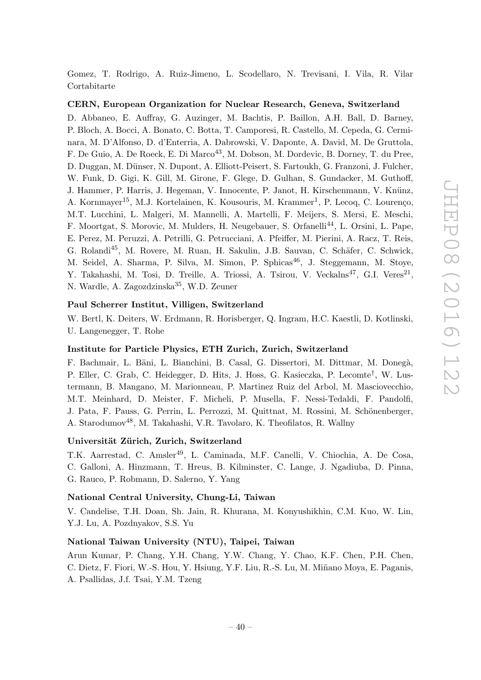Gomez, T. Rodrigo, A. Ruiz-Jimeno, L. Scodellaro, N. Trevisani, I. Vila, R. Vilar Cortabitarte

### CERN, European Organization for Nuclear Research, Geneva, Switzerland

D. Abbaneo, E. Auffray, G. Auzinger, M. Bachtis, P. Baillon, A.H. Ball, D. Barney, P. Bloch, A. Bocci, A. Bonato, C. Botta, T. Camporesi, R. Castello, M. Cepeda, G. Cerminara, M. D'Alfonso, D. d'Enterria, A. Dabrowski, V. Daponte, A. David, M. De Gruttola, F. De Guio, A. De Roeck, E. Di Marco<sup>43</sup>, M. Dobson, M. Dordevic, B. Dorney, T. du Pree, D. Duggan, M. Dünser, N. Dupont, A. Elliott-Peisert, S. Fartoukh, G. Franzoni, J. Fulcher, W. Funk, D. Gigi, K. Gill, M. Girone, F. Glege, D. Gulhan, S. Gundacker, M. Guthoff, J. Hammer, P. Harris, J. Hegeman, V. Innocente, P. Janot, H. Kirschenmann, V. Knünz, A. Kornmayer<sup>15</sup>, M.J. Kortelainen, K. Kousouris, M. Krammer<sup>1</sup>, P. Lecoq, C. Lourenço, M.T. Lucchini, L. Malgeri, M. Mannelli, A. Martelli, F. Meijers, S. Mersi, E. Meschi, F. Moortgat, S. Morovic, M. Mulders, H. Neugebauer, S. Orfanelli<sup>44</sup>, L. Orsini, L. Pape, E. Perez, M. Peruzzi, A. Petrilli, G. Petrucciani, A. Pfeiffer, M. Pierini, A. Racz, T. Reis, G. Rolandi<sup>45</sup>, M. Rovere, M. Ruan, H. Sakulin, J.B. Sauvan, C. Schäfer, C. Schwick, M. Seidel, A. Sharma, P. Silva, M. Simon, P. Sphicas<sup>46</sup>, J. Steggemann, M. Stoye, Y. Takahashi, M. Tosi, D. Treille, A. Triossi, A. Tsirou, V. Veckalns<sup>47</sup>, G.I. Veres<sup>21</sup>, N. Wardle, A. Zagozdzinska35, W.D. Zeuner

### Paul Scherrer Institut, Villigen, Switzerland

W. Bertl, K. Deiters, W. Erdmann, R. Horisberger, Q. Ingram, H.C. Kaestli, D. Kotlinski, U. Langenegger, T. Rohe

### Institute for Particle Physics, ETH Zurich, Zurich, Switzerland

F. Bachmair, L. Bäni, L. Bianchini, B. Casal, G. Dissertori, M. Dittmar, M. Donegà, P. Eller, C. Grab, C. Heidegger, D. Hits, J. Hoss, G. Kasieczka, P. Lecomte† , W. Lustermann, B. Mangano, M. Marionneau, P. Martinez Ruiz del Arbol, M. Masciovecchio, M.T. Meinhard, D. Meister, F. Micheli, P. Musella, F. Nessi-Tedaldi, F. Pandolfi, J. Pata, F. Pauss, G. Perrin, L. Perrozzi, M. Quittnat, M. Rossini, M. Schönenberger, A. Starodumov<sup>48</sup>, M. Takahashi, V.R. Tavolaro, K. Theofilatos, R. Wallny

#### Universität Zürich, Zurich, Switzerland

T.K. Aarrestad, C. Amsler<sup>49</sup>, L. Caminada, M.F. Canelli, V. Chiochia, A. De Cosa, C. Galloni, A. Hinzmann, T. Hreus, B. Kilminster, C. Lange, J. Ngadiuba, D. Pinna, G. Rauco, P. Robmann, D. Salerno, Y. Yang

### National Central University, Chung-Li, Taiwan

V. Candelise, T.H. Doan, Sh. Jain, R. Khurana, M. Konyushikhin, C.M. Kuo, W. Lin, Y.J. Lu, A. Pozdnyakov, S.S. Yu

## National Taiwan University (NTU), Taipei, Taiwan

Arun Kumar, P. Chang, Y.H. Chang, Y.W. Chang, Y. Chao, K.F. Chen, P.H. Chen, C. Dietz, F. Fiori, W.-S. Hou, Y. Hsiung, Y.F. Liu, R.-S. Lu, M. Mi˜nano Moya, E. Paganis, A. Psallidas, J.f. Tsai, Y.M. Tzeng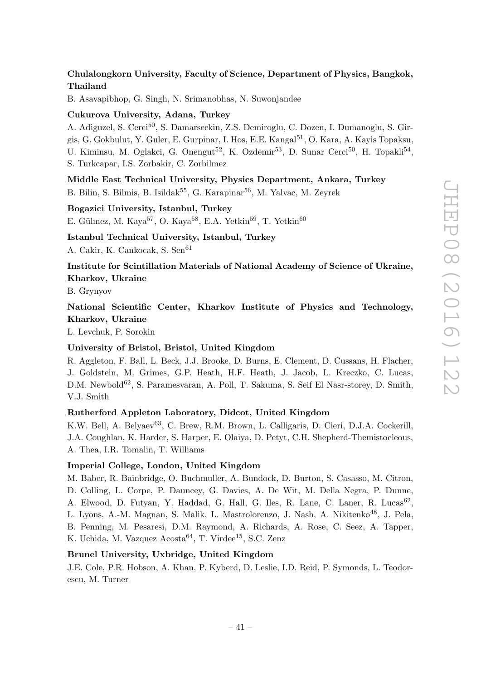# Chulalongkorn University, Faculty of Science, Department of Physics, Bangkok, Thailand

B. Asavapibhop, G. Singh, N. Srimanobhas, N. Suwonjandee

## Cukurova University, Adana, Turkey

A. Adiguzel, S. Cerci<sup>50</sup>, S. Damarseckin, Z.S. Demiroglu, C. Dozen, I. Dumanoglu, S. Girgis, G. Gokbulut, Y. Guler, E. Gurpinar, I. Hos, E.E. Kangal<sup>51</sup>, O. Kara, A. Kavis Topaksu, U. Kiminsu, M. Oglakci, G. Onengut<sup>52</sup>, K. Ozdemir<sup>53</sup>, D. Sunar Cerci<sup>50</sup>, H. Topakli<sup>54</sup>, S. Turkcapar, I.S. Zorbakir, C. Zorbilmez

# Middle East Technical University, Physics Department, Ankara, Turkey

B. Bilin, S. Bilmis, B. Isildak<sup>55</sup>, G. Karapinar<sup>56</sup>, M. Yalvac, M. Zeyrek

Bogazici University, Istanbul, Turkey E. Gülmez, M. Kaya<sup>57</sup>, O. Kaya<sup>58</sup>, E.A. Yetkin<sup>59</sup>, T. Yetkin<sup>60</sup>

Istanbul Technical University, Istanbul, Turkey

A. Cakir, K. Cankocak, S. Sen<sup>61</sup>

Institute for Scintillation Materials of National Academy of Science of Ukraine, Kharkov, Ukraine

B. Grynyov

# National Scientific Center, Kharkov Institute of Physics and Technology, Kharkov, Ukraine

L. Levchuk, P. Sorokin

## University of Bristol, Bristol, United Kingdom

R. Aggleton, F. Ball, L. Beck, J.J. Brooke, D. Burns, E. Clement, D. Cussans, H. Flacher, J. Goldstein, M. Grimes, G.P. Heath, H.F. Heath, J. Jacob, L. Kreczko, C. Lucas, D.M. Newbold<sup>62</sup>, S. Paramesvaran, A. Poll, T. Sakuma, S. Seif El Nasr-storey, D. Smith, V.J. Smith

# Rutherford Appleton Laboratory, Didcot, United Kingdom

K.W. Bell, A. Belyaev<sup>63</sup>, C. Brew, R.M. Brown, L. Calligaris, D. Cieri, D.J.A. Cockerill, J.A. Coughlan, K. Harder, S. Harper, E. Olaiya, D. Petyt, C.H. Shepherd-Themistocleous, A. Thea, I.R. Tomalin, T. Williams

### Imperial College, London, United Kingdom

M. Baber, R. Bainbridge, O. Buchmuller, A. Bundock, D. Burton, S. Casasso, M. Citron, D. Colling, L. Corpe, P. Dauncey, G. Davies, A. De Wit, M. Della Negra, P. Dunne, A. Elwood, D. Futyan, Y. Haddad, G. Hall, G. Iles, R. Lane, C. Laner, R. Lucas<sup>62</sup>, L. Lyons, A.-M. Magnan, S. Malik, L. Mastrolorenzo, J. Nash, A. Nikitenko<sup>48</sup>, J. Pela, B. Penning, M. Pesaresi, D.M. Raymond, A. Richards, A. Rose, C. Seez, A. Tapper, K. Uchida, M. Vazquez Acosta<sup>64</sup>, T. Virdee<sup>15</sup>, S.C. Zenz

### Brunel University, Uxbridge, United Kingdom

J.E. Cole, P.R. Hobson, A. Khan, P. Kyberd, D. Leslie, I.D. Reid, P. Symonds, L. Teodorescu, M. Turner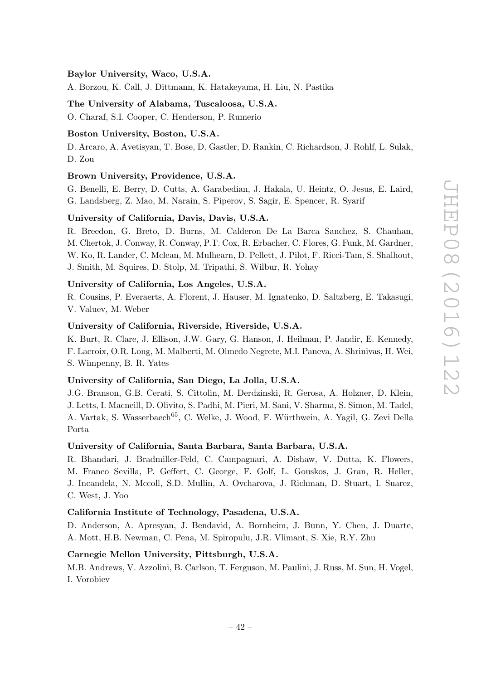### Baylor University, Waco, U.S.A.

A. Borzou, K. Call, J. Dittmann, K. Hatakeyama, H. Liu, N. Pastika

### The University of Alabama, Tuscaloosa, U.S.A.

O. Charaf, S.I. Cooper, C. Henderson, P. Rumerio

## Boston University, Boston, U.S.A.

D. Arcaro, A. Avetisyan, T. Bose, D. Gastler, D. Rankin, C. Richardson, J. Rohlf, L. Sulak, D. Zou

### Brown University, Providence, U.S.A.

G. Benelli, E. Berry, D. Cutts, A. Garabedian, J. Hakala, U. Heintz, O. Jesus, E. Laird, G. Landsberg, Z. Mao, M. Narain, S. Piperov, S. Sagir, E. Spencer, R. Syarif

## University of California, Davis, Davis, U.S.A.

R. Breedon, G. Breto, D. Burns, M. Calderon De La Barca Sanchez, S. Chauhan, M. Chertok, J. Conway, R. Conway, P.T. Cox, R. Erbacher, C. Flores, G. Funk, M. Gardner, W. Ko, R. Lander, C. Mclean, M. Mulhearn, D. Pellett, J. Pilot, F. Ricci-Tam, S. Shalhout, J. Smith, M. Squires, D. Stolp, M. Tripathi, S. Wilbur, R. Yohay

### University of California, Los Angeles, U.S.A.

R. Cousins, P. Everaerts, A. Florent, J. Hauser, M. Ignatenko, D. Saltzberg, E. Takasugi, V. Valuev, M. Weber

## University of California, Riverside, Riverside, U.S.A.

K. Burt, R. Clare, J. Ellison, J.W. Gary, G. Hanson, J. Heilman, P. Jandir, E. Kennedy, F. Lacroix, O.R. Long, M. Malberti, M. Olmedo Negrete, M.I. Paneva, A. Shrinivas, H. Wei, S. Wimpenny, B. R. Yates

### University of California, San Diego, La Jolla, U.S.A.

J.G. Branson, G.B. Cerati, S. Cittolin, M. Derdzinski, R. Gerosa, A. Holzner, D. Klein, J. Letts, I. Macneill, D. Olivito, S. Padhi, M. Pieri, M. Sani, V. Sharma, S. Simon, M. Tadel, A. Vartak, S. Wasserbaech<sup>65</sup>, C. Welke, J. Wood, F. Würthwein, A. Yagil, G. Zevi Della Porta

## University of California, Santa Barbara, Santa Barbara, U.S.A.

R. Bhandari, J. Bradmiller-Feld, C. Campagnari, A. Dishaw, V. Dutta, K. Flowers, M. Franco Sevilla, P. Geffert, C. George, F. Golf, L. Gouskos, J. Gran, R. Heller, J. Incandela, N. Mccoll, S.D. Mullin, A. Ovcharova, J. Richman, D. Stuart, I. Suarez, C. West, J. Yoo

## California Institute of Technology, Pasadena, U.S.A.

D. Anderson, A. Apresyan, J. Bendavid, A. Bornheim, J. Bunn, Y. Chen, J. Duarte, A. Mott, H.B. Newman, C. Pena, M. Spiropulu, J.R. Vlimant, S. Xie, R.Y. Zhu

## Carnegie Mellon University, Pittsburgh, U.S.A.

M.B. Andrews, V. Azzolini, B. Carlson, T. Ferguson, M. Paulini, J. Russ, M. Sun, H. Vogel, I. Vorobiev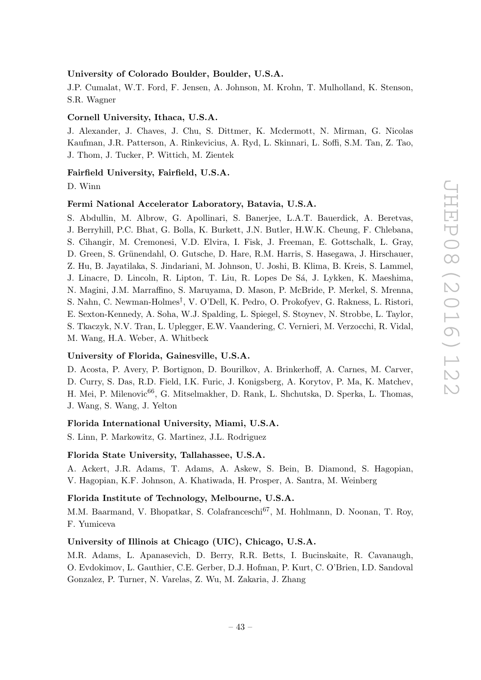### University of Colorado Boulder, Boulder, U.S.A.

J.P. Cumalat, W.T. Ford, F. Jensen, A. Johnson, M. Krohn, T. Mulholland, K. Stenson, S.R. Wagner

#### Cornell University, Ithaca, U.S.A.

J. Alexander, J. Chaves, J. Chu, S. Dittmer, K. Mcdermott, N. Mirman, G. Nicolas Kaufman, J.R. Patterson, A. Rinkevicius, A. Ryd, L. Skinnari, L. Soffi, S.M. Tan, Z. Tao, J. Thom, J. Tucker, P. Wittich, M. Zientek

### Fairfield University, Fairfield, U.S.A.

D. Winn

### Fermi National Accelerator Laboratory, Batavia, U.S.A.

S. Abdullin, M. Albrow, G. Apollinari, S. Banerjee, L.A.T. Bauerdick, A. Beretvas, J. Berryhill, P.C. Bhat, G. Bolla, K. Burkett, J.N. Butler, H.W.K. Cheung, F. Chlebana, S. Cihangir, M. Cremonesi, V.D. Elvira, I. Fisk, J. Freeman, E. Gottschalk, L. Gray, D. Green, S. Grünendahl, O. Gutsche, D. Hare, R.M. Harris, S. Hasegawa, J. Hirschauer, Z. Hu, B. Jayatilaka, S. Jindariani, M. Johnson, U. Joshi, B. Klima, B. Kreis, S. Lammel, J. Linacre, D. Lincoln, R. Lipton, T. Liu, R. Lopes De S´a, J. Lykken, K. Maeshima, N. Magini, J.M. Marraffino, S. Maruyama, D. Mason, P. McBride, P. Merkel, S. Mrenna, S. Nahn, C. Newman-Holmes† , V. O'Dell, K. Pedro, O. Prokofyev, G. Rakness, L. Ristori, E. Sexton-Kennedy, A. Soha, W.J. Spalding, L. Spiegel, S. Stoynev, N. Strobbe, L. Taylor, S. Tkaczyk, N.V. Tran, L. Uplegger, E.W. Vaandering, C. Vernieri, M. Verzocchi, R. Vidal, M. Wang, H.A. Weber, A. Whitbeck

### University of Florida, Gainesville, U.S.A.

D. Acosta, P. Avery, P. Bortignon, D. Bourilkov, A. Brinkerhoff, A. Carnes, M. Carver, D. Curry, S. Das, R.D. Field, I.K. Furic, J. Konigsberg, A. Korytov, P. Ma, K. Matchev, H. Mei, P. Milenovic66, G. Mitselmakher, D. Rank, L. Shchutska, D. Sperka, L. Thomas, J. Wang, S. Wang, J. Yelton

#### Florida International University, Miami, U.S.A.

S. Linn, P. Markowitz, G. Martinez, J.L. Rodriguez

## Florida State University, Tallahassee, U.S.A.

A. Ackert, J.R. Adams, T. Adams, A. Askew, S. Bein, B. Diamond, S. Hagopian, V. Hagopian, K.F. Johnson, A. Khatiwada, H. Prosper, A. Santra, M. Weinberg

### Florida Institute of Technology, Melbourne, U.S.A.

M.M. Baarmand, V. Bhopatkar, S. Colafranceschi<sup>67</sup>, M. Hohlmann, D. Noonan, T. Roy, F. Yumiceva

## University of Illinois at Chicago (UIC), Chicago, U.S.A.

M.R. Adams, L. Apanasevich, D. Berry, R.R. Betts, I. Bucinskaite, R. Cavanaugh, O. Evdokimov, L. Gauthier, C.E. Gerber, D.J. Hofman, P. Kurt, C. O'Brien, I.D. Sandoval Gonzalez, P. Turner, N. Varelas, Z. Wu, M. Zakaria, J. Zhang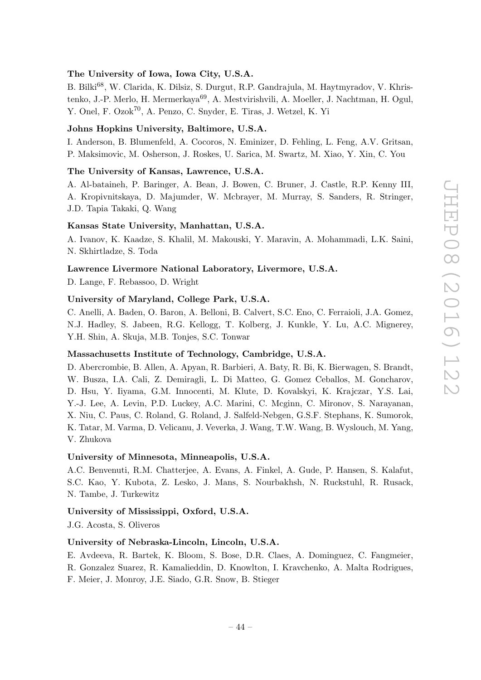### The University of Iowa, Iowa City, U.S.A.

B. Bilki<sup>68</sup>, W. Clarida, K. Dilsiz, S. Durgut, R.P. Gandrajula, M. Haytmyradov, V. Khristenko, J.-P. Merlo, H. Mermerkaya<sup>69</sup>, A. Mestvirishvili, A. Moeller, J. Nachtman, H. Ogul, Y. Onel, F. Ozok70, A. Penzo, C. Snyder, E. Tiras, J. Wetzel, K. Yi

### Johns Hopkins University, Baltimore, U.S.A.

I. Anderson, B. Blumenfeld, A. Cocoros, N. Eminizer, D. Fehling, L. Feng, A.V. Gritsan, P. Maksimovic, M. Osherson, J. Roskes, U. Sarica, M. Swartz, M. Xiao, Y. Xin, C. You

## The University of Kansas, Lawrence, U.S.A.

A. Al-bataineh, P. Baringer, A. Bean, J. Bowen, C. Bruner, J. Castle, R.P. Kenny III, A. Kropivnitskaya, D. Majumder, W. Mcbrayer, M. Murray, S. Sanders, R. Stringer, J.D. Tapia Takaki, Q. Wang

### Kansas State University, Manhattan, U.S.A.

A. Ivanov, K. Kaadze, S. Khalil, M. Makouski, Y. Maravin, A. Mohammadi, L.K. Saini, N. Skhirtladze, S. Toda

### Lawrence Livermore National Laboratory, Livermore, U.S.A.

D. Lange, F. Rebassoo, D. Wright

## University of Maryland, College Park, U.S.A.

C. Anelli, A. Baden, O. Baron, A. Belloni, B. Calvert, S.C. Eno, C. Ferraioli, J.A. Gomez, N.J. Hadley, S. Jabeen, R.G. Kellogg, T. Kolberg, J. Kunkle, Y. Lu, A.C. Mignerey, Y.H. Shin, A. Skuja, M.B. Tonjes, S.C. Tonwar

## Massachusetts Institute of Technology, Cambridge, U.S.A.

D. Abercrombie, B. Allen, A. Apyan, R. Barbieri, A. Baty, R. Bi, K. Bierwagen, S. Brandt, W. Busza, I.A. Cali, Z. Demiragli, L. Di Matteo, G. Gomez Ceballos, M. Goncharov, D. Hsu, Y. Iiyama, G.M. Innocenti, M. Klute, D. Kovalskyi, K. Krajczar, Y.S. Lai, Y.-J. Lee, A. Levin, P.D. Luckey, A.C. Marini, C. Mcginn, C. Mironov, S. Narayanan, X. Niu, C. Paus, C. Roland, G. Roland, J. Salfeld-Nebgen, G.S.F. Stephans, K. Sumorok, K. Tatar, M. Varma, D. Velicanu, J. Veverka, J. Wang, T.W. Wang, B. Wyslouch, M. Yang, V. Zhukova

### University of Minnesota, Minneapolis, U.S.A.

A.C. Benvenuti, R.M. Chatterjee, A. Evans, A. Finkel, A. Gude, P. Hansen, S. Kalafut, S.C. Kao, Y. Kubota, Z. Lesko, J. Mans, S. Nourbakhsh, N. Ruckstuhl, R. Rusack, N. Tambe, J. Turkewitz

#### University of Mississippi, Oxford, U.S.A.

J.G. Acosta, S. Oliveros

## University of Nebraska-Lincoln, Lincoln, U.S.A.

E. Avdeeva, R. Bartek, K. Bloom, S. Bose, D.R. Claes, A. Dominguez, C. Fangmeier, R. Gonzalez Suarez, R. Kamalieddin, D. Knowlton, I. Kravchenko, A. Malta Rodrigues,

F. Meier, J. Monroy, J.E. Siado, G.R. Snow, B. Stieger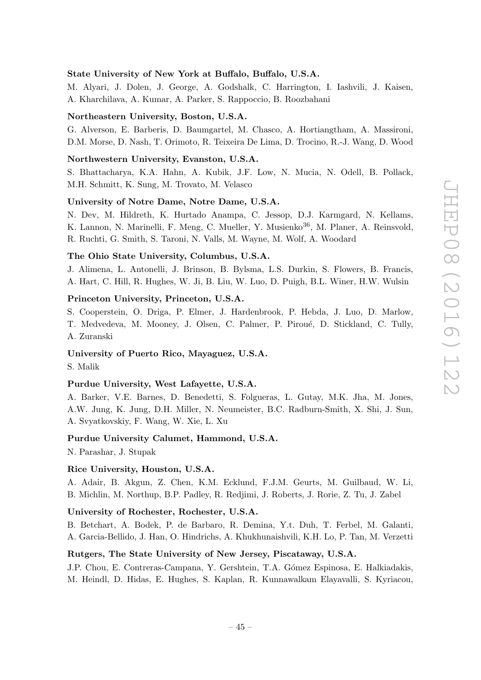### State University of New York at Buffalo, Buffalo, U.S.A.

M. Alyari, J. Dolen, J. George, A. Godshalk, C. Harrington, I. Iashvili, J. Kaisen, A. Kharchilava, A. Kumar, A. Parker, S. Rappoccio, B. Roozbahani

#### Northeastern University, Boston, U.S.A.

G. Alverson, E. Barberis, D. Baumgartel, M. Chasco, A. Hortiangtham, A. Massironi, D.M. Morse, D. Nash, T. Orimoto, R. Teixeira De Lima, D. Trocino, R.-J. Wang, D. Wood

#### Northwestern University, Evanston, U.S.A.

S. Bhattacharya, K.A. Hahn, A. Kubik, J.F. Low, N. Mucia, N. Odell, B. Pollack, M.H. Schmitt, K. Sung, M. Trovato, M. Velasco

### University of Notre Dame, Notre Dame, U.S.A.

N. Dev, M. Hildreth, K. Hurtado Anampa, C. Jessop, D.J. Karmgard, N. Kellams, K. Lannon, N. Marinelli, F. Meng, C. Mueller, Y. Musienko<sup>36</sup>, M. Planer, A. Reinsvold, R. Ruchti, G. Smith, S. Taroni, N. Valls, M. Wayne, M. Wolf, A. Woodard

### The Ohio State University, Columbus, U.S.A.

J. Alimena, L. Antonelli, J. Brinson, B. Bylsma, L.S. Durkin, S. Flowers, B. Francis, A. Hart, C. Hill, R. Hughes, W. Ji, B. Liu, W. Luo, D. Puigh, B.L. Winer, H.W. Wulsin

#### Princeton University, Princeton, U.S.A.

S. Cooperstein, O. Driga, P. Elmer, J. Hardenbrook, P. Hebda, J. Luo, D. Marlow, T. Medvedeva, M. Mooney, J. Olsen, C. Palmer, P. Piroué, D. Stickland, C. Tully, A. Zuranski

#### University of Puerto Rico, Mayaguez, U.S.A.

S. Malik

### Purdue University, West Lafayette, U.S.A.

A. Barker, V.E. Barnes, D. Benedetti, S. Folgueras, L. Gutay, M.K. Jha, M. Jones, A.W. Jung, K. Jung, D.H. Miller, N. Neumeister, B.C. Radburn-Smith, X. Shi, J. Sun, A. Svyatkovskiy, F. Wang, W. Xie, L. Xu

## Purdue University Calumet, Hammond, U.S.A.

N. Parashar, J. Stupak

#### Rice University, Houston, U.S.A.

A. Adair, B. Akgun, Z. Chen, K.M. Ecklund, F.J.M. Geurts, M. Guilbaud, W. Li, B. Michlin, M. Northup, B.P. Padley, R. Redjimi, J. Roberts, J. Rorie, Z. Tu, J. Zabel

## University of Rochester, Rochester, U.S.A.

B. Betchart, A. Bodek, P. de Barbaro, R. Demina, Y.t. Duh, T. Ferbel, M. Galanti, A. Garcia-Bellido, J. Han, O. Hindrichs, A. Khukhunaishvili, K.H. Lo, P. Tan, M. Verzetti

#### Rutgers, The State University of New Jersey, Piscataway, U.S.A.

J.P. Chou, E. Contreras-Campana, Y. Gershtein, T.A. Gómez Espinosa, E. Halkiadakis, M. Heindl, D. Hidas, E. Hughes, S. Kaplan, R. Kunnawalkam Elayavalli, S. Kyriacou,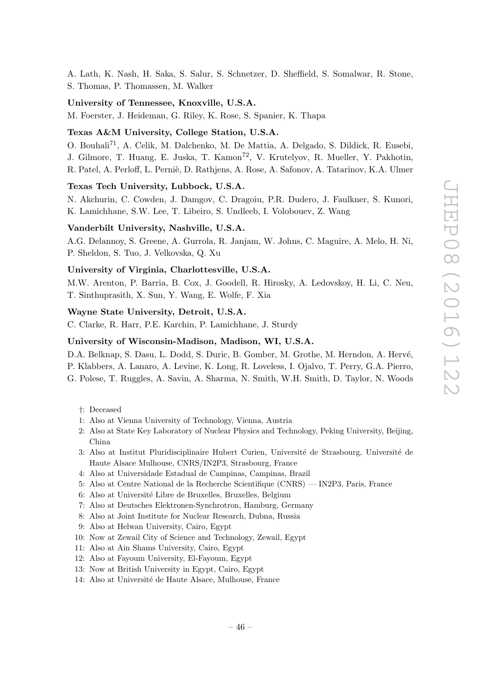A. Lath, K. Nash, H. Saka, S. Salur, S. Schnetzer, D. Sheffield, S. Somalwar, R. Stone, S. Thomas, P. Thomassen, M. Walker

### University of Tennessee, Knoxville, U.S.A.

M. Foerster, J. Heideman, G. Riley, K. Rose, S. Spanier, K. Thapa

### Texas A&M University, College Station, U.S.A.

O. Bouhali71, A. Celik, M. Dalchenko, M. De Mattia, A. Delgado, S. Dildick, R. Eusebi, J. Gilmore, T. Huang, E. Juska, T. Kamon<sup>72</sup>, V. Krutelyov, R. Mueller, Y. Pakhotin, R. Patel, A. Perloff, L. Perniè, D. Rathjens, A. Rose, A. Safonov, A. Tatarinov, K.A. Ulmer

### Texas Tech University, Lubbock, U.S.A.

N. Akchurin, C. Cowden, J. Damgov, C. Dragoiu, P.R. Dudero, J. Faulkner, S. Kunori, K. Lamichhane, S.W. Lee, T. Libeiro, S. Undleeb, I. Volobouev, Z. Wang

#### Vanderbilt University, Nashville, U.S.A.

A.G. Delannoy, S. Greene, A. Gurrola, R. Janjam, W. Johns, C. Maguire, A. Melo, H. Ni, P. Sheldon, S. Tuo, J. Velkovska, Q. Xu

### University of Virginia, Charlottesville, U.S.A.

M.W. Arenton, P. Barria, B. Cox, J. Goodell, R. Hirosky, A. Ledovskoy, H. Li, C. Neu, T. Sinthuprasith, X. Sun, Y. Wang, E. Wolfe, F. Xia

### Wayne State University, Detroit, U.S.A.

C. Clarke, R. Harr, P.E. Karchin, P. Lamichhane, J. Sturdy

## University of Wisconsin-Madison, Madison, WI, U.S.A.

D.A. Belknap, S. Dasu, L. Dodd, S. Duric, B. Gomber, M. Grothe, M. Herndon, A. Hervé, P. Klabbers, A. Lanaro, A. Levine, K. Long, R. Loveless, I. Ojalvo, T. Perry, G.A. Pierro, G. Polese, T. Ruggles, A. Savin, A. Sharma, N. Smith, W.H. Smith, D. Taylor, N. Woods

- †: Deceased
- 1: Also at Vienna University of Technology, Vienna, Austria
- 2: Also at State Key Laboratory of Nuclear Physics and Technology, Peking University, Beijing, China
- 3: Also at Institut Pluridisciplinaire Hubert Curien, Université de Strasbourg, Université de Haute Alsace Mulhouse, CNRS/IN2P3, Strasbourg, France
- 4: Also at Universidade Estadual de Campinas, Campinas, Brazil
- 5: Also at Centre National de la Recherche Scientifique (CNRS) IN2P3, Paris, France
- 6: Also at Université Libre de Bruxelles, Bruxelles, Belgium
- 7: Also at Deutsches Elektronen-Synchrotron, Hamburg, Germany
- 8: Also at Joint Institute for Nuclear Research, Dubna, Russia
- 9: Also at Helwan University, Cairo, Egypt
- 10: Now at Zewail City of Science and Technology, Zewail, Egypt
- 11: Also at Ain Shams University, Cairo, Egypt
- 12: Also at Fayoum University, El-Fayoum, Egypt
- 13: Now at British University in Egypt, Cairo, Egypt
- 14: Also at Université de Haute Alsace, Mulhouse, France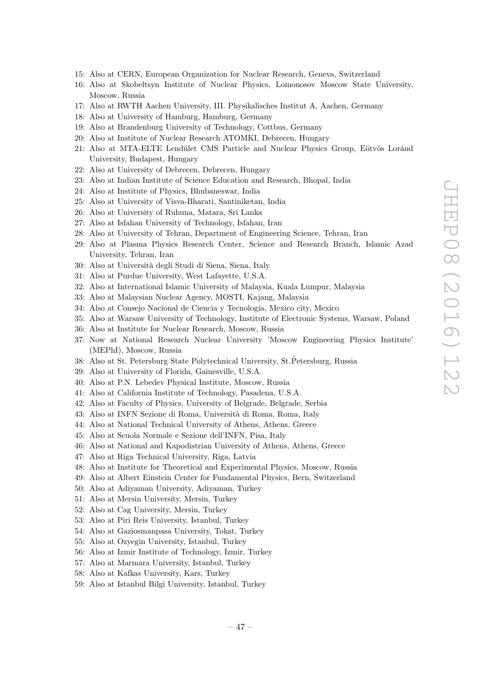- 15: Also at CERN, European Organization for Nuclear Research, Geneva, Switzerland
- 16: Also at Skobeltsyn Institute of Nuclear Physics, Lomonosov Moscow State University, Moscow, Russia
- 17: Also at RWTH Aachen University, III. Physikalisches Institut A, Aachen, Germany
- 18: Also at University of Hamburg, Hamburg, Germany
- 19: Also at Brandenburg University of Technology, Cottbus, Germany
- 20: Also at Institute of Nuclear Research ATOMKI, Debrecen, Hungary
- 21: Also at MTA-ELTE Lendület CMS Particle and Nuclear Physics Group, Eötvös Loránd University, Budapest, Hungary
- 22: Also at University of Debrecen, Debrecen, Hungary
- 23: Also at Indian Institute of Science Education and Research, Bhopal, India
- 24: Also at Institute of Physics, Bhubaneswar, India
- 25: Also at University of Visva-Bharati, Santiniketan, India
- 26: Also at University of Ruhuna, Matara, Sri Lanka
- 27: Also at Isfahan University of Technology, Isfahan, Iran
- 28: Also at University of Tehran, Department of Engineering Science, Tehran, Iran
- 29: Also at Plasma Physics Research Center, Science and Research Branch, Islamic Azad University, Tehran, Iran
- 30: Also at Universit`a degli Studi di Siena, Siena, Italy
- 31: Also at Purdue University, West Lafayette, U.S.A.
- 32: Also at International Islamic University of Malaysia, Kuala Lumpur, Malaysia
- 33: Also at Malaysian Nuclear Agency, MOSTI, Kajang, Malaysia
- 34: Also at Consejo Nacional de Ciencia y Tecnología, Mexico city, Mexico
- 35: Also at Warsaw University of Technology, Institute of Electronic Systems, Warsaw, Poland
- 36: Also at Institute for Nuclear Research, Moscow, Russia
- 37: Now at National Research Nuclear University 'Moscow Engineering Physics Institute' (MEPhI), Moscow, Russia
- 38: Also at St. Petersburg State Polytechnical University, St.Petersburg, Russia ˜
- 39: Also at University of Florida, Gainesville, U.S.A.
- 40: Also at P.N. Lebedev Physical Institute, Moscow, Russia
- 41: Also at California Institute of Technology, Pasadena, U.S.A.
- 42: Also at Faculty of Physics, University of Belgrade, Belgrade, Serbia
- 43: Also at INFN Sezione di Roma, Università di Roma, Roma, Italy
- 44: Also at National Technical University of Athens, Athens, Greece
- 45: Also at Scuola Normale e Sezione dell'INFN, Pisa, Italy
- 46: Also at National and Kapodistrian University of Athens, Athens, Greece
- 47: Also at Riga Technical University, Riga, Latvia
- 48: Also at Institute for Theoretical and Experimental Physics, Moscow, Russia
- 49: Also at Albert Einstein Center for Fundamental Physics, Bern, Switzerland
- 50: Also at Adiyaman University, Adiyaman, Turkey
- 51: Also at Mersin University, Mersin, Turkey
- 52: Also at Cag University, Mersin, Turkey
- 53: Also at Piri Reis University, Istanbul, Turkey
- 54: Also at Gaziosmanpasa University, Tokat, Turkey
- 55: Also at Ozyegin University, Istanbul, Turkey
- 56: Also at Izmir Institute of Technology, Izmir, Turkey
- 57: Also at Marmara University, Istanbul, Turkey
- 58: Also at Kafkas University, Kars, Turkey
- 59: Also at Istanbul Bilgi University, Istanbul, Turkey